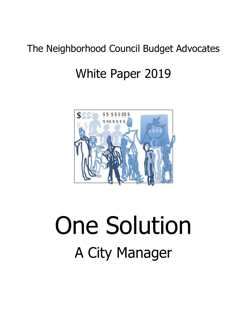# The Neighborhood Council Budget Advocates

# White Paper 2019



# One Solution A City Manager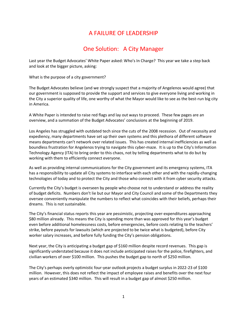# A FAILURE OF LEADERSHIP

# One Solution: A City Manager

Last year the Budget Advocates' White Paper asked: Who's In Charge? This year we take a step back and look at the bigger picture, asking:

What is the purpose of a city government?

The Budget Advocates believe (and we strongly suspect that a majority of Angelenos would agree) that our government is supposed to provide the support and services to give everyone living and working in the City a superior quality of life, one worthy of what the Mayor would like to see as the best-run big city in America.

A White Paper is intended to raise red flags and lay out ways to proceed. These few pages are an overview, and a summation of the Budget Advocates' conclusions at the beginning of 2019.

Los Angeles has struggled with outdated tech since the cuts of the 2008 recession. Out of necessity and expediency, many departments have set up their own systems and this plethora of different software means departments can't network over related issues. This has created internal inefficiencies as well as boundless frustration for Angelenos trying to navigate this cyber-maze. It is up to the City's Information Technology Agency (ITA) to bring order to this chaos, not by telling departments what to do but by working with them to efficiently connect everyone.

As well as providing internal communications for the City government and its emergency systems, ITA has a responsibility to update all City systems to interface with each other and with the rapidly-changing technologies of today and to protect the City and those who connect with it from cyber security attacks.

Currently the City's budget is overseen by people who choose not to understand or address the reality of budget deficits. Numbers don't lie but our Mayor and City Council and some of the Departments they oversee conveniently manipulate the numbers to reflect what coincides with their beliefs, perhaps their dreams. This is not sustainable.

The City's financial status reports this year are pessimistic, projecting over-expenditures approaching \$80 million already. This means the City is spending more than was approved for this year's budget even before additional homelessness costs, before emergencies, before costs relating to the teachers' strike, before payouts for lawsuits (which are projected to be twice what is budgeted), before City worker salary increases, and before fully funding the City's pension obligations.

Next year, the City is anticipating a budget gap of \$160 million despite record revenues. This gap is significantly understated because it does not include anticipated raises for the police, firefighters, and civilian workers of over \$100 million. This pushes the budget gap to north of \$250 million.

The City's perhaps overly optimistic four-year outlook projects a budget surplus in 2022-23 of \$100 million. However, this does not reflect the impact of employee raises and benefits over the next four years of an estimated \$340 million. This will result in a budget gap of almost \$250 million.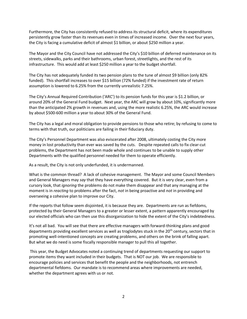Furthermore, the City has consistently refused to address its structural deficit, where its expenditures persistently grow faster than its revenues even in times of increased income. Over the next four years, the City is facing a cumulative deficit of almost \$1 billion, or about \$250 million a year.

The Mayor and the City Council have not addressed the City's \$10 billion of deferred maintenance on its streets, sidewalks, parks and their bathrooms, urban forest, streetlights, and the rest of its infrastructure. This would add at least \$250 million a year to the budget shortfall.

The City has not adequately funded its two pension plans to the tune of almost \$9 billion (only 82% funded). This shortfall increases to over \$15 billion (72% funded) if the investment rate of return assumption is lowered to 6.25% from the currently unrealistic 7.25%.

The City's Annual Required Contribution ('ARC') to its pension funds for this year is \$1.2 billion, or around 20% of the General Fund budget. Next year, the ARC will grow by about 10%, significantly more than the anticipated 2% growth in revenues and, using the more realistic 6.25%, the ARC would increase by about \$500-600 million a year to about 30% of the General Fund.

The City has a legal and moral obligation to provide pensions to those who retire; by refusing to come to terms with that truth, our politicians are failing in their fiduciary duty.

The City's Personnel Department was also eviscerated after 2008, ultimately costing the City more money in lost productivity than ever was saved by the cuts. Despite repeated calls to fix clear-cut problems, the Department has not been made whole and continues to be unable to supply other Departments with the qualified personnel needed for them to operate efficiently.

As a result, the City is not only underfunded, it is undermanned.

What is the common thread? A lack of cohesive management. The Mayor and some Council Members and General Managers may *say* that they have everything covered. But it is very clear, even from a cursory look, that *ignoring* the problems do not make them disappear and that any managing at the moment is in *reacting* to problems after the fact, *not* in being proactive and *not* in providing and overseeing a cohesive plan to improve our City.

If the reports that follow seem disjointed, it is because they are. Departments are run as fiefdoms, protected by their General Managers to a greater or lesser extent, a pattern apparently encouraged by our elected officials who can then use this disorganization to hide the extent of the City's indebtedness.

It's not all bad. You will see that there are effective managers with forward-thinking plans and good departments providing excellent services as well as troglodytes stuck in the 20<sup>th</sup> century, sectors that in promoting well-intentioned concepts are creating problems, and others on the brink of falling apart. But what we do need is some fiscally responsible manager to pull this all together.

This year, the Budget Advocates noted a continuing trend of departments requesting our support to promote items they want included in their budgets. That is NOT our job. We are responsible to encourage policies and services that benefit the people and the neighborhoods, not entrench departmental fiefdoms. Our mandate is to recommend areas where improvements are needed, whether the department agrees with us or not.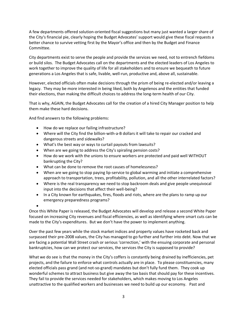A few departments offered solution-oriented fiscal suggestions but many just wanted a larger share of the City's financial pie, clearly hoping the Budget Advocates' support would give these fiscal requests a better chance to survive vetting first by the Mayor's office and then by the Budget and Finance Committee.

City departments exist to serve the people and provide the services we need, not to entrench fiefdoms or build silos. The Budget Advocates call on the departments and the elected leaders of Los Angeles to work together to improve the quality of life for all stakeholders and to ensure we bequeath to future generations a Los Angeles that is safe, livable, well-run, productive and, above all, sustainable.

However, elected officials often make decisions through the prism of being re-elected and/or leaving a legacy. They may be more interested in being liked, both by Angelenos and the entities that funded their elections, than making the difficult choices to address the long-term health of our City.

That is why, AGAIN, the Budget Advocates call for the creation of a hired City Manager position to help them make these hard decisions.

And find answers to the following problems:

- How do we replace our failing infrastructure?
- Where will the City find the billion-with-a-B dollars it will take to repair our cracked and dangerous streets and sidewalks?
- What's the best way or ways to curtail payouts from lawsuits?
- When are we going to address the City's spiraling pension costs?
- How do we work with the unions to ensure workers are protected and paid well WITHOUT bankrupting the City?
- What can be done to remove the root causes of homelessness?
- When are we going to stop paying lip-service to global warming and initiate a comprehensive approach to transportation, trees, profitability, pollution, and all the other interrelated factors?
- Where is the real transparency we need to stop backroom deals and give people unequivocal input into the decisions that affect their well-being?
- In a City known for earthquakes, fires, floods and riots, where are the plans to ramp up our emergency preparedness programs?

•

Once this White Paper is released, the Budget Advocates will develop and release a second White Paper focused on increasing City revenues and fiscal efficiencies, as well as identifying where smart cuts can be made to the City's expenditures. But we don't have the power to implement anything.

Over the past few years while the stock market indices and property values have rocketed back and surpassed their pre-2008 values, the City has managed to go further and further into debt. Now that we are facing a potential Wall Street crash or serious 'correction,' with the ensuing corporate and personal bankruptcies, how can we protect our services, the services the City is supposed to provide?

What we do see is that the money in the City's coffers is constantly being drained by inefficiencies, pet projects, and the failure to enforce what controls actually are in place. To please constituencies, many elected officials pass grand (and not-so-grand) mandates but don't fully fund them. They cook up wonderful schemes to attract business but give away the tax basis that should pay for these incentives. They fail to provide the services needed for stakeholders, which makes moving to Los Angeles unattractive to the qualified workers and businesses we need to build up our economy. Past and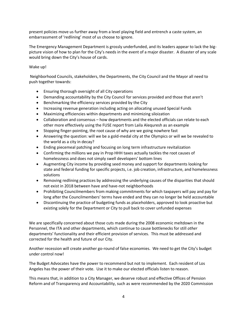present policies move us further away from a level playing field and entrench a caste system, an embarrassment of 'redlining' most of us choose to ignore.

The Emergency Management Department is grossly underfunded, and its leaders appear to lack the bigpicture vision of how to plan for the City's needs in the event of a major disaster. A disaster of any scale would bring down the City's house of cards.

#### Wake up!

Neighborhood Councils, stakeholders, the Departments, the City Council and the Mayor all need to push together towards:

- Ensuring thorough oversight of all City operations
- Demanding accountability by the City Council for services provided and those that aren't
- Benchmarking the efficiency services provided by the City
- Increasing revenue generation including acting on allocating unused Special Funds
- Maximizing efficiencies within departments and minimizing siloization
- Collaboration and consensus how departments and the elected officials can relate to each other more effectively using the FUSE report from Laila Alequresh as an example
- Stopping finger-pointing, the root cause of why are we going nowhere fast
- Answering the question: will we be a gold-medal city at the Olympics or will we be revealed to the world as a city in decay?
- Ending piecemeal patching and focusing on long term infrastructure revitalization
- Confirming the millions we pay in Prop HHH taxes actually tackles the root causes of homelessness and does not simply swell developers' bottom lines
- Augmenting City income by providing seed money and support for departments looking for state and federal funding for specific projects, i.e. job creation, infrastructure, and homelessness solutions
- Removing redlining practices by addressing the underlying causes of the disparities that should not exist in 2018 between have and have-not neighborhoods
- Prohibiting Councilmembers from making commitments for which taxpayers will pay and pay for long after the Councilmembers' terms have ended and they can no longer be held accountable
- Discontinuing the practice of budgeting funds as placeholders, approved to look proactive but existing solely for the Department or City to pull back to cover unfunded expenses

We are specifically concerned about those cuts made during the 2008 economic meltdown in the Personnel, the ITA and other departments, which continue to cause bottlenecks for still *other* departments' functionality and their efficient provision of services. This must be addressed and corrected for the health and future of our City.

Another recession will create another go-round of false economies. We need to get the City's budget under control now!

The Budget Advocates have the power to recommend but not to implement. Each resident of Los Angeles has the power of their vote. Use it to make our elected officials listen to reason.

This means that, in addition to a City Manager, we deserve robust and effective Offices of Pension Reform and of Transparency and Accountability, such as were recommended by the 2020 Commission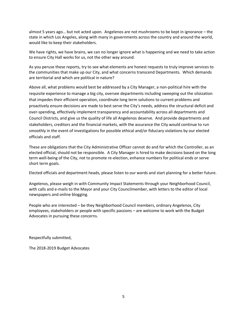almost 5 years ago… but not acted upon. Angelenos are not mushrooms to be kept in ignorance – the state in which Los Angeles, along with many in governments across the country and around the world, would like to keep their stakeholders.

We have rights, we have brains, we can no longer ignore what is happening and we need to take action to ensure City Hall works for us, not the other way around.

As you peruse these reports, try to see what elements are honest requests to truly improve services to the communities that make up our City, and what concerns transcend Departments. Which demands are territorial and which are political in nature?

Above all, what problems would best be addressed by a City Manager, a non-political hire with the requisite experience to manage a big city, oversee departments including sweeping out the siloization that impedes their efficient operation, coordinate long term solutions to current problems and proactively ensure decisions are made to best serve the City's needs, address the structural deficit and over-spending, effectively implement transparency and accountability across all departments and Council Districts, and give us the quality of life all Angelenos deserve. And provide departments and stakeholders, creditors and the financial markets, with the assurance the City would continue to run smoothly in the event of investigations for possible ethical and/or fiduciary violations by our elected officials and staff.

These are obligations that the City Administrative Officer cannot do and for which the Controller, as an elected official, should not be responsible. A City Manager is hired to make decisions based on the long term well-being of the City, not to promote re-election, enhance numbers for political ends or serve short term goals.

Elected officials and department heads, please listen to our words and start planning for a better future.

Angelenos, please weigh in with Community Impact Statements through your Neighborhood Council, with calls and e-mails to the Mayor and your City Councilmember, with letters to the editor of local newspapers and online blogging.

People who are interested – be they Neighborhood Council members, ordinary Angelenos, City employees, stakeholders or people with specific passions – are welcome to work with the Budget Advocates in pursuing these concerns.

Respectfully submitted,

The 2018-2019 Budget Advocates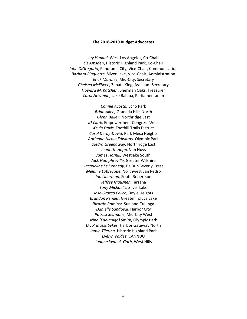#### **The 2018-2019 Budget Advocates**

*Jay Handal*, West Los Angeles, Co-Chair *Liz Amsden*, Historic Highland Park, Co-Chair *John DiGregorio*, Panorama City, Vice-Chair, Communication *Barbara Ringuette*, Silver Lake, Vice-Chair, Administration *Erick Morales*, Mid-City, Secretary *Chelsea McElwee*, Zapata King, Assistant Secretary *Howard M. Katchen*, Sherman Oaks, Treasurer *Carol Newman,* Lake Balboa, Parliamentarian

> *Connie Acosta,* Echo Park *Brian Allen,* Granada Hills North *Glenn Bailey*, Northridge East *KJ Clark,* Empowerment Congress West *Kevin Davis*, Foothill Trails District *Carol Derby-David,* Park Mesa Heights *Adrienne Nicole Edwards,* Olympic Park *Diedra Greenaway,* Northridge East *Jeanette Hopp,* Van Nuys *James Hornik,* Westlake South *Jack Humphreville,* Greater Wilshire *Jacqueline Le Kennedy,* Bel Air-Beverly Crest *Melanie Labrecque,* Northwest San Pedro *Jon Liberman,* South Robertson *Jeffrey Mausner,* Tarzana *Tony Michaelis,* Silver Lake *José Orozco Pelico,* Boyle Heights *Brandon Pender,* Greater Toluca Lake *Ricardo Ramirez,* Sunland-Tujunga *Danielle Sandoval*, Harbor City *Patrick Seamans*, Mid-City West *Nina (Faalaniga) Smith,* Olympic Park *Dr. Princess Sykes,* Harbor Gateway North *Jamie Tijerina,* Historic Highland Park *Evelyn Valdez,* CANNDU *Joanne Yvanek-Garb*, West Hills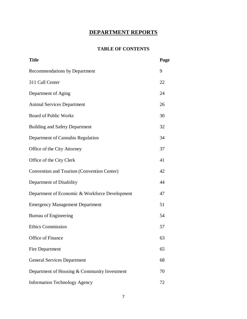# **DEPARTMENT REPORTS**

#### **TABLE OF CONTENTS**

| <b>Title</b>                                   | Page |
|------------------------------------------------|------|
| Recommendations by Department                  | 9    |
| 311 Call Center                                | 22   |
| Department of Aging                            | 24   |
| <b>Animal Services Department</b>              | 26   |
| <b>Board of Public Works</b>                   | 30   |
| <b>Building and Safety Department</b>          | 32   |
| Department of Cannabis Regulation              | 34   |
| Office of the City Attorney                    | 37   |
| Office of the City Clerk                       | 41   |
| Convention and Tourism (Convention Center)     | 42   |
| Department of Disability                       | 44   |
| Department of Economic & Workforce Development | 47   |
| <b>Emergency Management Department</b>         | 51   |
| <b>Bureau of Engineering</b>                   | 54   |
| <b>Ethics Commission</b>                       | 57   |
| Office of Finance                              | 63   |
| Fire Department                                | 65   |
| <b>General Services Department</b>             | 68   |
| Department of Housing & Community Investment   | 70   |
| <b>Information Technology Agency</b>           | 72   |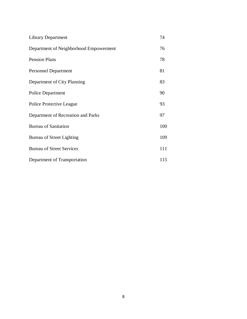| <b>Library Department</b> |  |
|---------------------------|--|
|---------------------------|--|

- Department of Neighborhood Empowerment 76
- Personnel Department 81

Pension Plans 78

- Department of City Planning 83
- Police Department 90 Police Protective League 93
- Department of Recreation and Parks 97
- Bureau of Sanitation 100
- Bureau of Street Lighting 109 Bureau of Street Services 111
- Department of Transportation 115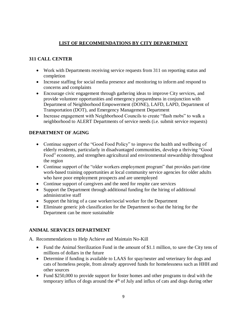# **LIST OF RECOMMENDATIONS BY CITY DEPARTMENT**

# **311 CALL CENTER**

- Work with Departments receiving service requests from 311 on reporting status and completion
- Increase staffing for social media presence and monitoring to inform and respond to concerns and complaints
- Encourage civic engagement through gathering ideas to improve City services, and provide volunteer opportunities and emergency preparedness in conjunction with Department of Neighborhood Empowerment (DONE), LAFD, LAPD, Department of Transportation (DOT), and Emergency Management Department
- Increase engagement with Neighborhood Councils to create "flash mobs" to walk a neighborhood to ALERT Departments of service needs (i.e. submit service requests)

# **DEPARTMENT OF AGING**

- Continue support of the "Good Food Policy" to improve the health and wellbeing of elderly residents, particularly in disadvantaged communities, develop a thriving "Good Food" economy, and strengthen agricultural and environmental stewardship throughout the region
- Continue support of the "older workers employment program" that provides part-time work-based training opportunities at local community service agencies for older adults who have poor employment prospects and are unemployed
- Continue support of caregivers and the need for respite care services
- Support the Department through additional funding for the hiring of additional administrative staff
- Support the hiring of a case worker/social worker for the Department
- Eliminate generic job classification for the Department so that the hiring for the Department can be more sustainable

#### **ANIMAL SERVICES DEPARTMENT**

- A. Recommendations to Help Achieve and Maintain No-Kill
	- Fund the Animal Sterilization Fund in the amount of \$1.1 million, to save the City tens of millions of dollars in the future
	- Determine if funding is available to LAAS for spay/neuter and veterinary for dogs and cats of homeless people, from already approved funds for homelessness such as HHH and other sources
	- Fund \$250,000 to provide support for foster homes and other programs to deal with the temporary influx of dogs around the  $4<sup>th</sup>$  of July and influx of cats and dogs during other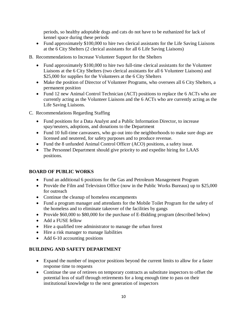periods, so healthy adoptable dogs and cats do not have to be euthanized for lack of kennel space during these periods

- Fund approximately \$100,000 to hire two clerical assistants for the Life Saving Liaisons at the 6 City Shelters (2 clerical assistants for all 6 Life Saving Liaisons)
- B. Recommendations to Increase Volunteer Support for the Shelters
	- Fund approximately \$100,000 to hire two full-time clerical assistants for the Volunteer Liaisons at the 6 City Shelters (two clerical assistants for all 6 Volunteer Liaisons) and \$25,000 for supplies for the Volunteers at the 6 City Shelters
	- Make the position of Director of Volunteer Programs, who oversees all 6 City Shelters, a permanent position
	- Fund 12 new Animal Control Technician (ACT) positions to replace the 6 ACTs who are currently acting as the Volunteer Liaisons and the 6 ACTs who are currently acting as the Life Saving Liaisons.
- C. Recommendations Regarding Staffing
	- Fund positions for a Data Analyst and a Public Information Director, to increase spay/neuters, adoptions, and donations to the Department
	- Fund 10 full-time canvassers, who go out into the neighborhoods to make sure dogs are licensed and neutered, for safety purposes and to produce revenue.
	- Fund the 8 unfunded Animal Control Officer (ACO) positions, a safety issue.
	- The Personnel Department should give priority to and expedite hiring for LAAS positions.

#### **BOARD OF PUBLIC WORKS**

- Fund an additional 6 positions for the Gas and Petroleum Management Program
- Provide the Film and Television Office (now in the Public Works Bureaus) up to \$25,000 for outreach
- Continue the cleanup of homeless encampments
- Fund a program manager and attendants for the Mobile Toilet Program for the safety of the homeless and to eliminate takeover of the facilities by gangs
- Provide \$60,000 to \$80,000 for the purchase of E-Bidding program (described below)
- Add a FUSE fellow
- Hire a qualified tree administrator to manage the urban forest
- Hire a risk manager to manage liabilities
- Add 6-10 accounting positions

#### **BUILDING AND SAFETY DEPARTMENT**

- Expand the number of inspector positions beyond the current limits to allow for a faster response time to requests
- Continue the use of retirees on temporary contracts as substitute inspectors to offset the potential loss of staff through retirements for a long enough time to pass on their institutional knowledge to the next generation of inspectors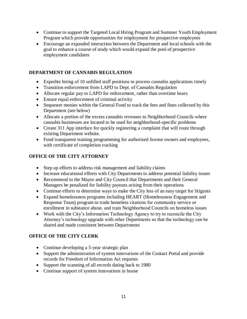- Continue to support the Targeted Local Hiring Program and Summer Youth Employment Program which provide opportunities for employment for prospective employees
- Encourage an expanded interaction between the Department and local schools with the goal to enhance a course of study which would expand the pool of prospective employment candidates

#### **DEPARTMENT OF CANNABIS REGULATION**

- Expedite hiring of 10 unfilled staff positions to process cannabis applications timely
- Transition enforcement from LAPD to Dept. of Cannabis Regulation
- Allocate regular pay to LAPD for enforcement, rather than overtime hours
- Ensure equal enforcement of criminal activity
- Sequester monies within the General Fund to track the fees and fines collected by this Department (see below)
- Allocate a portion of the excess cannabis revenues to Neighborhood Councils where cannabis businesses are located to be used for neighborhood-specific problems
- Create 311 App interface for quickly registering a complaint that will route through existing Department website.
- Fund transparent training programming for authorized license owners and employees, with certificate of completion tracking

# **OFFICE OF THE CITY ATTORNEY**

- Step up efforts to address risk management and liability claims
- Increase educational efforts with City Departments to address potential liability issues
- Recommend to the Mayor and City Council that Departments and their General Managers be penalized for liability payouts arising from their operations
- Continue efforts to determine ways to make the City less of an easy target for litigants
- Expand homelessness programs including HEART (Homelessness Engagement and Response Team) program to trade homeless citations for community service or enrollment in substance abuse, and train Neighborhood Councils on homeless issues
- Work with the City's Information Technology Agency to try to reconcile the City Attorney's technology upgrade with other Departments so that the technology can be shared and made consistent between Departments

# **OFFICE OF THE CITY CLERK**

- Continue developing a 5-year strategic plan
- Support the administration of system innovations of the Contact Portal and provide records for Freedom of Information Act requests
- Support the scanning of all records dating back to 1980
- Continue support of system innovations in house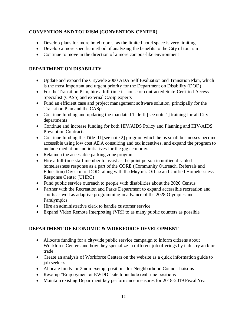#### **CONVENTION AND TOURISM (CONVENTION CENTER)**

- Develop plans for more hotel rooms, as the limited hotel space is very limiting
- Develop a more specific method of analyzing the benefits to the City of tourism
- Continue to move in the direction of a more campus-like environment

#### **DEPARTMENT ON DISABILITY**

- Update and expand the Citywide 2000 ADA Self Evaluation and Transition Plan, which is the most important and urgent priority for the Department on Disability (DOD)
- For the Transition Plan, hire a full-time in-house or contracted State-Certified Access Specialist (CASp) and external CASp experts
- Fund an efficient case and project management software solution, principally for the Transition Plan and the CASps
- Continue funding and updating the mandated Title II [see note 1] training for all City departments
- Continue and increase funding for both HIV/AIDS Policy and Planning and HIV/AIDS Prevention Contracts
- Continue funding the Title III [see note 2] program which helps small businesses become accessible using low cost ADA consulting and tax incentives, and expand the program to include mediation and initiatives for the gig economy.
- Relaunch the accessible parking zone program
- Hire a full-time staff member to assist as the point person in unified disabled homelessness response as a part of the CORE (Community Outreach, Referrals and Education) Division of DOD, along with the Mayor's Office and Unified Homelessness Response Center (UHRC)
- Fund public service outreach to people with disabilities about the 2020 Census
- Partner with the Recreation and Parks Department to expand accessible recreation and sports as well as adaptive programming in advance of the 2028 Olympics and Paralympics
- Hire an administrative clerk to handle customer service
- Expand Video Remote Interpreting (VRI) to as many public counters as possible

#### **DEPARTMENT OF ECONOMIC & WORKFORCE DEVELOPMENT**

- Allocate funding for a citywide public service campaign to inform citizens about Workforce Centers and how they specialize in different job offerings by industry and/ or trade
- Create an analysis of Workforce Centers on the website as a quick information guide to job seekers
- Allocate funds for 2 non-exempt positions for Neighborhood Council liaisons
- Revamp "Employment at EWDD" site to include real time positions
- Maintain existing Department key performance measures for 2018-2019 Fiscal Year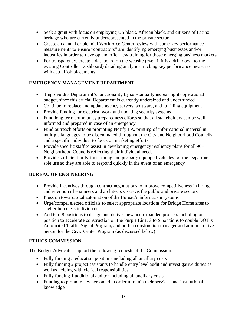- Seek a grant with focus on employing US black, African black, and citizens of Latinx heritage who are currently underrepresented in the private sector
- Create an annual or biennial Workforce Center review with some key performance measurements to ensure "contractors" are identifying emerging businesses and/or industries in order to develop and offer new training for those emerging business markets
- For transparency, create a dashboard on the website (even if it is a drill down to the existing Controller Dashboard) detailing analytics tracking key performance measures with actual job placements

# **EMERGENCY MANAGEMENT DEPARTMENT**

- Improve this Department's functionality by substantially increasing its operational budget, since this crucial Department is currently undersized and underfunded
- Continue to replace and update agency servers, software, and fulfilling equipment
- Provide funding for electrical work and updating security systems
- Fund long term community preparedness efforts so that all stakeholders can be well informed and prepared in case of an emergency
- Fund outreach efforts on promoting Notify LA, printing of informational material in multiple languages to be disseminated throughout the City and Neighborhood Councils, and a specific individual to focus on marketing efforts
- Provide specific staff to assist in developing emergency resiliency plans for all 90+ Neighborhood Councils reflecting their individual needs
- Provide sufficient fully-functioning and properly equipped vehicles for the Department's sole use so they are able to respond quickly in the event of an emergency

#### **BUREAU OF ENGINEERING**

- Provide incentives through contract negotiations to improve competitiveness in hiring and retention of engineers and architects vis-à-vis the public and private sectors
- Press on toward total automation of the Bureau's information systems
- Urge/compel elected officials to select appropriate locations for Bridge Home sites to shelter homeless individuals
- Add 6 to 8 positions to design and deliver new and expanded projects including one position to accelerate construction on the Purple Line, 3 to 5 positions to double DOT's Automated Traffic Signal Program, and both a construction manager and administrative person for the Civic Center Program (as discussed below)

# **ETHICS COMMISSION**

The Budget Advocates support the following requests of the Commission:

- Fully funding 3 education positions including all ancillary costs
- Fully funding 2 project assistants to handle entry level audit and investigative duties as well as helping with clerical responsibilities
- Fully funding 1 additional auditor including all ancillary costs
- Funding to promote key personnel in order to retain their services and institutional knowledge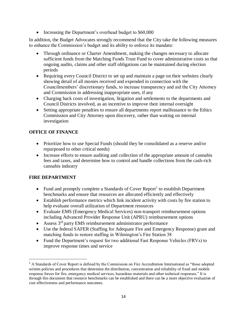• Increasing the Department's overhead budget to \$60,000

In addition, the Budget Advocates strongly recommend that the City take the following measures to enhance the Commission's budget and its ability to enforce its mandate:

- Through ordinance or Charter Amendment, making the changes necessary to allocate sufficient funds from the Matching Funds Trust Fund to cover administrative costs so that ongoing audits, claims and other staff obligations can be maintained during election periods
- Requiring every Council District to set up and maintain a page on their websites clearly showing detail of all monies received and expended in connection with the Councilmembers' discretionary funds, to increase transparency and aid the City Attorney and Commission in addressing inappropriate uses, if any
- Charging back costs of investigation, litigation and settlements to the departments and Council Districts involved, as an incentive to improve their internal oversight
- Setting appropriate penalties to ensure all departments report malfeasance to the Ethics Commission and City Attorney upon discovery, rather than waiting on internal investigation

# **OFFICE OF FINANCE**

- Prioritize how to use Special Funds (should they be consolidated as a reserve and/or repurposed to other critical needs)
- Increase efforts to ensure auditing and collection of the appropriate amount of cannabis fees and taxes, and determine how to control and handle collections from the cash-rich cannabis industry

#### **FIRE DEPARTMENT**

 $\overline{a}$ 

- Fund and promptly complete a Standards of Cover Report<sup>1</sup> to establish Department benchmarks and ensure that resources are allocated efficiently and effectively
- Establish performance metrics which link incident activity with costs by fire station to help evaluate overall utilization of Department resources
- Evaluate EMS (Emergency Medical Services) non-transport reimbursement options including Advanced Provider Response Unit (APRU) reimbursement options
- Assess  $3<sup>rd</sup>$  party EMS reimbursement administrator performance
- Use the federal SAFER (Staffing for Adequate Fire and Emergency Response) grant and matching funds to restore staffing in Wilmington's Fire Station 38
- Fund the Department's request for two additional Fast Response Vehicles (FRVs) to improve response times and service

<sup>&</sup>lt;sup>1</sup> A Standards of Cover Report is defined by the Commission on Fire Accreditation International as "those adopted written policies and procedures that determine the distribution, concentration and reliability of fixed and mobile response forces for fire, emergency medical services, hazardous materials and other technical responses." It is through this document that resource benchmarks can be established and there can be a more objective evaluation of cost effectiveness and performance outcomes.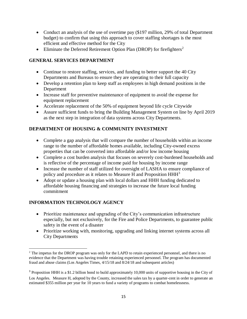- Conduct an analysis of the use of overtime pay (\$197 million, 29% of total Department budget) to confirm that using this approach to cover staffing shortages is the most efficient and effective method for the City
- Eliminate the Deferred Retirement Option Plan (DROP) for firefighters<sup>2</sup>

#### **GENERAL SERVICES DEPARTMENT**

- Continue to restore staffing, services, and funding to better support the 40 City Departments and Bureaus to ensure they are operating to their full capacity
- Develop a retention plan to keep staff as employees in high demand positions in the Department
- Increase staff for preventive maintenance of equipment to avoid the expense for equipment replacement
- Accelerate replacement of the 50% of equipment beyond life cycle Citywide
- Assure sufficient funds to bring the Building Management System on line by April 2019 as the next step in integration of data systems across City Departments.

#### **DEPARTMENT OF HOUSING & COMMUNITY INVESTMENT**

- Complete a gap analysis that will compare the number of households within an income range to the number of affordable homes available, including City-owned excess properties that can be converted into affordable and/or low income housing
- Complete a cost burden analysis that focuses on severely cost-burdened households and is reflective of the percentage of income paid for housing by income range
- Increase the number of staff utilized for oversight of LASHA to ensure compliance of policy and procedure as it relates to Measure H and Proposition  $HHH<sup>3</sup>$
- Adopt or update a housing plan with local dollars and HHH funding dedicated to affordable housing financing and strategies to increase the future local funding commitment

#### **INFORMATION TECHNOLOGY AGENCY**

 $\overline{\phantom{a}}$ 

- Prioritize maintenance and upgrading of the City's communication infrastructure especially, but not exclusively, for the Fire and Police Departments, to guarantee public safety in the event of a disaster
- Prioritize working with, monitoring, upgrading and linking internet systems across all City Departments

<sup>&</sup>lt;sup>2</sup> The impetus for the DROP program was only for the LAPD to retain experienced personnel, and there is no evidence that the Department was having trouble retaining experienced personnel. The program has documented fraud and abuse claims (Los Angeles Times, 4/15/18 and 8/24/18 and subsequent articles)

<sup>&</sup>lt;sup>3</sup> Proposition HHH is a \$1.2 billion bond to build approximately 10,000 units of supportive housing in the City of Los Angeles. Measure H, adopted by the County, increased the sales tax by a quarter-cent in order to generate an estimated \$355 million per year for 10 years to fund a variety of programs to combat homelessness.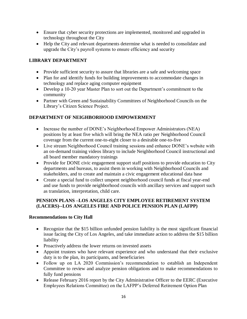- Ensure that cyber security protections are implemented, monitored and upgraded in technology throughout the City
- Help the City and relevant departments determine what is needed to consolidate and upgrade the City's payroll systems to ensure efficiency and security

#### **LIBRARY DEPARTMENT**

- Provide sufficient security to assure that libraries are a safe and welcoming space
- Plan for and identify funds for building improvements to accommodate changes in technology and replace aging computer equipment
- Develop a 10-20 year Master Plan to sort out the Department's commitment to the community
- Partner with Green and Sustainability Committees of Neighborhood Councils on the Library's Citizen Science Project.

# **DEPARTMENT OF NEIGHBORHOOD EMPOWERMENT**

- Increase the number of DONE's Neighborhood Empower Administrators (NEA) positions by at least five which will bring the NEA ratio per Neighborhood Council coverage from the current one-to-eight closer to a desirable one-to-five
- Live stream Neighborhood Council training sessions and enhance DONE's website with an on-demand training videos library to include Neighborhood Council instructional and all board member mandatory trainings
- Provide for DONE civic engagement support staff positions to provide education to City departments and bureaus, to assist them in working with Neighborhood Councils and stakeholders, and to create and maintain a civic engagement educational data base
- Create a special fund to collect unspent neighborhood council funds at fiscal year-end and use funds to provide neighborhood councils with ancillary services and support such as translation, interpretation, child care.

#### **PENSION PLANS –LOS ANGELES CITY EMPLOYEE RETIREMENT SYSTEM (LACERS)--LOS ANGELES FIRE AND POLICE PENSION PLAN (LAFPP)**

#### **Recommendations to City Hall**

- Recognize that the \$15 billion unfunded pension liability is the most significant financial issue facing the City of Los Angeles, and take immediate action to address the \$15 billion liability
- Proactively address the lower returns on invested assets
- Appoint trustees who have relevant experience and who understand that their exclusive duty is to the plan, its participants, and beneficiaries
- Follow up on LA 2020 Commission's recommendation to establish an Independent Committee to review and analyze pension obligations and to make recommendations to fully fund pensions
- Release February 2016 report by the City Administrative Officer to the EERC (Executive Employees Relations Committee) on the LAFPP's Deferred Retirement Option Plan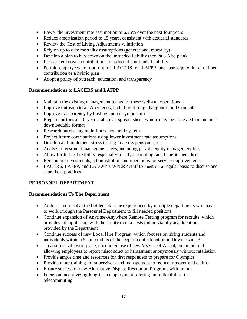- Lower the investment rate assumption to 6.25% over the next four years
- Reduce amortization period to 15 years, consistent with actuarial standards
- Review the Cost of Living Adjustments v. inflation
- Rely on up to date mortality assumptions (generational mortality)
- Develop a plan to buy down on the unfunded liability (see Palo Alto plan)
- Increase employee contributions to reduce the unfunded liability
- Permit employees to opt out of LACERS or LAFPP and participate in a defined contribution or a hybrid plan
- Adopt a policy of outreach, education, and transparency

#### **Recommendations to LACERS and LAFPP**

- Maintain the existing management teams for these well-run operations
- Improve outreach to all Angelenos, including through Neighborhood Councils
- Improve transparency by hosting annual symposiums
- Prepare historical 10-year statistical spread sheet which may be accessed online in a downloadable format
- Research purchasing an in-house actuarial system
- Project future contributions using lower investment rate assumptions
- Develop and implement stress testing to assess pension risks
- Analyze investment management fees, including private equity management fees
- Allow for hiring flexibility, especially for IT, accounting, and benefit specialists
- Benchmark investments, administration and operations for service improvements
- LACERS, LAFPP, and LADWP's WPERP staff to meet on a regular basis to discuss and share best practices

#### **PERSONNEL DEPARTMENT**

#### **Recommendations To The Department**

- Address and resolve the bottleneck issue experienced by multiple departments who have to work through the Personnel Department to fill needed positions
- Continue expansion of Anytime-Anywhere Remote Testing program for recruits, which provides job applicants with the ability to take tests online via physical locations provided by the Department
- Continue success of new Local Hire Program, which focuses on hiring students and individuals within a 5-mile radius of the Department's location in Downtown LA
- To assure a safe workplace, encourage use of new MyVoiceLA tool, an online tool allowing employees to report misconduct or harassment anonymously without retaliation
- Provide ample time and resources for first responders to prepare for Olympics
- Provide more training for supervisors and management to reduce turnover and claims
- Ensure success of new Alternative Dispute Resolution Programs with unions
- Focus on incentivizing long-term employment offering more flexibility, i.e. telecommuting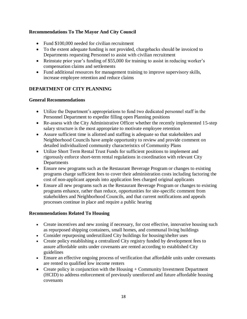#### **Recommendations To The Mayor And City Council**

- Fund \$100,000 needed for civilian recruitment
- To the extent adequate funding is not provided, chargebacks should be invoiced to Departments requesting Personnel to assist with civilian recruitment
- Reinstate prior year's funding of \$55,000 for training to assist in reducing worker's compensation claims and settlements
- Fund additional resources for management training to improve supervisory skills, increase employee retention and reduce claims

#### **DEPARTMENT OF CITY PLANNING**

#### **General Recommendations**

- Utilize the Department's appropriations to fund two dedicated personnel staff in the Personnel Department to expedite filling open Planning positions
- Re-assess with the City Administrative Officer whether the recently implemented 15-step salary structure is the most appropriate to motivate employee retention
- Assure sufficient time is allotted and staffing is adequate so that stakeholders and Neighborhood Councils have ample opportunity to review and provide comment on detailed individualized community characteristics of Community Plans
- Utilize Short Term Rental Trust Funds for sufficient positions to implement and rigorously enforce short-term rental regulations in coordination with relevant City **Departments**
- Ensure new programs such as the Restaurant Beverage Program or changes to existing programs charge sufficient fees to cover their administration costs including factoring the cost of non-applicant appeals into application fees charged original applicants
- Ensure all new programs such as the Restaurant Beverage Program or changes to existing programs enhance, rather than reduce, opportunities for site-specific comment from stakeholders and Neighborhood Councils, and that current notifications and appeals processes continue in place and require a public hearing

#### **Recommendations Related To Housing**

- Create incentives and new zoning if necessary, for cost effective, innovative housing such as repurposed shipping containers, small homes, and communal living buildings
- Consider repurposing underutilized City buildings for housing/shelter uses
- Create policy establishing a centralized City registry funded by development fees to assure affordable units under covenants are rented according to established City guidelines
- Ensure an effective ongoing process of verification that affordable units under covenants are rented to qualified low income renters
- Create policy in conjunction with the Housing + Community Investment Department (HCID) to address enforcement of previously unenforced and future affordable housing covenants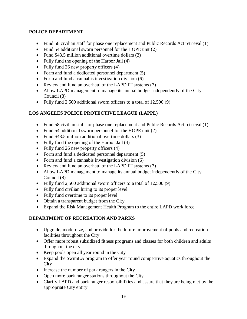#### **POLICE DEPARTMENT**

- Fund 58 civilian staff for phase one replacement and Public Records Act retrieval (1)
- Fund 54 additional sworn personnel for the HOPE unit (2)
- Fund \$43.5 million additional overtime dollars (3)
- Fully fund the opening of the Harbor Jail (4)
- Fully fund 26 new property officers (4)
- Form and fund a dedicated personnel department (5)
- Form and fund a cannabis investigation division (6)
- Review and fund an overhaul of the LAPD IT systems (7)
- Allow LAPD management to manage its annual budget independently of the City Council (8)
- Fully fund 2,500 additional sworn officers to a total of 12,500 (9)

#### **LOS ANGELES POLICE PROTECTIVE LEAGUE (LAPPL)**

- Fund 58 civilian staff for phase one replacement and Public Records Act retrieval (1)
- Fund 54 additional sworn personnel for the HOPE unit (2)
- Fund \$43.5 million additional overtime dollars (3)
- Fully fund the opening of the Harbor Jail (4)
- Fully fund 26 new property officers (4)
- Form and fund a dedicated personnel department (5)
- Form and fund a cannabis investigation division (6)
- Review and fund an overhaul of the LAPD IT systems (7)
- Allow LAPD management to manage its annual budget independently of the City Council (8)
- Fully fund 2,500 additional sworn officers to a total of 12,500 (9)
- Fully fund civilian hiring to its proper level
- Fully fund overtime to its proper level
- Obtain a transparent budget from the City
- Expand the Risk Management Health Program to the entire LAPD work force

#### **DEPARTMENT OF RECREATION AND PARKS**

- Upgrade, modernize, and provide for the future improvement of pools and recreation facilities throughout the City
- Offer more robust subsidized fitness programs and classes for both children and adults throughout the city
- Keep pools open all year round in the City
- Expand the SwimLA program to offer year round competitive aquatics throughout the **City**
- Increase the number of park rangers in the City
- Open more park ranger stations throughout the City
- Clarify LAPD and park ranger responsibilities and assure that they are being met by the appropriate City entity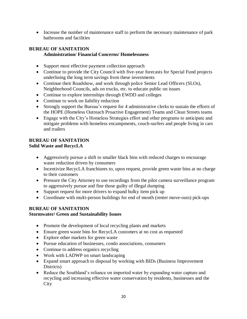• Increase the number of maintenance staff to perform the necessary maintenance of park bathrooms and facilities

#### **BUREAU OF SANITATION Administration/ Financial Concerns/ Homelessness**

- Support most effective payment collection approach
- Continue to provide the City Council with five-year forecasts for Special Fund projects underlining the long term savings from these investments
- Continue their Roadshow, and work through police Senior Lead Officers (SLOs), Neighborhood Councils, ads on trucks, etc. to educate public on issues
- Continue to explore internships through EWDD and colleges
- Continue to work on liability reduction
- Strongly support the Bureau's request for 4 administrative clerks to sustain the efforts of the HOPE (Homeless Outreach Proactive Engagement) Teams and Clean Streets teams
- Engage with the City's Homeless Strategies effort and other programs to anticipate and mitigate problems with homeless encampments, couch-surfers and people living in cars and trailers

#### **BUREAU OF SANITATION Solid Waste and RecycLA**

- Aggressively pursue a shift to smaller black bins with reduced charges to encourage waste reduction driven by consumers
- Incentivize RecycLA franchisees to, upon request, provide green waste bins at no charge to their customers
- Pressure the City Attorney to use recordings from the pilot camera surveillance program to aggressively pursue and fine those guilty of illegal dumping
- Support request for more drivers to expand bulky item pick up
- Coordinate with multi-person buildings for end of month (renter move-outs) pick-ups

#### **BUREAU OF SANITATION**

#### **Stormwater/ Green and Sustainability Issues**

- Promote the development of local recycling plants and markets
- Ensure green waste bins for RecycLA customers at no cost as requested
- Explore other markets for green waste
- Pursue education of businesses, condo associations, consumers
- Continue to address organics recycling
- Work with LADWP on smart landscaping
- Expand smart approach to disposal by working with BIDs (Business Improvement Districts)
- Reduce the Southland's reliance on imported water by expanding water capture and recycling and increasing effective water conservation by residents, businesses and the **City**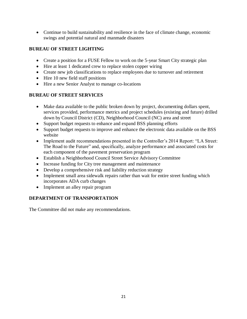• Continue to build sustainability and resilience in the face of climate change, economic swings and potential natural and manmade disasters

# **BUREAU OF STREET LIGHTING**

- Create a position for a FUSE Fellow to work on the 5-year Smart City strategic plan
- Hire at least 1 dedicated crew to replace stolen copper wiring
- Create new job classifications to replace employees due to turnover and retirement
- Hire 10 new field staff positions
- Hire a new Senior Analyst to manage co-locations

# **BUREAU OF STREET SERVICES**

- Make data available to the public broken down by project, documenting dollars spent, services provided, performance metrics and project schedules (existing and future) drilled down by Council District (CD), Neighborhood Council (NC) area and street
- Support budget requests to enhance and expand BSS planning efforts
- Support budget requests to improve and enhance the electronic data available on the BSS website
- Implement audit recommendations presented in the Controller's 2014 Report: "LA Street: The Road to the Future" and, specifically, analyze performance and associated costs for each component of the pavement preservation program
- Establish a Neighborhood Council Street Service Advisory Committee
- Increase funding for City tree management and maintenance
- Develop a comprehensive risk and liability reduction strategy
- Implement small area sidewalk repairs rather than wait for entire street funding which incorporates ADA curb changes
- Implement an alley repair program

# **DEPARTMENT OF TRANSPORTATION**

The Committee did not make any recommendations.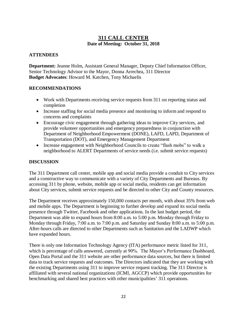#### **311 CALL CENTER Date of Meeting: October 31, 2018**

#### **ATTENDEES**

**Department:** Jeanne Holm, Assistant General Manager, Deputy Chief Information Officer, Senior Technology Advisor to the Mayor, Donna Arrechea, 311 Director **Budget Advocates**: Howard M. Katchen, Tony Michaelis

#### **RECOMMENDATIONS**

- Work with Departments receiving service requests from 311 on reporting status and completion
- Increase staffing for social media presence and monitoring to inform and respond to concerns and complaints
- Encourage civic engagement through gathering ideas to improve City services, and provide volunteer opportunities and emergency preparedness in conjunction with Department of Neighborhood Empowerment (DONE), LAFD, LAPD, Department of Transportation (DOT), and Emergency Management Department
- Increase engagement with Neighborhood Councils to create "flash mobs" to walk a neighborhood to ALERT Departments of service needs (i.e. submit service requests)

#### **DISCUSSION**

The 311 Department call center, mobile app and social media provide a conduit to City services and a constructive way to communicate with a variety of City Departments and Bureaus. By accessing 311 by phone, website, mobile app or social media, residents can get information about City services, submit service requests and be directed to other City and County resources.

The Department receives approximately 150,000 contacts per month, with about 35% from web and mobile apps. The Department is beginning to further develop and expand its social media presence through Twitter, Facebook and other applications. In the last budget period, the Department was able to expand hours from 8:00 a.m. to 5:00 p.m. Monday through Friday to Monday through Friday, 7:00 a.m. to 7:00 p.m. and Saturday and Sunday 8:00 a.m. to 5:00 p.m. After-hours calls are directed to other Departments such as Sanitation and the LADWP which have expanded hours.

There is only one Information Technology Agency (ITA) performance metric listed for 311, which is percentage of calls answered, currently at 90%. The Mayor's Performance Dashboard, Open Data Portal and the 311 website are other performance data sources, but there is limited data to track service requests and outcomes. The Directors indicated that they are working with the existing Departments using 311 to improve service request tracking. The 311 Director is affiliated with several national organizations (ICMI, AGCCP) which provide opportunities for benchmarking and shared best practices with other municipalities' 311 operations.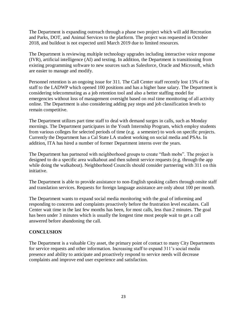The Department is expanding outreach through a phase two project which will add Recreation and Parks, DOT, and Animal Services to the platform. The project was requested in October 2018, and buildout is not expected until March 2019 due to limited resources.

The Department is reviewing multiple technology upgrades including interactive voice response (IVR), artificial intelligence (AI) and texting. In addition, the Department is transitioning from existing programming software to new sources such as Salesforce, Oracle and Microsoft, which are easier to manage and modify.

Personnel retention is an ongoing issue for 311. The Call Center staff recently lost 15% of its staff to the LADWP which opened 100 positions and has a higher base salary. The Department is considering telecommuting as a job retention tool and also a better staffing model for emergencies without loss of management oversight based on real time monitoring of all activity online. The Department is also considering adding pay steps and job classification levels to remain competitive.

The Department utilizes part time staff to deal with demand surges in calls, such as Monday mornings. The Department participates in the Youth Internship Program, which employ students from various colleges for selected periods of time (e.g. a semester) to work on specific projects. Currently the Department has a Cal State LA student working on social media and PSAs. In addition, ITA has hired a number of former Department interns over the years.

The Department has partnered with neighborhood groups to create "flash mobs". The project is designed to do a specific area walkabout and then submit service requests (e.g. through the app while doing the walkabout). Neighborhood Councils should consider partnering with 311 on this initiative.

The Department is able to provide assistance to non-English speaking callers through onsite staff and translation services. Requests for foreign language assistance are only about 100 per month.

The Department wants to expand social media monitoring with the goal of informing and responding to concerns and complaints proactively before the frustration level escalates. Call Center wait time in the last few months has been, for most calls, less than 2 minutes. The goal has been under 3 minutes which is usually the longest time most people wait to get a call answered before abandoning the call.

#### **CONCLUSION**

The Department is a valuable City asset, the primary point of contact to many City Departments for service requests and other information. Increasing staff to expand 311's social media presence and ability to anticipate and proactively respond to service needs will decrease complaints and improve end user experience and satisfaction.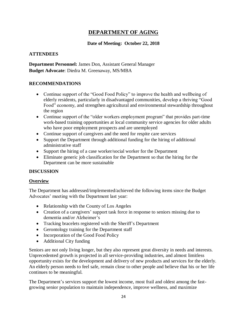# **DEPARTMENT OF AGING**

#### **Date of Meeting: October 22, 2018**

#### **ATTENDEES**

**Department Personnel:** James Don, Assistant General Manager **Budget Advocate**: Diedra M. Greenaway, MS/MBA

#### **RECOMMENDATIONS**

- Continue support of the "Good Food Policy" to improve the health and wellbeing of elderly residents, particularly in disadvantaged communities, develop a thriving "Good Food" economy, and strengthen agricultural and environmental stewardship throughout the region
- Continue support of the "older workers employment program" that provides part-time work-based training opportunities at local community service agencies for older adults who have poor employment prospects and are unemployed
- Continue support of caregivers and the need for respite care services
- Support the Department through additional funding for the hiring of additional administrative staff
- Support the hiring of a case worker/social worker for the Department
- Eliminate generic job classification for the Department so that the hiring for the Department can be more sustainable

#### **DISCUSSION**

#### **Overview**

The Department has addressed/implemented/achieved the following items since the Budget Advocates' meeting with the Department last year:

- Relationship with the County of Los Angeles
- Creation of a caregivers' support task force in response to seniors missing due to dementia and/or Alzheimer's
- Tracking bracelets registered with the Sheriff's Department
- Gerontology training for the Department staff
- Incorporation of the Good Food Policy
- Additional City funding

Seniors are not only living longer, but they also represent great diversity in needs and interests. Unprecedented growth is projected in all service-providing industries, and almost limitless opportunity exists for the development and delivery of new products and services for the elderly. An elderly person needs to feel safe, remain close to other people and believe that his or her life continues to be meaningful.

The Department's services support the lowest income, most frail and oldest among the fastgrowing senior population to maintain independence, improve wellness, and maximize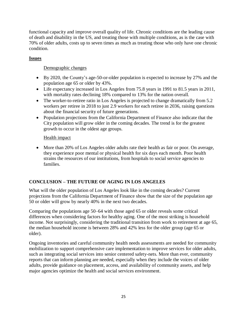functional capacity and improve overall quality of life. Chronic conditions are the leading cause of death and disability in the US, and treating those with multiple conditions, as is the case with 70% of older adults, costs up to seven times as much as treating those who only have one chronic condition.

#### **Issues**

#### Demographic changes

- By 2020, the County's age-50-or-older population is expected to increase by 27% and the population age 65 or older by 43%.
- Life expectancy increased in Los Angeles from 75.8 years in 1991 to 81.5 years in 2011, with mortality rates declining 18% compared to 13% for the nation overall.
- The worker-to-retiree ratio in Los Angeles is projected to change dramatically from 5.2 workers per retiree in 2018 to just 2.9 workers for each retiree in 2036, raising questions about the financial security of future generations.
- Population projections from the California Department of Finance also indicate that the City population will grow older in the coming decades. The trend is for the greatest growth to occur in the oldest age groups.

#### Health impact

• More than 20% of Los Angeles older adults rate their health as fair or poor. On average, they experience poor mental or physical health for six days each month. Poor health strains the resources of our institutions, from hospitals to social service agencies to families.

# **CONCLUSION – THE FUTURE OF AGING IN LOS ANGELES**

What will the older population of Los Angeles look like in the coming decades? Current projections from the California Department of Finance show that the size of the population age 50 or older will grow by nearly 40% in the next two decades.

Comparing the populations age 50–64 with those aged 65 or older reveals some critical differences when considering factors for healthy aging. One of the most striking is household income. Not surprisingly, considering the traditional transition from work to retirement at age 65, the median household income is between 28% and 42% less for the older group (age 65 or older).

Ongoing inventories and careful community health needs assessments are needed for community mobilization to support comprehensive care implementation to improve services for older adults, such as integrating social services into senior centered safety-nets. More than ever, community reports that can inform planning are needed, especially when they include the voices of older adults, provide guidance on placement, access, and availability of community assets, and help major agencies optimize the health and social services environment.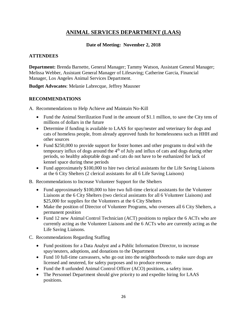# **ANIMAL SERVICES DEPARTMENT (LAAS)**

#### **Date of Meeting: November 2, 2018**

#### **ATTENDEES**

**Department:** Brenda Barnette, General Manager; Tammy Watson, Assistant General Manager; Melissa Webber, Assistant General Manager of Lifesaving; Catherine Garcia, Financial Manager, Los Angeles Animal Services Department.

**Budget Advocates**: Melanie Labrecque, Jeffrey Mausner

#### **RECOMMENDATIONS**

A. Recommendations to Help Achieve and Maintain No-Kill

- Fund the Animal Sterilization Fund in the amount of \$1.1 million, to save the City tens of millions of dollars in the future
- Determine if funding is available to LAAS for spay/neuter and veterinary for dogs and cats of homeless people, from already approved funds for homelessness such as HHH and other sources
- Fund \$250,000 to provide support for foster homes and other programs to deal with the temporary influx of dogs around the  $4<sup>th</sup>$  of July and influx of cats and dogs during other periods, so healthy adoptable dogs and cats do not have to be euthanized for lack of kennel space during these periods
- Fund approximately \$100,000 to hire two clerical assistants for the Life Saving Liaisons at the 6 City Shelters (2 clerical assistants for all 6 Life Saving Liaisons)
- B. Recommendations to Increase Volunteer Support for the Shelters
	- Fund approximately \$100,000 to hire two full-time clerical assistants for the Volunteer Liaisons at the 6 City Shelters (two clerical assistants for all 6 Volunteer Liaisons) and \$25,000 for supplies for the Volunteers at the 6 City Shelters
	- Make the position of Director of Volunteer Programs, who oversees all 6 City Shelters, a permanent position
	- Fund 12 new Animal Control Technician (ACT) positions to replace the 6 ACTs who are currently acting as the Volunteer Liaisons and the 6 ACTs who are currently acting as the Life Saving Liaisons.
- C. Recommendations Regarding Staffing
	- Fund positions for a Data Analyst and a Public Information Director, to increase spay/neuters, adoptions, and donations to the Department
	- Fund 10 full-time canvassers, who go out into the neighborhoods to make sure dogs are licensed and neutered, for safety purposes and to produce revenue.
	- Fund the 8 unfunded Animal Control Officer (ACO) positions, a safety issue.
	- The Personnel Department should give priority to and expedite hiring for LAAS positions.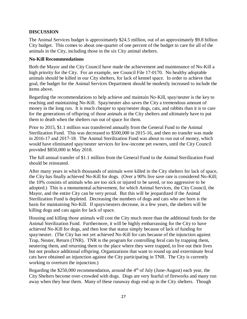#### **DISCUSSION**

The Animal Services budget is approximately \$24.5 million, out of an approximately \$9.8 billion City budget. This comes to about one-quarter of one percent of the budget to care for all of the animals in the City, including those in the six City animal shelters.

#### **No-Kill Recommendations**

Both the Mayor and the City Council have made the achievement and maintenance of No-Kill a high priority for the City. For an example, see Council File 17-0170. No healthy adoptable animals should be killed in our City shelters, for lack of kennel space. In order to achieve that goal, the budget for the Animal Services Department should be modestly increased to include the items above.

Regarding the recommendations to help achieve and maintain No-Kill, spay/neuter is the key to reaching and maintaining No-Kill. Spay/neuter also saves the City a tremendous amount of money in the long run. It is much cheaper to spay/neuter dogs, cats, and rabbits than it is to care for the generations of offspring of those animals at the City shelters and ultimately have to put them to death when the shelters run out of space for them.

Prior to 2015, \$1.1 million was transferred annually from the General Fund to the Animal Sterilization Fund. This was decreased to \$500,000 in 2015-16, and then no transfer was made in 2016-17 and 2017-18. The Animal Sterilization Fund was about to run out of money, which would have eliminated spay/neuter services for low-income pet owners, until the City Council provided \$850,000 in May 2018.

The full annual transfer of \$1.1 million from the General Fund to the Animal Sterilization Fund should be reinstated.

After many years in which thousands of animals were killed in the City shelters for lack of space, the City has finally achieved No-Kill for dogs. (Over a 90% live save rate is considered No-Kill; the 10% consists of animals who are too sick or injured to be saved, or too aggressive to be adopted.) This is a monumental achievement, for which Animal Services, the City Council, the Mayor, and the entire City can be very proud. But this will be jeopardized if the Animal Sterilization Fund is depleted. Decreasing the numbers of dogs and cats who are born is the basis for maintaining No-Kill. If spays/neuters decrease, in a few years, the shelters will be killing dogs and cats again for lack of space.

Housing and killing those animals will cost the City much more than the additional funds for the Animal Sterilization Fund. Furthermore, it will be highly embarrassing for the City to have achieved No-Kill for dogs, and then lose that status simply because of lack of funding for spay/neuter. (The City has not yet achieved No-Kill for cats because of the injunction against Trap, Neuter, Return (TNR). TNR is the program for controlling feral cats by trapping them, neutering them, and returning them to the place where they were trapped, to live out their lives but not produce additional offspring. Organizations that want to round up and exterminate feral cats have obtained an injunction against the City participating in TNR. The City is currently working to overturn the injunction.)

Regarding the  $$250,000$  recommendation, around the  $4<sup>th</sup>$  of July (June-August) each year, the City Shelters become over-crowded with dogs. Dogs are very fearful of fireworks and many run away when they hear them. Many of these runaway dogs end up in the City shelters. Though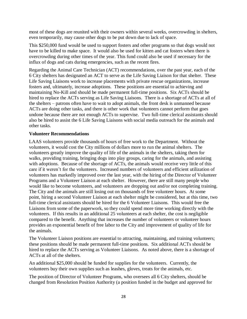most of these dogs are reunited with their owners within several weeks, overcrowding in shelters, even temporarily, may cause other dogs to be put down due to lack of space.

This \$250,000 fund would be used to support fosters and other programs so that dogs would not have to be killed to make space. It would also be used for kitten and cat fosters when there is overcrowding during other times of the year. This fund could also be used if necessary for the influx of dogs and cats during emergencies, such as the recent fires.

Regarding the Animal Care Technician (ACT) recommendations, over the past year, each of the 6 City shelters has designated an ACT to serve as the Life Saving Liaison for that shelter. These Life Saving Liaisons work to increase placements with private rescue organizations, increase fosters and, ultimately, increase adoptions. These positions are essential to achieving and maintaining No-Kill and should be made permanent full-time positions. Six ACTs should be hired to replace the ACTs serving as Life Saving Liaisons. There is a shortage of ACTs at all of the shelters – patrons often have to wait to adopt animals, the front desk is unmanned because ACTs are doing other tasks, and there is other work that volunteers cannot perform that goes undone because there are not enough ACTs to supervise. Two full-time clerical assistants should also be hired to assist the 6 Life Saving Liaisons with social media outreach for the animals and other tasks.

#### **Volunteer Recommendations**

LAAS volunteers provide thousands of hours of free work to the Department. Without the volunteers, it would cost the City millions of dollars more to run the animal shelters. The volunteers greatly improve the quality of life of the animals in the shelters, taking them for walks, providing training, bringing dogs into play groups, caring for the animals, and assisting with adoptions. Because of the shortage of ACTs, the animals would receive very little of this care if it weren't for the volunteers. Increased numbers of volunteers and efficient utilization of volunteers has markedly improved over the last year, with the hiring of the Director of Volunteer Programs and a Volunteer Liaison at each shelter. However, there are still many people who would like to become volunteers, and volunteers are dropping out and/or not completing training. The City and the animals are still losing out on thousands of free volunteer hours. At some point, hiring a second Volunteer Liaison at each shelter might be considered, but at this time, two full-time clerical assistants should be hired for the 6 Volunteer Liaisons. This would free the Liaisons from some of the paperwork, so they could spend more time working directly with the volunteers. If this results in an additional 25 volunteers at each shelter, the cost is negligible compared to the benefit. Anything that increases the number of volunteers or volunteer hours provides an exponential benefit of free labor to the City and improvement of quality of life for the animals.

The Volunteer Liaison positions are essential to attracting, maintaining, and training volunteers; these positions should be made permanent full-time positions. Six additional ACTs should be hired to replace the ACTs serving as Volunteer Liaisons. As noted above, there is a shortage of ACTs at all of the shelters.

An additional \$25,000 should be funded for supplies for the volunteers. Currently, the volunteers buy their own supplies such as leashes, gloves, treats for the animals, etc.

The position of Director of Volunteer Programs, who oversees all 6 City shelters, should be changed from Resolution Position Authority (a position funded in the budget and approved for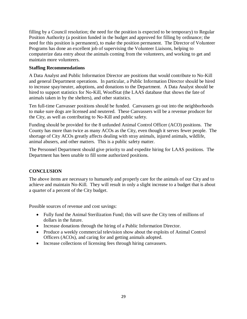filling by a Council resolution; the need for the position is expected to be temporary) to Regular Position Authority (a position funded in the budget and approved for filling by ordinance; the need for this position is permanent), to make the position permanent. The Director of Volunteer Programs has done an excellent job of supervising the Volunteer Liaisons, helping to computerize data entry about the animals coming from the volunteers, and working to get and maintain more volunteers.

#### **Staffing Recommendations**

A Data Analyst and Public Information Director are positions that would contribute to No-Kill and general Department operations. In particular, a Public Information Director should be hired to increase spay/neuter, adoptions, and donations to the Department. A Data Analyst should be hired to support statistics for No-Kill, WoofStat (the LAAS database that shows the fate of animals taken in by the shelters), and other statistics.

Ten full-time Canvasser positions should be funded. Canvassers go out into the neighborhoods to make sure dogs are licensed and neutered. These Canvassers will be a revenue producer for the City, as well as contributing to No-Kill and public safety.

Funding should be provided for the 8 unfunded Animal Control Officer (ACO) positions. The County has more than twice as many ACOs as the City, even though it serves fewer people. The shortage of City ACOs greatly affects dealing with stray animals, injured animals, wildlife, animal abusers, and other matters. This is a public safety matter.

The Personnel Department should give priority to and expedite hiring for LAAS positions. The Department has been unable to fill some authorized positions.

#### **CONCLUSION**

The above items are necessary to humanely and properly care for the animals of our City and to achieve and maintain No-Kill. They will result in only a slight increase to a budget that is about a quarter of a percent of the City budget.

Possible sources of revenue and cost savings:

- Fully fund the Animal Sterilization Fund; this will save the City tens of millions of dollars in the future.
- Increase donations through the hiring of a Public Information Director.
- Produce a weekly commercial television show about the exploits of Animal Control Officers (ACOs), and caring for and getting animals adopted.
- Increase collections of licensing fees through hiring canvassers.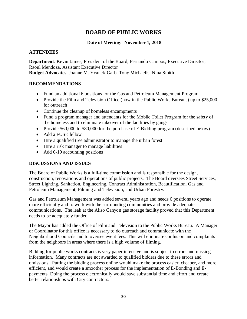# **BOARD OF PUBLIC WORKS**

#### **Date of Meeting: November 1, 2018**

#### **ATTENDEES**

**Department**: Kevin James, President of the Board; Fernando Campos, Executive Director; Raoul Mendoza, Assistant Executive Director **Budget Advocates**: Joanne M. Yvanek-Garb, Tony Michaelis, Nina Smith

#### **RECOMMENDATIONS**

- Fund an additional 6 positions for the Gas and Petroleum Management Program
- Provide the Film and Television Office (now in the Public Works Bureaus) up to \$25,000 for outreach
- Continue the cleanup of homeless encampments
- Fund a program manager and attendants for the Mobile Toilet Program for the safety of the homeless and to eliminate takeover of the facilities by gangs
- Provide \$60,000 to \$80,000 for the purchase of E-Bidding program (described below)
- Add a FUSE fellow
- Hire a qualified tree administrator to manage the urban forest
- Hire a risk manager to manage liabilities
- Add 6-10 accounting positions

#### **DISCUSSIONS AND ISSUES**

The Board of Public Works is a full-time commission and is responsible for the design, construction, renovations and operations of public projects. The Board oversees Street Services, Street Lighting, Sanitation, Engineering, Contract Administration, Beautification, Gas and Petroleum Management, Filming and Television, and Urban Forestry.

Gas and Petroleum Management was added several years ago and needs 6 positions to operate more efficiently and to work with the surrounding communities and provide adequate communications. The leak at the Aliso Canyon gas storage facility proved that this Department needs to be adequately funded.

The Mayor has added the Office of Film and Television to the Public Works Bureau. A Manager or Coordinator for this office is necessary to do outreach and communicate with the Neighborhood Councils and to oversee event fees. This will eliminate confusion and complaints from the neighbors in areas where there is a high volume of filming.

Bidding for public works contracts is very paper intensive and is subject to errors and missing information. Many contracts are not awarded to qualified bidders due to these errors and omissions. Putting the bidding process online would make the process easier, cheaper, and more efficient, and would create a smoother process for the implementation of E-Bonding and Epayments. Doing the process electronically would save substantial time and effort and create better relationships with City contractors.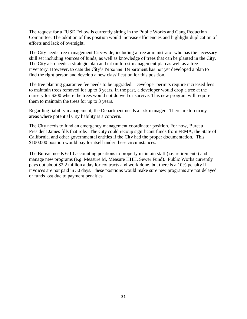The request for a FUSE Fellow is currently sitting in the Public Works and Gang Reduction Committee. The addition of this position would increase efficiencies and highlight duplication of efforts and lack of oversight.

The City needs tree management City-wide, including a tree administrator who has the necessary skill set including sources of funds, as well as knowledge of trees that can be planted in the City. The City also needs a strategic plan and urban forest management plan as well as a tree inventory. However, to date the City's Personnel Department has not yet developed a plan to find the right person and develop a new classification for this position.

The tree planting guarantee fee needs to be upgraded. Developer permits require increased fees to maintain trees removed for up to 3 years. In the past, a developer would drop a tree at the nursery for \$200 where the trees would not do well or survive. This new program will require them to maintain the trees for up to 3 years.

Regarding liability management, the Department needs a risk manager. There are too many areas where potential City liability is a concern.

The City needs to fund an emergency management coordinator position. For now, Bureau President James fills that role. The City could recoup significant funds from FEMA, the State of California, and other governmental entities if the City had the proper documentation. This \$100,000 position would pay for itself under these circumstances.

The Bureau needs 6-10 accounting positions to properly maintain staff (i.e. retirements) and manage new programs (e.g. Measure M, Measure HHH, Sewer Fund). Public Works currently pays out about \$2.2 million a day for contracts and work done, but there is a 10% penalty if invoices are not paid in 30 days. These positions would make sure new programs are not delayed or funds lost due to payment penalties.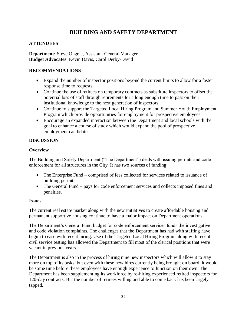# **BUILDING AND SAFETY DEPARTMENT**

#### **ATTENDEES**

**Department:** Steve Ongele, Assistant General Manager **Budget Advocates**: Kevin Davis, Carol Derby-David

#### **RECOMMENDATIONS**

- Expand the number of inspector positions beyond the current limits to allow for a faster response time to requests
- Continue the use of retirees on temporary contracts as substitute inspectors to offset the potential loss of staff through retirements for a long enough time to pass on their institutional knowledge to the next generation of inspectors
- Continue to support the Targeted Local Hiring Program and Summer Youth Employment Program which provide opportunities for employment for prospective employees
- Encourage an expanded interaction between the Department and local schools with the goal to enhance a course of study which would expand the pool of prospective employment candidates

#### **DISCUSSION**

#### **Overview**

The Building and Safety Department ("The Department") deals with issuing permits and code enforcement for all structures in the City. It has two sources of funding:

- The Enterprise Fund comprised of fees collected for services related to issuance of building permits.
- The General Fund pays for code enforcement services and collects imposed fines and penalties.

#### **Issues**

The current real estate market along with the new initiatives to create affordable housing and permanent supportive housing continue to have a major impact on Department operations.

The Department's General Fund budget for code enforcement services funds the investigative and code violation complaints. The challenges that the Department has had with staffing have begun to ease with recent hiring. Use of the Targeted Local Hiring Program along with recent civil service testing has allowed the Department to fill most of the clerical positions that were vacant in previous years.

The Department is also in the process of hiring nine new inspectors which will allow it to stay more on top of its tasks, but even with these new hires currently being brought on board, it would be some time before these employees have enough experience to function on their own. The Department has been supplementing its workforce by re-hiring experienced retired inspectors for 120-day contracts. But the number of retirees willing and able to come back has been largely tapped.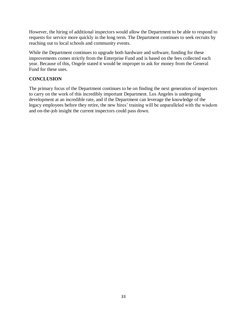However, the hiring of additional inspectors would allow the Department to be able to respond to requests for service more quickly in the long term. The Department continues to seek recruits by reaching out to local schools and community events.

While the Department continues to upgrade both hardware and software, funding for these improvements comes strictly from the Enterprise Fund and is based on the fees collected each year. Because of this, Ongele stated it would be improper to ask for money from the General Fund for these uses.

#### **CONCLUSION**

The primary focus of the Department continues to be on finding the next generation of inspectors to carry on the work of this incredibly important Department. Los Angeles is undergoing development at an incredible rate, and if the Department can leverage the knowledge of the legacy employees before they retire, the new hires' training will be unparalleled with the wisdom and on-the-job insight the current inspectors could pass down.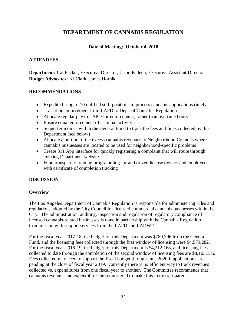# **DEPARTMENT OF CANNABIS REGULATION**

#### **Date of Meeting: October 4, 2018**

#### **ATTENDEES**

**Department:** Cat Packer, Executive Director; Jason Killeen, Executive Assistant Director **Budget Advocates:** KJ Clark, James Hornik

#### **RECOMMENDATIONS**

- Expedite hiring of 10 unfilled staff positions to process cannabis applications timely
- Transition enforcement from LAPD to Dept. of Cannabis Regulation
- Allocate regular pay to LAPD for enforcement, rather than overtime hours
- Ensure equal enforcement of criminal activity
- Sequester monies within the General Fund to track the fees and fines collected by this Department (see below)
- Allocate a portion of the excess cannabis revenues to Neighborhood Councils where cannabis businesses are located to be used for neighborhood-specific problems
- Create 311 App interface for quickly registering a complaint that will route through existing Department website.
- Fund transparent training programming for authorized license owners and employees, with certificate of completion tracking

#### **DISCUSSION**

#### **Overview**

The Los Angeles Department of Cannabis Regulation is responsible for administering rules and regulations adopted by the City Council for licensed commercial cannabis businesses within the City. The administration, auditing, inspection and regulation of regulatory compliance of licensed cannabis-related businesses is done in partnership with the Cannabis Regulation Commission with support services from the LAPD and LADWP.

For the fiscal year 2017-18, the budget for this Department was \$789,796 from the General Fund, and the licensing fees collected through the first window of licensing were \$4,579,282. For the fiscal year 2018-19, the budget for this Department is \$4,212,168, and licensing fees collected to date through the completion of the second window of licensing fees are \$8,103,135. Fees collected may need to support the fiscal budget through June 2020 if applications are pending at the close of fiscal year 2019. Currently there is no efficient way to track revenues collected vs. expenditures from one fiscal year to another. The Committee recommends that cannabis revenues and expenditures be sequestered to make this more transparent.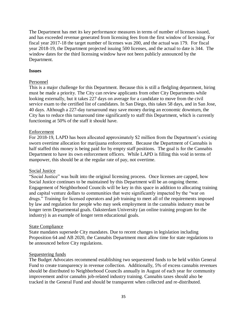The Department has met its key performance measures in terms of number of licenses issued, and has exceeded revenue generated from licensing fees from the first window of licensing. For fiscal year 2017-18 the target number of licenses was 200, and the actual was 179. For fiscal year 2018-19, the Department projected issuing 500 licenses, and the actual to date is 344. The window dates for the third licensing window have not been publicly announced by the Department.

#### **Issues**

#### Personnel

This is a major challenge for this Department. Because this is still a fledgling department, hiring must be made a priority. The City can review applicants from other City Departments while looking externally, but it takes 227 days on average for a candidate to move from the civil service exam to the certified list of candidates. In San Diego, this takes 58 days, and in San Jose, 40 days. Although a 227-day turnaround may save money during an economic downturn, the City has to reduce this turnaround time significantly to staff this Department, which is currently functioning at 50% of the staff it should have.

#### Enforcement

For 2018-19, LAPD has been allocated approximately \$2 million from the Department's existing sworn overtime allocation for marijuana enforcement. Because the Department of Cannabis is half staffed this money is being paid for by empty staff positions. The goal is for the Cannabis Department to have its own enforcement officers. While LAPD is filling this void in terms of manpower, this should be at the regular rate of pay, not overtime.

#### Social Justice

"Social Justice" was built into the original licensing process. Once licenses are capped, how Social Justice continues to be maintained by this Department will be an ongoing theme. Engagement of Neighborhood Councils will be key in this space in addition to allocating training and capital venture dollars to communities that were significantly impacted by the "war on drugs." Training for licensed operators and job training to meet all of the requirements imposed by law and regulation for people who may seek employment in the cannabis industry must be longer term Departmental goals. Oaksterdam University (an online training program for the industry) is an example of longer term educational goals.

#### State Compliance

State mandates supersede City mandates. Due to recent changes in legislation including Proposition 64 and AB 2020, the Cannabis Department must allow time for state regulations to be announced before City regulations.

#### Sequestering funds

The Budget Advocates recommend establishing two sequestered funds to be held within General Fund to create transparency in revenue collection. Additionally, 5% of excess cannabis revenues should be distributed to Neighborhood Councils annually in August of each year for community improvement and/or cannabis job-related industry training. Cannabis taxes should also be tracked in the General Fund and should be transparent when collected and re-distributed.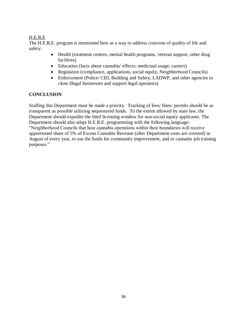# H.E.R.E

The H.E.R.E. program is mentioned here as a way to address concerns of quality of life and safety:

- Health (treatment centers, mental health programs, veteran support, other drug facilities)
- Education (facts about cannabis/ effects; medicinal usage; careers)
- Regulation (compliance, applications, social equity, Neighborhood Councils)
- Enforcement (Police/ CID, Building and Safety, LADWP, and other agencies to close illegal businesses and support legal operators)

# **CONCLUSION**

Staffing this Department must be made a priority. Tracking of fees/ fines/ permits should be as transparent as possible utilizing sequestered funds. To the extent allowed by state law, the Department should expedite the third licensing window for non-social equity applicants. The Department should also adapt H.E.R.E. programming with the following language: "Neighborhood Councils that host cannabis operations within their boundaries will receive apportioned share of 5% of Excess Cannabis Revenue (after Department costs are covered) in August of every year, to use the funds for community improvement, and or cannabis job training purposes."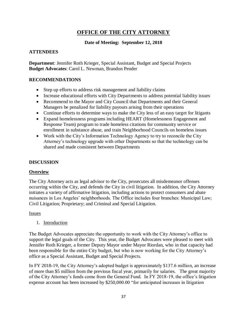# **OFFICE OF THE CITY ATTORNEY**

# **Date of Meeting: September 12, 2018**

# **ATTENDEES**

**Department**: Jennifer Roth Krieger, Special Assistant, Budget and Special Projects **Budget Advocates**: Carol L. Newman, Brandon Pender

# **RECOMMENDATIONS**

- Step up efforts to address risk management and liability claims
- Increase educational efforts with City Departments to address potential liability issues
- Recommend to the Mayor and City Council that Departments and their General Managers be penalized for liability payouts arising from their operations
- Continue efforts to determine ways to make the City less of an easy target for litigants
- Expand homelessness programs including HEART (Homelessness Engagement and Response Team) program to trade homeless citations for community service or enrollment in substance abuse, and train Neighborhood Councils on homeless issues
- Work with the City's Information Technology Agency to try to reconcile the City Attorney's technology upgrade with other Departments so that the technology can be shared and made consistent between Departments

# **DISCUSSION**

# **Overview**

The City Attorney acts as legal advisor to the City, prosecutes all misdemeanor offenses occurring within the City, and defends the City in civil litigation. In addition, the City Attorney initiates a variety of affirmative litigation, including actions to protect consumers and abate nuisances in Los Angeles' neighborhoods. The Office includes four branches: Municipal Law; Civil Litigation; Proprietary; and Criminal and Special Litigation.

Issues

1. Introduction

The Budget Advocates appreciate the opportunity to work with the City Attorney's office to support the legal goals of the City. This year, the Budget Advocates were pleased to meet with Jennifer Roth Krieger, a former Deputy Mayor under Mayor Riordan, who in that capacity had been responsible for the entire City budget, but who is now working for the City Attorney's office as a Special Assistant, Budget and Special Projects.

In FY 2018-19, the City Attorney's adopted budget is approximately \$137.6 million, an increase of more than \$5 million from the previous fiscal year, primarily for salaries. The great majority of the City Attorney's funds come from the General Fund. In FY 2018-19, the office's litigation expense account has been increased by \$250,000.00 "for anticipated increases in litigation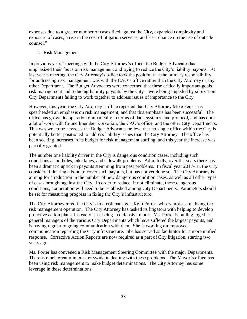expenses due to a greater number of cases filed against the City, expanded complexity and exposure of cases, a rise in the cost of litigation services, and less reliance on the use of outside counsel."

#### 2. Risk Management

In previous years' meetings with the City Attorney's office, the Budget Advocates had emphasized their focus on risk management and trying to reduce the City's liability payouts. At last year's meeting, the City Attorney's office took the position that the primary responsibility for addressing risk management was with the CAO's office rather than the City Attorney or any other Department. The Budget Advocates were concerned that these critically important goals – risk management and reducing liability payouts by the City – were being impeded by siloization: City Departments failing to work together to address issues of importance to the City.

However, this year, the City Attorney's office reported that City Attorney Mike Feuer has spearheaded an emphasis on risk management, and that this emphasis has been successful. The office has grown its operation dramatically in terms of data, systems, and protocol, and has done a lot of work with Councilmember Krekorian, the CAO's office, and the other City Departments. This was welcome news, as the Budget Advocates believe that no single office within the City is potentially better positioned to address liability issues than the City Attorney. The office has been seeking increases in its budget for risk management staffing, and this year the increase was partially granted.

The number one liability driver in the City is dangerous condition cases, including such conditions as potholes, bike lanes, and sidewalk problems. Admittedly, over the years there has been a dramatic uptick in payouts stemming from past problems. In fiscal year 2017-18, the City considered floating a bond to cover such payouts, but has not yet done so. The City Attorney is aiming for a reduction in the number of new dangerous condition cases, as well as all other types of cases brought against the City. In order to reduce, if not eliminate, these dangerous conditions, cooperation will need to be established among City Departments. Parameters should be set for measuring progress in fixing the City's infrastructure.

The City Attorney hired the City's first risk manager, Kelli Porter, who is professionalizing the risk management operation. The City Attorney has tasked its litigators with helping to develop proactive action plans, instead of just being in defensive mode. Ms. Porter is pulling together general managers of the various City Departments which have suffered the largest payouts, and is having regular ongoing communication with them. She is working on improved communication regarding the City infrastructure. She has served as facilitator for a more unified response. Corrective Action Reports are now required as a part of City litigation, starting two years ago.

Ms. Porter has convened a Risk Management Steering Committee with the major Departments. There is much greater interest citywide in dealing with these problems. The Mayor's office has been using risk management to make budget determinations. The City Attorney has some leverage in these determinations.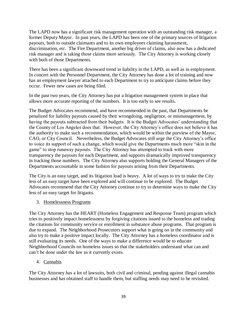The LAPD now has a significant risk management operation with an outstanding risk manager, a former Deputy Mayor. In past years, the LAPD has been one of the primary sources of litigation payouts, both to outside claimants and to its own employees claiming harassment, discrimination, etc. The Fire Department, another big driver of claims, also now has a dedicated risk manager and is taking those claims more seriously. The City Attorney is working closely with both of those Departments.

There has been a significant downward trend in liability in the LAPD, as well as in employment. In concert with the Personnel Department, the City Attorney has done a lot of training and now has an employment lawyer attached to each Department to try to anticipate claims before they occur. Fewer new cases are being filed.

In the past two years, the City Attorney has put a litigation management system in place that allows more accurate reporting of the numbers. It is too early to see results.

The Budget Advocates recommend, and have recommended in the past, that Departments be penalized for liability payouts caused by their wrongdoing, negligence, or mismanagement, by having the payouts subtracted from their budgets. It is the Budget Advocates' understanding that the County of Los Angeles does that. However, the City Attorney's office does not believe it has the authority to make such a recommendation, which would be within the purview of the Mayor, CAO, or City Council. Nevertheless, the Budget Advocates still urge the City Attorney's office to voice its support of such a change, which would give the Departments much more "skin in the game" to stop runaway payouts. The City Attorney has attempted to track with more transparency the payouts for each Department, and supports dramatically improved transparency in tracking those numbers. The City Attorney also supports holding the General Managers of the Departments accountable in some fashion for payouts arising from their Departments.

The City is an easy target, and its litigation load is heavy. A lot of ways to try to make the City less of an easy target have been explored and will continue to be explored. The Budget Advocates recommend that the City Attorney continue to try to determine ways to make the City less of an easy target for litigants.

# 3. Homelessness Programs

The City Attorney has the HEART (Homeless Engagement and Response Team) program which tries to positively impact homelessness by forgiving citations issued to the homeless and trading the citations for community service or enrollment in substance abuse programs. That program is due to expand. The Neighborhood Prosecutors support what is going on in the community and also try to make a positive impact locally. The City Attorney has a homeless coordinator and is still evaluating its needs. One of the ways to make a difference would be to educate Neighborhood Councils on homeless issues so that the stakeholders understand what can and can't be done under the law as it currently exists.

# 4. Cannabis

The City Attorney has a lot of lawsuits, both civil and criminal, pending against illegal cannabis businesses and has obtained staff to handle them, but staffing needs may need to be revisited.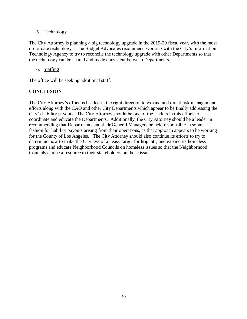# 5. Technology

The City Attorney is planning a big technology upgrade in the 2019-20 fiscal year, with the most up-to-date technology. The Budget Advocates recommend working with the City's Information Technology Agency to try to reconcile the technology upgrade with other Departments so that the technology can be shared and made consistent between Departments.

## 6. Staffing

The office will be seeking additional staff.

# **CONCLUSION**

The City Attorney's office is headed in the right direction to expand and direct risk management efforts along with the CAO and other City Departments which appear to be finally addressing the City's liability payouts. The City Attorney should be one of the leaders in this effort, to coordinate and educate the Departments. Additionally, the City Attorney should be a leader in recommending that Departments and their General Managers be held responsible in some fashion for liability payouts arising from their operations, as that approach appears to be working for the County of Los Angeles. The City Attorney should also continue its efforts to try to determine how to make the City less of an easy target for litigants, and expand its homeless programs and educate Neighborhood Councils on homeless issues so that the Neighborhood Councils can be a resource to their stakeholders on those issues.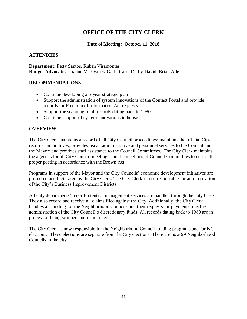# **OFFICE OF THE CITY CLERK**

## **Date of Meeting: October 11, 2018**

## **ATTENDEES**

**Department:** Petty Santos, Ruben Viramontes **Budget Advocates**: Joanne M. Yvanek-Garb, Carol Derby-David, Brian Allen

#### **RECOMMENDATIONS**

- Continue developing a 5-year strategic plan
- Support the administration of system innovations of the Contact Portal and provide records for Freedom of Information Act requests
- Support the scanning of all records dating back to 1980
- Continue support of system innovations in house

### **OVERVIEW**

The City Clerk maintains a record of all City Council proceedings; maintains the official City records and archives; provides fiscal, administrative and personnel services to the Council and the Mayor; and provides staff assistance to the Council Committees. The City Clerk maintains the agendas for all City Council meetings and the meetings of Council Committees to ensure the proper posting in accordance with the Brown Act.

Programs in support of the Mayor and the City Councils' economic development initiatives are promoted and facilitated by the City Clerk. The City Clerk is also responsible for administration of the City's Business Improvement Districts.

All City departments' record-retention management services are handled through the City Clerk. They also record and receive all claims filed against the City. Additionally, the City Clerk handles all funding for the Neighborhood Councils and their requests for payments plus the administration of the City Council's discretionary funds. All records dating back to 1980 are in process of being scanned and maintained.

The City Clerk is now responsible for the Neighborhood Council funding programs and for NC elections. These elections are separate from the City elections. There are now 99 Neighborhood Councils in the city.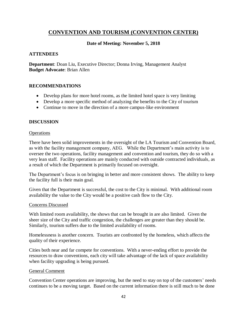# **CONVENTION AND TOURISM (CONVENTION CENTER)**

# **Date of Meeting: November 5, 2018**

## **ATTENDEES**

**Department**: Doan Liu, Executive Director; Donna Irving, Management Analyst **Budget Advocate**: Brian Allen

### **RECOMMENDATIONS**

- Develop plans for more hotel rooms, as the limited hotel space is very limiting
- Develop a more specific method of analyzing the benefits to the City of tourism
- Continue to move in the direction of a more campus-like environment

### **DISCUSSION**

#### **Operations**

There have been solid improvements in the oversight of the LA Tourism and Convention Board, as with the facility management company, AEG. While the Department's main activity is to oversee the two operations, facility management and convention and tourism, they do so with a very lean staff. Facility operations are mainly conducted with outside contracted individuals, as a result of which the Department is primarily focused on oversight.

The Department's focus is on bringing in better and more consistent shows. The ability to keep the facility full is their main goal.

Given that the Department is successful, the cost to the City is minimal. With additional room availability the value to the City would be a positive cash flow to the City.

#### Concerns Discussed

With limited room availability, the shows that can be brought in are also limited. Given the sheer size of the City and traffic congestion, the challenges are greater than they should be. Similarly, tourism suffers due to the limited availability of rooms.

Homelessness is another concern. Tourists are confronted by the homeless, which affects the quality of their experience.

Cities both near and far compete for conventions. With a never-ending effort to provide the resources to draw conventions, each city will take advantage of the lack of space availability when facility upgrading is being pursued.

#### General Comment

Convention Center operations are improving, but the need to stay on top of the customers' needs continues to be a moving target. Based on the current information there is still much to be done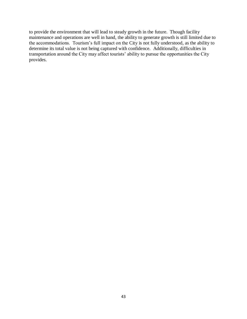to provide the environment that will lead to steady growth in the future. Though facility maintenance and operations are well in hand, the ability to generate growth is still limited due to the accommodations. Tourism's full impact on the City is not fully understood, as the ability to determine its total value is not being captured with confidence. Additionally, difficulties in transportation around the City may affect tourists' ability to pursue the opportunities the City provides.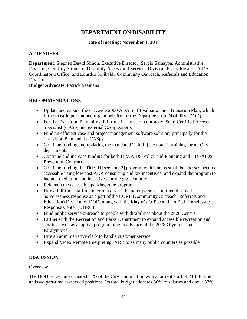# **DEPARTMENT ON DISABILITY**

# **Date of meeting: November 1, 2018**

## **ATTENDEES**

**Department**: Stephen David Simon, Executive Director; Sergio Samayoa, Administrative Division; Geoffrey Straniere, Disability Access and Services Division; Ricky Rosales, AIDS Coordinator's Office; and Lourdes Sinibaldi, Community Outreach, Referrals and Education Division

**Budget Advocate**: Patrick Seamans

### **RECOMMENDATIONS**

- Update and expand the Citywide 2000 ADA Self Evaluation and Transition Plan, which is the most important and urgent priority for the Department on Disability (DOD)
- For the Transition Plan, hire a full-time in-house or contracted State-Certified Access Specialist (CASp) and external CASp experts
- Fund an efficient case and project management software solution, principally for the Transition Plan and the CASps
- Continue funding and updating the mandated Title II [see note 1] training for all City departments
- Continue and increase funding for both HIV/AIDS Policy and Planning and HIV/AIDS Prevention Contracts
- Continue funding the Title III [see note 2] program which helps small businesses become accessible using low cost ADA consulting and tax incentives, and expand the program to include mediation and initiatives for the gig economy.
- Relaunch the accessible parking zone program
- Hire a full-time staff member to assist as the point person in unified disabled homelessness response as a part of the CORE (Community Outreach, Referrals and Education) Division of DOD, along with the Mayor's Office and Unified Homelessness Response Center (UHRC)
- Fund public service outreach to people with disabilities about the 2020 Census
- Partner with the Recreation and Parks Department to expand accessible recreation and sports as well as adaptive programming in advance of the 2028 Olympics and Paralympics
- Hire an administrative clerk to handle customer service
- Expand Video Remote Interpreting (VRI) to as many public counters as possible

#### **DISCUSSION**

#### **Overview**

The DOD serves an estimated 21% of the City's population with a current staff of 24 full time and two part-time as-needed positions. Its total budget allocates 56% to salaries and about 37%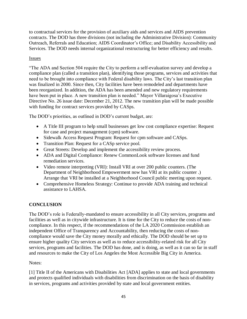to contractual services for the provision of auxiliary aids and services and AIDS prevention contracts. The DOD has three divisions (not including the Administrative Division): Community Outreach, Referrals and Education; AIDS Coordinator's Office; and Disability Accessibility and Services. The DOD needs internal organizational restructuring for better efficiency and results.

## Issues

"The ADA and Section 504 require the City to perform a self-evaluation survey and develop a compliance plan (called a transition plan), identifying those programs, services and activities that need to be brought into compliance with Federal disability laws. The City's last transition plan was finalized in 2000. Since then, City facilities have been remodeled and departments have been reorganized. In addition, the ADA has been amended and new regulatory requirements have been put in place. A new transition plan is needed." Mayor Villaraigosa's Executive Directive No. 26 issue date: December 21, 2012. The new transition plan will be made possible with funding for contract services provided by CASps.

The DOD's priorities, as outlined in DOD's current budget, are:

- A Title III program to help small businesses get low cost compliance expertise: Request for case and project management (cpm) software.
- Sidewalk Access Request Program: Request for cpm software and CASps.
- Transition Plan: Request for a CASp service pool.
- Great Streets: Develop and implement the accessibility review process.
- ADA and Digital Compliance: Renew CommonLook software licenses and fund remediation services.
- Video remote interpreting (VRI): Install VRI at over 200 public counters. (The Department of Neighborhood Empowerment now has VRI at its public counter .) Arrange that VRI be installed at a Neighborhood Council public meeting upon request.
- Comprehensive Homeless Strategy: Continue to provide ADA training and technical assistance to LAHSA.

# **CONCLUSION**

The DOD's role is Federally-mandated to ensure accessibility in all City services, programs and facilities as well as in citywide infrastructure. It is time for the City to reduce the costs of noncompliance. In this respect, if the recommendations of the LA 2020 Commission establish an independent Office of Transparency and Accountability, then reducing the costs of noncompliance would save the City money morally and ethically. The DOD should be set up to ensure higher quality City services as well as to reduce accessibility-related risk for all City services, programs and facilities. The DOD has done, and is doing, as well as it can so far in staff and resources to make the City of Los Angeles the Most Accessible Big City in America.

# Notes:

[1] Title II of the Americans with Disabilities Act [ADA] applies to state and local governments and protects qualified individuals with disabilities from discrimination on the basis of disability in services, programs and activities provided by state and local government entities.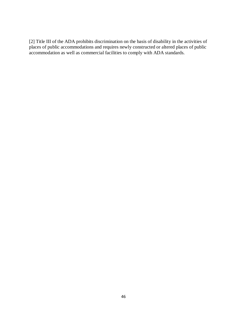[2] Title III of the ADA prohibits discrimination on the basis of disability in the activities of places of public accommodations and requires newly constructed or altered places of public accommodation as well as commercial facilities to comply with ADA standards.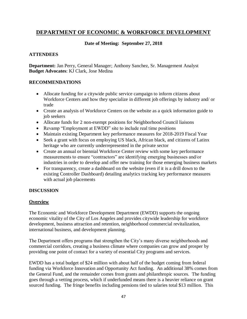# **DEPARTMENT OF ECONOMIC & WORKFORCE DEVELOPMENT**

# **Date of Meeting: September 27, 2018**

# **ATTENDEES**

**Department:** Jan Perry, General Manager; Anthony Sanchez, Sr. Management Analyst **Budget Advocates**: KJ Clark, Jose Medina

## **RECOMMENDATIONS**

- Allocate funding for a citywide public service campaign to inform citizens about Workforce Centers and how they specialize in different job offerings by industry and/ or trade
- Create an analysis of Workforce Centers on the website as a quick information guide to job seekers
- Allocate funds for 2 non-exempt positions for Neighborhood Council liaisons
- Revamp "Employment at EWDD" site to include real time positions
- Maintain existing Department key performance measures for 2018-2019 Fiscal Year
- Seek a grant with focus on employing US black, African black, and citizens of Latinx heritage who are currently underrepresented in the private sector
- Create an annual or biennial Workforce Center review with some key performance measurements to ensure "contractors" are identifying emerging businesses and/or industries in order to develop and offer new training for those emerging business markets
- For transparency, create a dashboard on the website (even if it is a drill down to the existing Controller Dashboard) detailing analytics tracking key performance measures with actual job placements

# **DISCUSSION**

# **Overview**

The Economic and Workforce Development Department (EWDD) supports the ongoing economic vitality of the City of Los Angeles and provides citywide leadership for workforce development, business attraction and retention, neighborhood commercial revitalization, international business, and development planning.

The Department offers programs that strengthen the City's many diverse neighborhoods and commercial corridors, creating a business climate where companies can grow and prosper by providing one point of contact for a variety of essential City programs and services.

EWDD has a total budget of \$24 million with about half of the budget coming from federal funding via Workforce Innovation and Opportunity Act funding. An additional 38% comes from the General Fund, and the remainder comes from grants and philanthropic sources. The funding goes through a vetting process, which if underfunded means there is a heavier reliance on grant sourced funding. The fringe benefits including pensions tied to salaries total \$13 million. This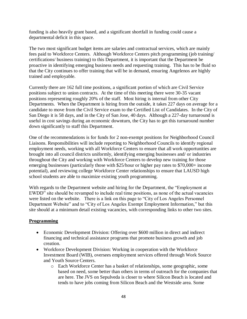funding is also heavily grant based, and a significant shortfall in funding could cause a departmental deficit in this space.

The two most significant budget items are salaries and contractual services, which are mainly fees paid to Workforce Centers. Although Workforce Centers pitch programming (job training/ certifications/ business training) to this Department, it is important that the Department be proactive in identifying emerging business needs and requesting training. This has to be fluid so that the City continues to offer training that will be in demand, ensuring Angelenos are highly trained and employable.

Currently there are 162 full time positions, a significant portion of which are Civil Service positions subject to union contracts. At the time of this meeting there were 30-35 vacant positions representing roughly 20% of the staff. Most hiring is internal from other City Departments. When the Department is hiring from the outside, it takes 227 days on average for a candidate to move from the Civil Service exam to the Certified List of Candidates. In the City of San Diego it is 58 days, and in the City of San Jose, 40 days. Although a 227-day turnaround is useful in cost savings during an economic downturn, the City has to get this turnaround number down significantly to staff this Department.

One of the recommendations is for funds for 2 non-exempt positions for Neighborhood Council Liaisons. Responsibilities will include reporting to Neighborhood Councils to identify regional employment needs, working with all Workforce Centers to ensure that all work opportunities are brought into all council districts uniformly, identifying emerging businesses and/ or industries throughout the City and working with Workforce Centers to develop new training for those emerging businesses (particularly those with \$25/hour or higher pay rates to \$70,000+ income potential), and reviewing college Workforce Center relationships to ensure that LAUSD high school students are able to maximize existing youth programming.

With regards to the Department website and hiring for the Department, the "Employment at EWDD" site should be revamped to include real time positions, as none of the actual vacancies were listed on the website. There is a link on this page to "City of Los Angeles Personnel Department Website" and to "City of Los Angeles Exempt Employment Information," but this site should at a minimum detail existing vacancies, with corresponding links to other two sites.

# **Programming**

- Economic Development Division: Offering over \$600 million in direct and indirect financing and technical assistance programs that promote business growth and job creation.
- Workforce Development Division: Working in cooperation with the Workforce Investment Board (WIB), oversees employment services offered through Work Source and Youth Source Centers.
	- o Each Workforce Center has a basket of relationships, some geographic, some based on need, some better than others in terms of outreach for the companies that are here. The JVS on Sepulveda is closer to where Silicon Beach is located and tends to have jobs coming from Silicon Beach and the Westside area. Some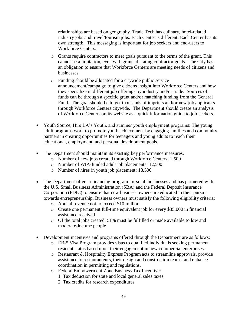relationships are based on geography. Trade Tech has culinary, hotel-related industry jobs and travel/tourism jobs. Each Center is different. Each Center has its own strength. This messaging is important for job seekers and end-users to Workforce Centers.

- o Grants require contractors to meet goals pursuant to the terms of the grant. This cannot be a limitation, even with grants dictating contractor goals. The City has an obligation to ensure that Workforce Centers are meeting needs of citizens and businesses.
- o Funding should be allocated for a citywide public service announcement/campaign to give citizens insight into Workforce Centers and how they specialize in different job offerings by industry and/or trade. Sources of funds can be through a specific grant and/or matching funding from the General Fund. The goal should be to get thousands of imprints and/or new job applicants through Workforce Centers citywide. The Department should create an analysis of Workforce Centers on its website as a quick information guide to job-seekers.
- Youth Source, Hire LA's Youth, and summer youth employment programs: The young adult programs work to promote youth achievement by engaging families and community partners in creating opportunities for teenagers and young adults to reach their educational, employment, and personal development goals.
- The Department should maintain its existing key performance measures.
	- o Number of new jobs created through Workforce Centers: 1,500
	- o Number of WIA-funded adult job placements: 12,500
	- o Number of hires in youth job placement: 18,500
- The Department offers a financing program for small businesses and has partnered with the U.S. Small Business Administration (SBA) and the Federal Deposit Insurance Corporation (FDIC) to ensure that new business owners are educated in their pursuit towards entrepreneurship. Business owners must satisfy the following eligibility criteria:
	- o Annual revenue not to exceed \$10 million
	- o Create one permanent full-time equivalent job for every \$35,000 in financial assistance received
	- o Of the total jobs created, 51% must be fulfilled or made available to low and moderate-income people
- Development incentives and programs offered through the Department are as follows:
	- o EB-5 Visa Program provides visas to qualified individuals seeking permanent resident status based upon their engagement in new commercial enterprises.
	- o Restaurant & Hospitality Express Program acts to streamline approvals, provide assistance to restauranteurs, their design and construction teams, and enhance coordination in permitting and regulations.
	- o Federal Empowerment Zone Business Tax Incentive:
		- 1. Tax deduction for state and local general sales taxes
		- 2. Tax credits for research expenditures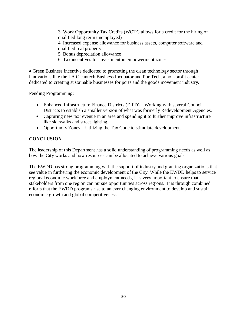3. Work Opportunity Tax Credits (WOTC allows for a credit for the hiring of qualified long term unemployed)

4. Increased expense allowance for business assets, computer software and qualified real property

- 5. Bonus depreciation allowance
- 6. Tax incentives for investment in empowerment zones

• Green Business incentive dedicated to promoting the clean technology sector through innovations like the LA Cleantech Business Incubator and PortTech, a non-profit center dedicated to creating sustainable businesses for ports and the goods movement industry.

Pending Programming:

- Enhanced Infrastructure Finance Districts (EIFD) Working with several Council Districts to establish a smaller version of what was formerly Redevelopment Agencies.
- Capturing new tax revenue in an area and spending it to further improve infrastructure like sidewalks and street lighting.
- Opportunity Zones Utilizing the Tax Code to stimulate development.

# **CONCLUSION**

The leadership of this Department has a solid understanding of programming needs as well as how the City works and how resources can be allocated to achieve various goals.

The EWDD has strong programming with the support of industry and granting organizations that see value in furthering the economic development of the City. While the EWDD helps to service regional economic workforce and employment needs, it is very important to ensure that stakeholders from one region can pursue opportunities across regions. It is through combined efforts that the EWDD programs rise to an ever changing environment to develop and sustain economic growth and global competitiveness.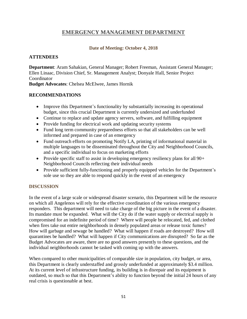# **EMERGENCY MANAGEMENT DEPARTMENT**

## **Date of Meeting: October 4, 2018**

### **ATTENDEES**

**Department**: Aram Sahakian, General Manager; Robert Freeman, Assistant General Manager; Ellen Linaac, Division Chief, Sr. Management Analyst; Donyale Hall, Senior Project **Coordinator** 

**Budget Advocates**: Chelsea McElwee, James Hornik

### **RECOMMENDATIONS**

- Improve this Department's functionality by substantially increasing its operational budget, since this crucial Department is currently undersized and underfunded
- Continue to replace and update agency servers, software, and fulfilling equipment
- Provide funding for electrical work and updating security systems
- Fund long term community preparedness efforts so that all stakeholders can be well informed and prepared in case of an emergency
- Fund outreach efforts on promoting Notify LA, printing of informational material in multiple languages to be disseminated throughout the City and Neighborhood Councils, and a specific individual to focus on marketing efforts
- Provide specific staff to assist in developing emergency resiliency plans for all  $90+$ Neighborhood Councils reflecting their individual needs
- Provide sufficient fully-functioning and properly equipped vehicles for the Department's sole use so they are able to respond quickly in the event of an emergency

# **DISCUSSION**

In the event of a large scale or widespread disaster scenario, this Department will be the resource on which all Angelenos will rely for the effective coordination of the various emergency responders. This department will need to take charge of the big picture in the event of a disaster. Its mandate must be expanded. What will the City do if the water supply or electrical supply is compromised for an indefinite period of time? Where will people be relocated, fed, and clothed when fires take out entire neighborhoods in densely populated areas or release toxic fumes? How will garbage and sewage be handled? What will happen if roads are destroyed? How will quarantines be handled? What will happen if City communications are disrupted? So far as the Budget Advocates are aware, there are no good answers presently to these questions, and the individual neighborhoods cannot be tasked with coming up with the answers.

When compared to other municipalities of comparable size in population, city budget, or area, this Department is clearly understaffed and grossly underfunded at approximately \$3.4 million. At its current level of infrastructure funding, its building is in disrepair and its equipment is outdated, so much so that this Department's ability to function beyond the initial 24 hours of any real crisis is questionable at best.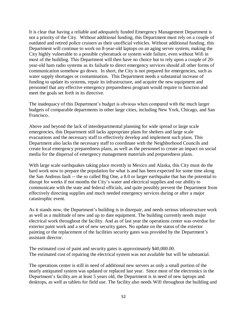It is clear that having a reliable and adequately funded Emergency Management Department is not a priority of the City. Without additional funding, this Department must rely on a couple of outdated and retired police cruisers as their unofficial vehicles. Without additional funding, this Department will continue to work on 8-year-old laptops on an aging server system, making the City highly vulnerable to a possible cyberattack or system wide failure, even without Wifi in most of the building. This Department will then have no choice but to rely upon a couple of 20 year-old ham radio systems as its failsafe to direct emergency services should all other forms of communication somehow go down. In short, the City is not prepared for emergencies, such as water supply shortages or contamination. This Department needs a substantial increase of funding to update its systems, repair its infrastructure, and acquire the new equipment and personnel that any effective emergency preparedness program would require to function and meet the goals set forth in its directive.

The inadequacy of this Department's budget is obvious when compared with the much larger budgets of comparable departments in other large cities, including New York, Chicago, and San Francisco.

Above and beyond the lack of interdepartmental planning for wide spread or large scale emergencies, this Department still lacks appropriate plans for shelters and large scale evacuations and the necessary staff to effectively develop and implement such plans. This Department also lacks the necessary staff to coordinate with the Neighborhood Councils and create local emergency preparedness plans, as well as the personnel to create an impact on social media for the dispersal of emergency management materials and preparedness plans.

With large scale earthquakes taking place recently in Mexico and Alaska, this City must do the hard work now to prepare the population for what is and has been expected for some time along the San Andreas fault -- the so called Big One, a 8.0 or larger earthquake that has the potential to disrupt for weeks if not months the City's water and electrical supplies and our ability to communicate with the state and federal officials, and quite possibly prevent the Department from effectively directing supplies and much needed emergency services during or after a major catastrophic event.

As it stands now, the Department's building is in disrepair, and needs serious infrastructure work as well as a multitude of new and up to date equipment. The building currently needs major electrical work throughout the facility. And as of last year the operations center was overdue for exterior paint work and a set of new security gates. No update on the status of the exterior painting or the replacement of the facilities security gates was provided by the Department's assistant director.

The estimated cost of paint and security gates is approximately \$40,000.00. The estimated cost of repairing the electrical system was not available but will be substantial.

The operations center is still in need of additional new servers as only a small portion of the nearly antiquated system was updated or replaced last year. Since most of the electronics in the Department's facility are at least 5 years old, the Department is in need of new laptops and desktops, as well as tablets for field use. The facility also needs Wifi throughout the building and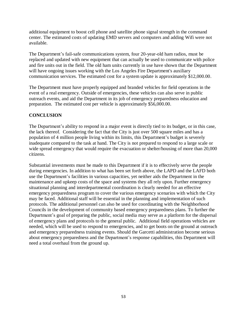additional equipment to boost cell phone and satellite phone signal strength in the command center. The estimated costs of updating EMD servers and computers and adding Wifi were not available.

The Department's fail-safe communications system, four 20-year-old ham radios, must be replaced and updated with new equipment that can actually be used to communicate with police and fire units out in the field. The old ham units currently in use have shown that the Department will have ongoing issues working with the Los Angeles Fire Department's auxiliary communication services. The estimated cost for a system update is approximately \$12,000.00.

The Department must have properly equipped and branded vehicles for field operations in the event of a real emergency. Outside of emergencies, these vehicles can also serve in public outreach events, and aid the Department in its job of emergency preparedness education and preparation. The estimated cost per vehicle is approximately \$56,000.00.

# **CONCLUSION**

The Department's ability to respond in a major event is directly tied to its budget, or in this case, the lack thereof. Considering the fact that the City is just over 500 square miles and has a population of 4 million people living within its limits, this Department's budget is severely inadequate compared to the task at hand. The City is not prepared to respond to a large scale or wide spread emergency that would require the evacuation or shelter/housing of more than 20,000 citizens.

Substantial investments must be made to this Department if it is to effectively serve the people during emergencies. In addition to what has been set forth above, the LAPD and the LAFD both use the Department's facilities in various capacities, yet neither aids the Department in the maintenance and upkeep costs of the space and systems they all rely upon. Further emergency situational planning and interdepartmental coordination is clearly needed for an effective emergency preparedness program to cover the various emergency scenarios with which the City may be faced. Additional staff will be essential in the planning and implementation of such protocols. The additional personnel can also be used for coordinating with the Neighborhood Councils in the development of community based emergency preparedness plans. To further the Department's goal of preparing the public, social media may serve as a platform for the dispersal of emergency plans and protocols to the general public. Additional field operations vehicles are needed, which will be used to respond to emergencies, and to get boots on the ground at outreach and emergency preparedness training events. Should the Garcetti administration become serious about emergency preparedness and the Department's response capabilities, this Department will need a total overhaul from the ground up.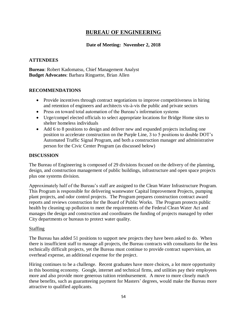# **BUREAU OF ENGINEERING**

## **Date of Meeting: November 2, 2018**

### **ATTENDEES**

**Bureau**: Robert Kadomatsu, Chief Management Analyst **Budget Advocates**: Barbara Ringuette, Brian Allen

### **RECOMMENDATIONS**

- Provide incentives through contract negotiations to improve competitiveness in hiring and retention of engineers and architects vis-à-vis the public and private sectors
- Press on toward total automation of the Bureau's information systems
- Urge/compel elected officials to select appropriate locations for Bridge Home sites to shelter homeless individuals
- Add 6 to 8 positions to design and deliver new and expanded projects including one position to accelerate construction on the Purple Line, 3 to 5 positions to double DOT's Automated Traffic Signal Program, and both a construction manager and administrative person for the Civic Center Program (as discussed below)

### **DISCUSSION**

The Bureau of Engineering is composed of 29 divisions focused on the delivery of the planning, design, and construction management of public buildings, infrastructure and open space projects plus one systems division.

Approximately half of the Bureau's staff are assigned to the Clean Water Infrastructure Program. This Program is responsible for delivering wastewater Capital Improvement Projects, pumping plant projects, and odor control projects. The Program prepares construction contract award reports and reviews construction for the Board of Public Works. The Program protects public health by cleaning up pollution to meet the requirements of the Federal Clean Water Act and manages the design and construction and coordinates the funding of projects managed by other City departments or bureaus to protect water quality.

#### Staffing

The Bureau has added 51 positions to support new projects they have been asked to do. When there is insufficient staff to manage all projects, the Bureau contracts with consultants for the less technically difficult projects, yet the Bureau must continue to provide contract supervision, an overhead expense, an additional expense for the project.

Hiring continues to be a challenge. Recent graduates have more choices, a lot more opportunity in this booming economy. Google, internet and technical firms, and utilities pay their employees more and also provide more generous tuition reimbursement. A move to more closely match these benefits, such as guaranteeing payment for Masters' degrees, would make the Bureau more attractive to qualified applicants.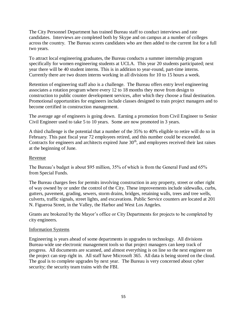The City Personnel Department has trained Bureau staff to conduct interviews and rate candidates. Interviews are completed both by Skype and on campus at a number of colleges across the country. The Bureau scores candidates who are then added to the current list for a full two years.

To attract local engineering graduates, the Bureau conducts a summer internship program specifically for women engineering students at UCLA. This year 20 students participated; next year there will be 40 student interns. This is in addition to year-round, part-time interns. Currently there are two dozen interns working in all divisions for 10 to 15 hours a week.

Retention of engineering staff also is a challenge. The Bureau offers entry level engineering associates a rotation program where every 12 to 18 months they move from design to construction to public counter development services, after which they choose a final destination. Promotional opportunities for engineers include classes designed to train project managers and to become certified in construction management.

The average age of engineers is going down. Earning a promotion from Civil Engineer to Senior Civil Engineer used to take 5 to 10 years. Some are now promoted in 3 years.

A third challenge is the potential that a number of the 35% to 40% eligible to retire will do so in February. This past fiscal year 72 employees retired, and this number could be exceeded. Contracts for engineers and architects expired June  $30<sup>th</sup>$ , and employees received their last raises at the beginning of June.

### Revenue

The Bureau's budget is about \$95 million, 35% of which is from the General Fund and 65% from Special Funds.

The Bureau charges fees for permits involving construction in any property, street or other right of way owned by or under the control of the City. These improvements include sidewalks, curbs, gutters, pavement, grading, sewers, storm drains, bridges, retaining walls, trees and tree wells, culverts, traffic signals, street lights, and excavations. Public Service counters are located at 201 N. Figueroa Street, in the Valley, the Harbor and West Los Angeles.

Grants are brokered by the Mayor's office or City Departments for projects to be completed by city engineers.

#### Information Systems

Engineering is years ahead of some departments in upgrades to technology. All divisions Bureau-wide use electronic management tools so that project managers can keep track of progress. All documents are scanned, and almost everything is on line so the next engineer on the project can step right in. All staff have Microsoft 365. All data is being stored on the cloud. The goal is to complete upgrades by next year. The Bureau is very concerned about cyber security; the security team trains with the FBI.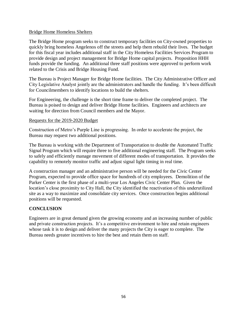### Bridge Home Homeless Shelters

The Bridge Home program seeks to construct temporary facilities on City-owned properties to quickly bring homeless Angelenos off the streets and help them rebuild their lives. The budget for this fiscal year includes additional staff in the City Homeless Facilities Services Program to provide design and project management for Bridge Home capital projects. Proposition HHH funds provide the funding. An additional three staff positions were approved to perform work related to the Crisis and Bridge Housing Fund.

The Bureau is Project Manager for Bridge Home facilities. The City Administrative Officer and City Legislative Analyst jointly are the administrators and handle the funding. It's been difficult for Councilmembers to identify locations to build the shelters.

For Engineering, the challenge is the short time frame to deliver the completed project. The Bureau is poised to design and deliver Bridge Home facilities. Engineers and architects are waiting for direction from Council members and the Mayor.

#### Requests for the 2019-2020 Budget

Construction of Metro's Purple Line is progressing. In order to accelerate the project, the Bureau may request two additional positions.

The Bureau is working with the Department of Transportation to double the Automated Traffic Signal Program which will require three to five additional engineering staff. The Program seeks to safely and efficiently manage movement of different modes of transportation. It provides the capability to remotely monitor traffic and adjust signal light timing in real time.

A construction manager and an administrative person will be needed for the Civic Center Program, expected to provide office space for hundreds of city employees. Demolition of the Parker Center is the first phase of a multi-year Los Angeles Civic Center Plan. Given the location's close proximity to City Hall, the City identified the reactivation of this underutilized site as a way to maximize and consolidate city services. Once construction begins additional positions will be requested.

# **CONCLUSION**

Engineers are in great demand given the growing economy and an increasing number of public and private construction projects. It's a competitive environment to hire and retain engineers whose task it is to design and deliver the many projects the City is eager to complete. The Bureau needs greater incentives to hire the best and retain them on staff.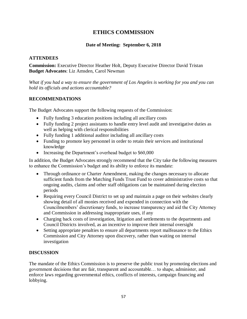# **ETHICS COMMISSION**

# **Date of Meeting: September 6, 2018**

## **ATTENDEES**

**Commission:** Executive Director Heather Holt, Deputy Executive Director David Tristan **Budget Advocates**: Liz Amsden, Carol Newman

*What if you had a way to ensure the government of Los Angeles is working for you and you can hold its officials and actions accountable?*

### **RECOMMENDATIONS**

The Budget Advocates support the following requests of the Commission:

- Fully funding 3 education positions including all ancillary costs
- Fully funding 2 project assistants to handle entry level audit and investigative duties as well as helping with clerical responsibilities
- Fully funding 1 additional auditor including all ancillary costs
- Funding to promote key personnel in order to retain their services and institutional knowledge
- Increasing the Department's overhead budget to \$60,000

In addition, the Budget Advocates strongly recommend that the City take the following measures to enhance the Commission's budget and its ability to enforce its mandate:

- Through ordinance or Charter Amendment, making the changes necessary to allocate sufficient funds from the Matching Funds Trust Fund to cover administrative costs so that ongoing audits, claims and other staff obligations can be maintained during election periods
- Requiring every Council District to set up and maintain a page on their websites clearly showing detail of all monies received and expended in connection with the Councilmembers' discretionary funds, to increase transparency and aid the City Attorney and Commission in addressing inappropriate uses, if any
- Charging back costs of investigation, litigation and settlements to the departments and Council Districts involved, as an incentive to improve their internal oversight
- Setting appropriate penalties to ensure all departments report malfeasance to the Ethics Commission and City Attorney upon discovery, rather than waiting on internal investigation

# **DISCUSSION**

The mandate of the Ethics Commission is to preserve the public trust by promoting elections and government decisions that are fair, transparent and accountable… to shape, administer, and enforce laws regarding governmental ethics, conflicts of interests, campaign financing and lobbying.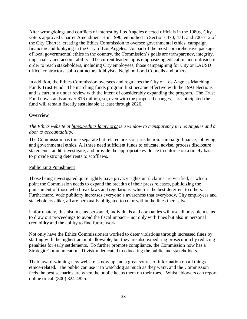After wrongdoings and conflicts of interest by Los Angeles elected officials in the 1980s, City voters approved Charter Amendment H in 1990, embodied in Sections 470, 471, and 700-712 of the City Charter, creating the Ethics Commission to oversee governmental ethics, campaign financing and lobbying in the City of Los Angeles. As part of the most comprehensive package of local governmental ethics in the country, the Commission's goals are transparency, integrity, impartiality and accountability. The current leadership is emphasizing education and outreach in order to reach stakeholders, including City employees, those campaigning for City or LAUSD office, contractors, sub-contractors, lobbyists, Neighborhood Councils and others.

In addition, the Ethics Commission oversees and regulates the City of Los Angeles Matching Funds Trust Fund. The matching funds program first became effective with the 1993 elections, and is currently under review with the intent of considerably expanding the program. The Trust Fund now stands at over \$16 million, so, even with the proposed changes, it is anticipated the fund will remain fiscally sustainable at least through 2026.

### **Overview**

## *The Ethics website at<https://ethics.lacity.org/> is a window to transparency in Los Angeles and a door to accountability.*

The Commission has three separate but related areas of jurisdiction: campaign finance, lobbying, and governmental ethics. All three need sufficient funds to educate, advise, process disclosure statements, audit, investigate, and provide the appropriate evidence to enforce on a timely basis to provide strong deterrents to scofflaws.

#### Publicizing Punishment

Those being investigated quite rightly have privacy rights until claims are verified, at which point the Commission needs to expand the breadth of their press releases, publicizing the punishment of those who break laws and regulations, which is the best deterrent to others. Furthermore, wide publicity increases everyone's awareness that everybody, City employees and stakeholders alike, all are personally obligated to color within the lines themselves.

Unfortunately, this also means personnel, individuals and companies will use all possible means to draw out proceedings to avoid the fiscal impact – not only with fines but also in personal credibility and the ability to find future work.

Not only have the Ethics Commissioners worked to deter violations through increased fines by starting with the highest amount allowable, but they are also expediting prosecution by reducing penalties for early settlements. To further promote compliance, the Commission now has a Strategic Communications Division dedicated to educating the public and stakeholders.

Their award-winning new website is now up and a great source of information on all things ethics-related. The public can use it to watchdog as much as they want, and the Commission feels the best scenarios are when the public keeps them on their toes. Whistleblowers can report online or call (800) 824-4825.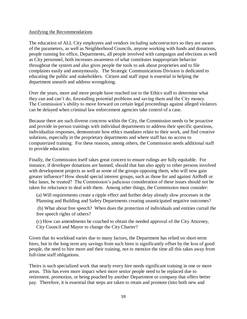#### Justifying the Recommendations

The education of ALL City employees and vendors *including subcontractors* so they are aware of the parameters, as well as Neighborhood Councils, anyone working with funds and donations, people running for office, Departments, all people involved with campaigns and elections as well as City personnel, both increases awareness of what constitutes inappropriate behavior throughout the system and also gives people the tools to ask about proprieties and to file complaints easily and anonymously. The Strategic Communications Division is dedicated to educating the public and stakeholders. Citizen and staff input is essential in helping the department unearth and address wrongdoing.

Over the years, more and more people have reached out to the Ethics staff to determine what they can and can't do, forestalling potential problems and saving them and the City money. The Commission's ability to move forward on certain legal proceedings against alleged violators can be delayed when criminal law enforcement agencies take control of a case.

Because there are such diverse concerns within the City, the Commission needs to be proactive and provide in-person trainings with individual departments to address their specific questions, individualize responses, demonstrate how ethics mandates relate to their work, and find creative solutions, especially in the proprietary departments and where staff has no access to computerized training. For these reasons, among others, the Commission needs additional staff to provide education.

Finally, the Commission itself takes great concern to ensure rulings are fully equitable. For instance, if developer donations are banned, should that ban also apply to other persons involved with development projects as well as some of the groups opposing them, who will now gain greater influence? How should special interest groups, such as those for and against AirBnB or bike lanes, be treated? The Commission's judicious consideration of these issues should not be taken for reluctance to deal with them. Among other things, the Commission must consider:

(a) Will requirements create a ripple effect and further delay already slow processes in the Planning and Building and Safety Departments creating unanticipated negative outcomes?

(b) What about free speech? When does the protection of individuals and entities curtail the free speech rights of others?

(c) How can amendments be couched to obtain the needed approval of the City Attorney, City Council and Mayor to change the City Charter?

Given that its workload varies due to many factors, the Department has relied on short-term hires, but in the long term any savings from such hires is significantly offset by the loss of good people, the need to hire more and their training, not to mention the time all this takes away from full-time staff obligations.

Theirs is such specialized work that nearly every hire needs significant training in one or more areas. This has even more impact when more senior people need to be replaced due to retirement, promotion, or being poached by another Department or company that offers better pay. Therefore, it is essential that steps are taken to retain and promote (into both new and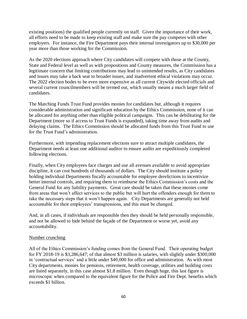existing positions) the qualified people currently on staff. Given the importance of their work, all efforts need to be made to keep existing staff and make sure the pay competes with other employers. For instance, the Fire Department pays their internal investigators up to \$30,000 per year more than those working for the Commission.

As the 2020 elections approach where City candidates will compete with those at the County, State and Federal level as well as with propositions and County measures, the Commission has a legitimate concern that limiting contributions may lead to unintended results, as City candidates and issues may take a back seat to broader issues, and inadvertent ethical violations may occur. The 2022 election bodes to be even more expensive as all current Citywide elected officials and several current councilmembers will be termed out, which usually means a much larger field of candidates.

The Matching Funds Trust Fund provides monies for candidates but, although it requires considerable administration and significant education by the Ethics Commission, none of it can be allocated for anything other than eligible political campaigns. This can be debilitating for the Department (more so if access to Trust Funds is expanded), taking time away from audits and delaying claims. The Ethics Commission should be allocated funds from this Trust Fund to use for the Trust Fund's administration.

Furthermore, with impending replacement elections sure to attract multiple candidates, the Department needs at least one additional auditor to ensure audits are expeditiously completed following elections.

Finally, when City employees face charges and use all avenues available to avoid appropriate discipline, it can cost hundreds of thousands of dollars. The City should institute a policy holding individual Departments fiscally accountable for employee derelictions to incentivize better internal controls, and requiring them to reimburse the Ethics Commission's costs and the General Fund for any liability payments. Great care should be taken that these monies come from areas that won't affect services to the public but will hurt the offenders enough for them to take the necessary steps that it won't happen again. City Departments are generally not held accountable for their employees' transgressions, and this must be changed.

And, in all cases, if individuals are responsible then they should be held personally responsible, and not be allowed to hide behind the façade of the Department or worse yet, avoid any accountability.

#### Number crunching

All of the Ethics Commission's funding comes from the General Fund. Their operating budget for FY 2018-19 is \$3,286,647; of that almost \$3 million is salaries, with slightly under \$300,000 in 'contractual services' and a little under \$40,000 for office and administration. As with most City departments, monies for pensions, retirement, health coverage, utilities and building costs are listed separately, in this case almost \$1.8 million. Even though huge, this last figure is microscopic when compared to the equivalent figure for the Police and Fire Dept. benefits which exceeds \$1 billion.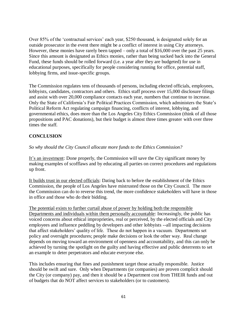Over 85% of the 'contractual services' each year, \$250 thousand, is designated solely for an outside prosecutor in the event there might be a conflict of interest in using City attorneys. However, these monies have rarely been tapped – only a total of \$16,000 over the past 25 years. Since this amount is designated as Ethics monies, rather than being sucked back into the General Fund, these funds should be rolled forward (i.e. a year after they are budgeted) for use in educational purposes, specifically for people considering running for office, potential staff, lobbying firms, and issue-specific groups.

The Commission regulates tens of thousands of persons, including elected officials, employees, lobbyists, candidates, contractors and others. Ethics staff process over 15,000 disclosure filings and assist with over 20,000 compliance contacts each year, numbers that continue to increase. Only the State of California's Fair Political Practices Commission, which administers the State's Political Reform Act regulating campaign financing, conflicts of interest, lobbying, and governmental ethics, does more than the Los Angeles City Ethics Commission (think of all those propositions and PAC donations), but their budget is almost three times greater with over three times the staff.

# **CONCLUSION**

# *So why should the City Council allocate more funds to the Ethics Commission?*

It's an investment: Done properly, the Commission will save the City significant money by making examples of scofflaws and by educating all parties on correct procedures and regulations up front.

It builds trust in our elected officials: Dating back to before the establishment of the Ethics Commission, the people of Los Angeles have mistrusted those on the City Council. The more the Commission can do to reverse this trend, the more confidence stakeholders will have in those in office and those who do their bidding.

The potential exists to further curtail abuse of power by holding both the responsible Departments and individuals within them personally accountable: Increasingly, the public has voiced concerns about ethical improprieties, real or perceived, by the elected officials and City employees and influence peddling by developers and other lobbyists --all impacting decisions that affect stakeholders' quality of life. These do not happen in a vacuum. Departments set policy and oversight procedures; people make decisions or look the other way. Real change depends on moving toward an environment of openness and accountability, and this can only be achieved by turning the spotlight on the guilty and having effective and public deterrents to set an example to deter perpetrators and educate everyone else.

This includes ensuring that fines and punishment target those actually responsible. Justice should be swift and sure. Only when Departments (or companies) are proven complicit should the City (or company) pay, and then it should be a Department cost from THEIR funds and out of budgets that do NOT affect services to stakeholders (or to customers).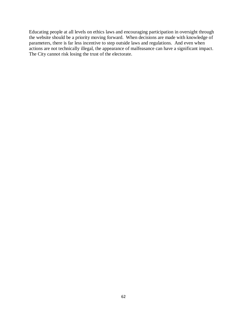Educating people at all levels on ethics laws and encouraging participation in oversight through the website should be a priority moving forward. When decisions are made with knowledge of parameters, there is far less incentive to step outside laws and regulations. And even when actions are not technically illegal, the appearance of malfeasance can have a significant impact. The City cannot risk losing the trust of the electorate.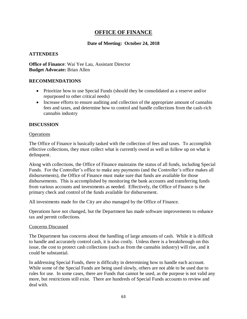# **OFFICE OF FINANCE**

## **Date of Meeting: October 24, 2018**

#### **ATTENDEES**

**Office of Finance**: Wai Yee Lau, Assistant Director **Budget Advocate:** Brian Allen

#### **RECOMMENDATIONS**

- Prioritize how to use Special Funds (should they be consolidated as a reserve and/or repurposed to other critical needs)
- Increase efforts to ensure auditing and collection of the appropriate amount of cannabis fees and taxes, and determine how to control and handle collections from the cash-rich cannabis industry

#### **DISCUSSION**

#### **Operations**

The Office of Finance is basically tasked with the collection of fees and taxes. To accomplish effective collections, they must collect what is currently owed as well as follow up on what is delinquent.

Along with collections, the Office of Finance maintains the status of all funds, including Special Funds. For the Controller's office to make any payments (and the Controller's office makes all disbursements), the Office of Finance must make sure that funds are available for those disbursements. This is accomplished by monitoring the bank accounts and transferring funds from various accounts and investments as needed. Effectively, the Office of Finance is the primary check and control of the funds available for disbursement.

All investments made for the City are also managed by the Office of Finance.

Operations have not changed, but the Department has made software improvements to enhance tax and permit collections.

#### Concerns Discussed

The Department has concerns about the handling of large amounts of cash. While it is difficult to handle and accurately control cash, it is also costly. Unless there is a breakthrough on this issue, the cost to protect cash collections (such as from the cannabis industry) will rise, and it could be substantial.

In addressing Special Funds, there is difficulty in determining how to handle each account. While some of the Special Funds are being used slowly, others are not able to be used due to rules for use. In some cases, there are Funds that cannot be used, as the purpose is not valid any more, but restrictions still exist. There are hundreds of Special Funds accounts to review and deal with.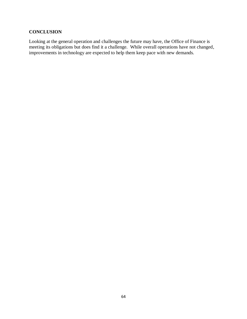# **CONCLUSION**

Looking at the general operation and challenges the future may have, the Office of Finance is meeting its obligations but does find it a challenge. While overall operations have not changed, improvements in technology are expected to help them keep pace with new demands.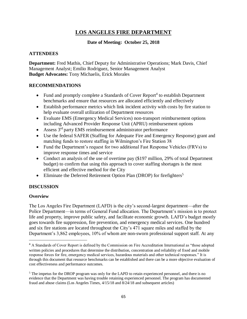# **LOS ANGELES FIRE DEPARTMENT**

## **Date of Meeting: October 25, 2018**

### **ATTENDEES**

**Department:** Fred Mathis, Chief Deputy for Administrative Operations; Mark Davis, Chief Management Analyst; Emilio Rodriguez, Senior Management Analyst **Budget Advocates:** Tony Michaelis, Erick Morales

### **RECOMMENDATIONS**

- Fund and promptly complete a Standards of Cover Report<sup>4</sup> to establish Department benchmarks and ensure that resources are allocated efficiently and effectively
- Establish performance metrics which link incident activity with costs by fire station to help evaluate overall utilization of Department resources
- Evaluate EMS (Emergency Medical Services) non-transport reimbursement options including Advanced Provider Response Unit (APRU) reimbursement options
- Assess  $3<sup>rd</sup>$  party EMS reimbursement administrator performance
- Use the federal SAFER (Staffing for Adequate Fire and Emergency Response) grant and matching funds to restore staffing in Wilmington's Fire Station 38
- Fund the Department's request for two additional Fast Response Vehicles (FRVs) to improve response times and service
- Conduct an analysis of the use of overtime pay (\$197 million, 29% of total Department budget) to confirm that using this approach to cover staffing shortages is the most efficient and effective method for the City
- Eliminate the Deferred Retirement Option Plan (DROP) for firefighters<sup>5</sup>

# **DISCUSSION**

#### **Overview**

 $\overline{\phantom{a}}$ 

The Los Angeles Fire Department (LAFD) is the city's second-largest department—after the Police Department—in terms of General Fund allocation. The Department's mission is to protect life and property, improve public safety, and facilitate economic growth. LAFD's budget mostly goes towards fire suppression, fire prevention, and emergency medical services. One hundred and six fire stations are located throughout the City's 471 square miles and staffed by the Department's 3,862 employees, 10% of whom are non-sworn professional support staff. At any

<sup>&</sup>lt;sup>4</sup> A Standards of Cover Report is defined by the Commission on Fire Accreditation International as "those adopted written policies and procedures that determine the distribution, concentration and reliability of fixed and mobile response forces for fire, emergency medical services, hazardous materials and other technical responses." It is through this document that resource benchmarks can be established and there can be a more objective evaluation of cost effectiveness and performance outcomes.

<sup>&</sup>lt;sup>5</sup> The impetus for the DROP program was only for the LAPD to retain experienced personnel, and there is no evidence that the Department was having trouble retaining experienced personnel. The program has documented fraud and abuse claims (Los Angeles Times, 4/15/18 and 8/24/18 and subsequent articles)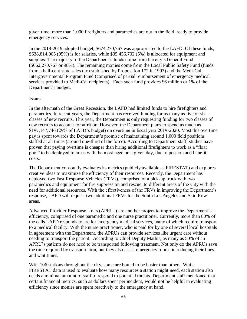given time, more than 1,000 firefighters and paramedics are out in the field, ready to provide emergency services.

In the 2018-2019 adopted budget, \$674,270,767 was appropriated to the LAFD. Of these funds, \$638,814,065 (95%) is for salaries, while \$35,456,702 (5%) is allocated for equipment and supplies. The majority of the Department's funds come from the city's General Fund (\$662,270,767 or 98%). The remaining monies come from the Local Public Safety Fund (funds from a half-cent state sales tax established by Proposition 172 in 1993) and the Medi-Cal Intergovernmental Program Fund (comprised of partial reimbursement of emergency medical services provided to Medi-Cal recipients). Each such fund provides \$6 million or 1% of the Department's budget.

### **Issues**

In the aftermath of the Great Recession, the LAFD had limited funds to hire firefighters and paramedics. In recent years, the Department has received funding for as many as five or six classes of new recruits. This year, the Department is only requesting funding for two classes of new recruits to account for attrition. However, the Department plans to spend as much as \$197,147,746 (29% of LAFD's budget) on overtime in fiscal year 2019-2020. Most this overtime pay is spent towards the Department's promise of maintaining around 1,000 field positions staffed at all times (around one-third of the force). According to Department staff, studies have proven that paying overtime is cheaper than hiring additional firefighters to work as a "float pool" to be deployed to areas with the most need on a given day, due to pension and benefit costs.

The Department constantly evaluates its metrics (publicly available as FIRESTAT) and explores creative ideas to maximize the efficiency of their resources. Recently, the Department has deployed two Fast Response Vehicles (FRVs), comprised of a pick-up truck with two paramedics and equipment for fire suppression and rescue, to different areas of the City with the need for additional resources. With the effectiveness of the FRVs in improving the Department's response, LAFD will request two additional FRVs for the South Los Angeles and Skid Row areas.

Advanced Provider Response Units (APRUs) are another project to improve the Department's efficiency, comprised of one paramedic and one nurse practitioner. Currently, more than 80% of the calls LAFD responds to are for emergency medical services, many of which require transport to a medical facility. With the nurse practitioner, who is paid for by one of several local hospitals in agreement with the Department, the APRUs can provide services like urgent care without needing to transport the patient. According to Chief Deputy Mathis, as many as 50% of an APRU's patients do not need to be transported following treatment. Not only do the APRUs save the time required by transportation, but they also assist emergency rooms in reducing their lines and wait times.

With 106 stations throughout the city, some are bound to be busier than others. While FIRESTAT data is used to evaluate how many resources a station might need, each station also needs a minimal amount of staff to respond to potential threats. Department staff mentioned that certain financial metrics, such as dollars spent per incident, would not be helpful in evaluating efficiency since monies are spent reactively to the emergency at hand.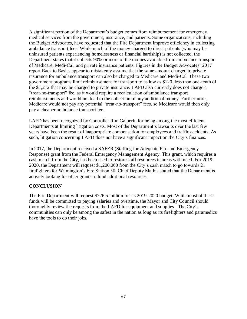A significant portion of the Department's budget comes from reimbursement for emergency medical services from the government, insurance, and patients. Some organizations, including the Budget Advocates, have requested that the Fire Department improve efficiency in collecting ambulance transport fees. While much of the money charged to direct patients (who may be uninsured patients experiencing homelessness or financial hardship) is not collected, the Department states that it collects 90% or more of the monies available from ambulance transport of Medicare, Medi-Cal, and private insurance patients. Figures in the Budget Advocates' 2017 report Back to Basics appear to mistakenly assume that the same amount charged to private insurance for ambulance transport can also be charged to Medicare and Medi-Cal. These two government programs limit reimbursement for transport to as low as \$120, less than one-tenth of the \$1,212 that may be charged to private insurance. LAFD also currently does not charge a "treat-no-transport" fee, as it would require a recalculation of ambulance transport reimbursements and would not lead to the collection of any additional money. Furthermore, Medicare would not pay any potential "treat-no-transport" fees, so Medicare would then only pay a cheaper ambulance transport fee.

LAFD has been recognized by Controller Ron Galperin for being among the most efficient Departments at limiting litigation costs. Most of the Department's lawsuits over the last few years have been the result of inappropriate compensation for employees and traffic accidents. As such, litigation concerning LAFD does not have a significant impact on the City's finances.

In 2017, the Department received a SAFER (Staffing for Adequate Fire and Emergency Response) grant from the Federal Emergency Management Agency. This grant, which requires a cash match from the City, has been used to restore staff resources in areas with need. For 2019- 2020, the Department will request \$1,200,000 from the City's cash match to go towards 21 firefighters for Wilmington's Fire Station 38. Chief Deputy Mathis stated that the Department is actively looking for other grants to fund additional resources.

# **CONCLUSION**

The Fire Department will request \$726.5 million for its 2019-2020 budget. While most of these funds will be committed to paying salaries and overtime, the Mayor and City Council should thoroughly review the requests from the LAFD for equipment and supplies. The City's communities can only be among the safest in the nation as long as its firefighters and paramedics have the tools to do their jobs.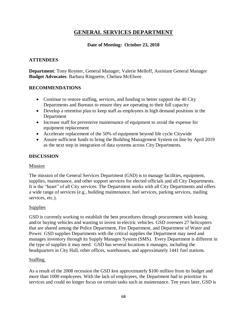# **GENERAL SERVICES DEPARTMENT**

# **Date of Meeting: October 23, 2018**

# **ATTENDEES**

**Department**: Tony Royster, General Manager; Valerie Melloff, Assistant General Manager **Budget Advocates**: Barbara Ringuette, Chelsea McElwee

### **RECOMMENDATIONS**

- Continue to restore staffing, services, and funding to better support the 40 City Departments and Bureaus to ensure they are operating to their full capacity
- Develop a retention plan to keep staff as employees in high demand positions in the Department
- Increase staff for preventive maintenance of equipment to avoid the expense for equipment replacement
- Accelerate replacement of the 50% of equipment beyond life cycle Citywide
- Assure sufficient funds to bring the Building Management System on line by April 2019 as the next step in integration of data systems across City Departments.

# **DISCUSSION**

#### Mission

The mission of the General Services Department (GSD) is to manage facilities, equipment, supplies, maintenance, and other support services for elected officials and all City Departments. It is the "heart" of all City services. The Department works with all City Departments and offers a wide range of services (e.g., building maintenance, fuel services, parking services, mailing services, etc.).

#### **Supplies**

GSD is currently working to establish the best procedures through procurement with leasing and/or buying vehicles and wanting to invest in electric vehicles. GSD oversees 27 helicopters that are shared among the Police Department, Fire Department, and Department of Water and Power. GSD supplies Departments with the critical supplies the Department may need and manages inventory through its Supply Manages System (SMS). Every Department is different in the type of supplies it may need. GSD has several locations it manages, including the headquarters in City Hall, other offices, warehouses, and approximately 1441 fuel stations.

#### Staffing

As a result of the 2008 recession the GSD lost approximately \$100 million from its budget and more than 1000 employees. With the lack of employees, the Department had to prioritize its services and could no longer focus on certain tasks such as maintenance. Ten years later, GSD is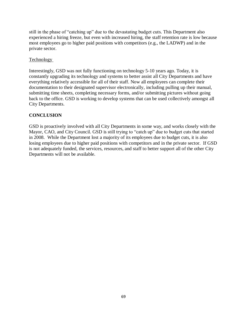still in the phase of "catching up" due to the devastating budget cuts. This Department also experienced a hiring freeze, but even with increased hiring, the staff retention rate is low because most employees go to higher paid positions with competitors (e.g., the LADWP) and in the private sector.

## **Technology**

Interestingly, GSD was not fully functioning on technology 5-10 years ago. Today, it is constantly upgrading its technology and systems to better assist all City Departments and have everything relatively accessible for all of their staff. Now all employees can complete their documentation to their designated supervisor electronically, including pulling up their manual, submitting time sheets, completing necessary forms, and/or submitting pictures without going back to the office. GSD is working to develop systems that can be used collectively amongst all City Departments.

# **CONCLUSION**

GSD is proactively involved with all City Departments in some way, and works closely with the Mayor, CAO, and City Council. GSD is still trying to "catch up" due to budget cuts that started in 2008. While the Department lost a majority of its employees due to budget cuts, it is also losing employees due to higher paid positions with competitors and in the private sector. If GSD is not adequately funded, the services, resources, and staff to better support all of the other City Departments will not be available.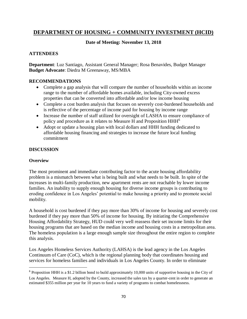# **DEPARTMENT OF HOUSING + COMMUNITY INVESTMENT (HCID)**

# **Date of Meeting: November 13, 2018**

# **ATTENDEES**

**Department**: Luz Santiago, Assistant General Manager; Rosa Benavides, Budget Manager **Budget Advocate**: Diedra M Greenaway, MS/MBA

# **RECOMMENDATIONS**

- Complete a gap analysis that will compare the number of households within an income range to the number of affordable homes available, including City-owned excess properties that can be converted into affordable and/or low income housing
- Complete a cost burden analysis that focuses on severely cost-burdened households and is reflective of the percentage of income paid for housing by income range
- Increase the number of staff utilized for oversight of LASHA to ensure compliance of policy and procedure as it relates to Measure H and Proposition HHH<sup>6</sup>
- Adopt or update a housing plan with local dollars and HHH funding dedicated to affordable housing financing and strategies to increase the future local funding commitment

# **DISCUSSION**

# **Overview**

 $\overline{a}$ 

The most prominent and immediate contributing factor to the acute housing affordability problem is a mismatch between what is being built and what needs to be built. In spite of the increases in multi-family production, new apartment rents are not reachable by lower income families. An inability to supply enough housing for diverse income groups is contributing to eroding confidence in Los Angeles' potential to make housing a priority and to promote social mobility.

A household is cost burdened if they pay more than 30% of income for housing and severely cost burdened if they pay more than 50% of income for housing. By initiating the Comprehensive Housing Affordability Strategy, HUD could very well reassess their set income limits for their housing programs that are based on the median income and housing costs in a metropolitan area. The homeless population is a large enough sample size throughout the entire region to complete this analysis.

Los Angeles Homeless Services Authority (LAHSA) is the lead agency in the Los Angeles Continuum of Care (CoC), which is the regional planning body that coordinates housing and services for homeless families and individuals in Los Angeles County. In order to eliminate

<sup>&</sup>lt;sup>6</sup> Proposition HHH is a \$1.2 billion bond to build approximately 10,000 units of supportive housing in the City of Los Angeles. Measure H, adopted by the County, increased the sales tax by a quarter-cent in order to generate an estimated \$355 million per year for 10 years to fund a variety of programs to combat homelessness.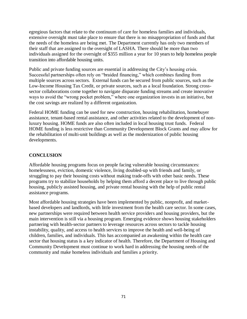egregious factors that relate to the continuum of care for homeless families and individuals, extensive oversight must take place to ensure that there is no misappropriation of funds and that the needs of the homeless are being met. The Department currently has only two members of their staff that are assigned to the oversight of LASHA. There should be more than two individuals assigned for the oversight of \$355 million a year for 10 years to help homeless people transition into affordable housing units.

Public and private funding sources are essential in addressing the City's housing crisis. Successful partnerships often rely on "braided financing," which combines funding from multiple sources across sectors. External funds can be secured from public sources, such as the Low-Income Housing Tax Credit, or private sources, such as a local foundation. Strong crosssector collaborations come together to navigate disparate funding streams and create innovative ways to avoid the "wrong pocket problem," where one organization invests in an initiative, but the cost savings are realized by a different organization.

Federal HOME funding can be used for new construction, housing rehabilitation, homebuyer assistance, tenant-based rental assistance, and other activities related to the development of nonluxury housing. HOME funds are also often included in local housing trust funds. Federal HOME funding is less restrictive than Community Development Block Grants and may allow for the rehabilitation of multi-unit buildings as well as the modernization of public housing developments.

# **CONCLUSION**

Affordable housing programs focus on people facing vulnerable housing circumstances: homelessness, eviction, domestic violence, living doubled-up with friends and family, or struggling to pay their housing costs without making trade-offs with other basic needs. These programs try to stabilize households by helping them afford a decent place to live through public housing, publicly assisted housing, and private rental housing with the help of public rental assistance programs.

Most affordable housing strategies have been implemented by public, nonprofit, and marketbased developers and landlords, with little investment from the health care sector. In some cases, new partnerships were required between health service providers and housing providers, but the main intervention is still via a housing program. Emerging evidence shows housing stakeholders partnering with health-sector partners to leverage resources across sectors to tackle housing instability, quality, and access to health services to improve the health and well-being of children, families, and individuals. This has accompanied an awakening within the health care sector that housing status is a key indicator of health. Therefore, the Department of Housing and Community Development must continue to work hard in addressing the housing needs of the community and make homeless individuals and families a priority.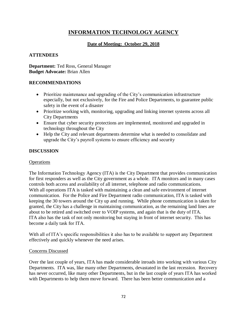## **INFORMATION TECHNOLOGY AGENCY**

### **Date of Meeting: October 29, 2018**

### **ATTENDEES**

**Department:** Ted Ross, General Manager **Budget Advocate:** Brian Allen

### **RECOMMENDATIONS**

- Prioritize maintenance and upgrading of the City's communication infrastructure especially, but not exclusively, for the Fire and Police Departments, to guarantee public safety in the event of a disaster
- Prioritize working with, monitoring, upgrading and linking internet systems across all City Departments
- Ensure that cyber security protections are implemented, monitored and upgraded in technology throughout the City
- Help the City and relevant departments determine what is needed to consolidate and upgrade the City's payroll systems to ensure efficiency and security

### **DISCUSSION**

### **Operations**

The Information Technology Agency (ITA) is the City Department that provides communication for first responders as well as the City government as a whole. ITA monitors and in many cases controls both access and availability of all internet, telephone and radio communications. With all operations ITA is tasked with maintaining a clean and safe environment of internet communication. For the Police and Fire Department radio communication, ITA is tasked with keeping the 30 towers around the City up and running. While phone communication is taken for granted, the City has a challenge in maintaining communication, as the remaining land lines are about to be retired and switched over to VOIP systems, and again that is the duty of ITA. ITA also has the task of not only monitoring but staying in front of internet security. This has become a daily task for ITA.

With all of ITA's specific responsibilities it also has to be available to support any Department effectively and quickly whenever the need arises.

### Concerns Discussed

Over the last couple of years, ITA has made considerable inroads into working with various City Departments. ITA was, like many other Departments, devastated in the last recession. Recovery has never occurred, like many other Departments, but in the last couple of years ITA has worked with Departments to help them move forward. There has been better communication and a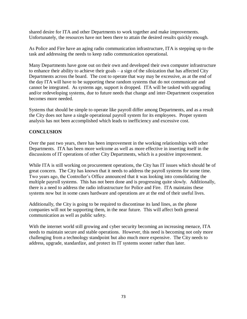shared desire for ITA and other Departments to work together and make improvements. Unfortunately, the resources have not been there to attain the desired results quickly enough.

As Police and Fire have an aging radio communication infrastructure, ITA is stepping up to the task and addressing the needs to keep radio communication operational.

Many Departments have gone out on their own and developed their own computer infrastructure to enhance their ability to achieve their goals – a sign of the siloization that has affected City Departments across the board. The cost to operate that way may be excessive, as at the end of the day ITA will have to be supporting these random systems that do not communicate and cannot be integrated. As systems age, support is dropped. ITA will be tasked with upgrading and/or redeveloping systems, due to future needs that change and inter-Department cooperation becomes more needed.

Systems that should be simple to operate like payroll differ among Departments, and as a result the City does not have a single operational payroll system for its employees. Proper system analysis has not been accomplished which leads to inefficiency and excessive cost.

### **CONCLUSION**

Over the past two years, there has been improvement in the working relationships with other Departments. ITA has been more welcome as well as more effective in inserting itself in the discussions of IT operations of other City Departments, which is a positive improvement.

While ITA is still working on procurement operations, the City has IT issues which should be of great concern. The City has known that it needs to address the payroll systems for some time. Two years ago, the Controller's Office announced that it was looking into consolidating the multiple payroll systems. This has not been done and is progressing quite slowly. Additionally, there is a need to address the radio infrastructure for Police and Fire. ITA maintains these systems now but in some cases hardware and operations are at the end of their useful lives.

Additionally, the City is going to be required to discontinue its land lines, as the phone companies will not be supporting them, in the near future. This will affect both general communication as well as public safety.

With the internet world still growing and cyber security becoming an increasing menace, ITA needs to maintain secure and stable operations. However, this need is becoming not only more challenging from a technology standpoint but also much more expensive. The City needs to address, upgrade, standardize, and protect its IT systems sooner rather than later.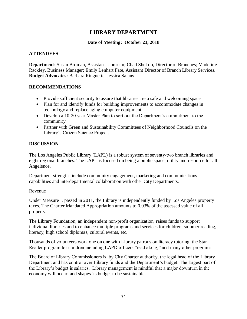### **LIBRARY DEPARTMENT**

### **Date of Meeting: October 23, 2018**

### **ATTENDEES**

**Department**: Susan Broman, Assistant Librarian; Chad Shelton, Director of Branches; Madeline Rackley, Business Manager; Emily Lenhart Fate, Assistant Director of Branch Library Services. **Budget Advocates:** Barbara Ringuette, Jessica Salans

### **RECOMMENDATIONS**

- Provide sufficient security to assure that libraries are a safe and welcoming space
- Plan for and identify funds for building improvements to accommodate changes in technology and replace aging computer equipment
- Develop a 10-20 year Master Plan to sort out the Department's commitment to the community
- Partner with Green and Sustainability Committees of Neighborhood Councils on the Library's Citizen Science Project.

### **DISCUSSION**

The Los Angeles Public Library (LAPL) is a robust system of seventy-two branch libraries and eight regional branches. The LAPL is focused on being a public space, utility and resource for all Angelenos.

Department strengths include community engagement, marketing and communications capabilities and interdepartmental collaboration with other City Departments.

### Revenue

Under Measure L passed in 2011, the Library is independently funded by Los Angeles property taxes. The Charter Mandated Appropriation amounts to 0.03% of the assessed value of all property.

The Library Foundation, an independent non-profit organization, raises funds to support individual libraries and to enhance multiple programs and services for children, summer reading, literacy, high school diplomas, cultural events, etc.

Thousands of volunteers work one on one with Library patrons on literacy tutoring, the Star Reader program for children including LAPD officers "read along," and many other programs.

The Board of Library Commissioners is, by City Charter authority, the legal head of the Library Department and has control over Library funds and the Department's budget. The largest part of the Library's budget is salaries. Library management is mindful that a major downturn in the economy will occur, and shapes its budget to be sustainable.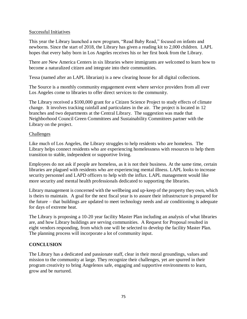### Successful Initiatives

This year the Library launched a new program, "Read Baby Read," focused on infants and newborns. Since the start of 2018, the Library has given a reading kit to 2,000 children. LAPL hopes that every baby born in Los Angeles receives his or her first book from the Library.

There are New America Centers in six libraries where immigrants are welcomed to learn how to become a naturalized citizen and integrate into their communities.

Tessa (named after an LAPL librarian) is a new clearing house for all digital collections.

The Source is a monthly community engagement event where service providers from all over Los Angeles come to libraries to offer direct services to the community.

The Library received a \$100,000 grant for a Citizen Science Project to study effects of climate change. It involves tracking rainfall and particulates in the air. The project is located in 12 branches and two departments at the Central Library. The suggestion was made that Neighborhood Council Green Committees and Sustainability Committees partner with the Library on the project.

### **Challenges**

Like much of Los Angeles, the Library struggles to help residents who are homeless. The Library helps connect residents who are experiencing homelessness with resources to help them transition to stable, independent or supportive living.

Employees do not ask if people are homeless, as it is not their business. At the same time, certain libraries are plagued with residents who are experiencing mental illness. LAPL looks to increase security personnel and LAPD officers to help with the influx. LAPL management would like more security and mental health professionals dedicated to supporting the libraries.

Library management is concerned with the wellbeing and up-keep of the property they own, which is theirs to maintain. A goal for the next fiscal year is to assure their infrastructure is prepared for the future – that buildings are updated to meet technology needs and air conditioning is adequate for days of extreme heat.

The Library is proposing a 10-20 year facility Master Plan including an analysis of what libraries are, and how Library buildings are serving communities. A Request for Proposal resulted in eight vendors responding, from which one will be selected to develop the facility Master Plan. The planning process will incorporate a lot of community input.

### **CONCLUSION**

The Library has a dedicated and passionate staff, clear in their moral groundings, values and mission to the community at large. They recognize their challenges, yet are spurred in their program creativity to bring Angelenos safe, engaging and supportive environments to learn, grow and be nurtured.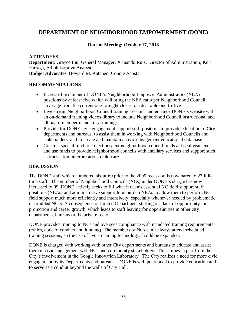### **DEPARTMENT OF NEIGHBORHOOD EMPOWERMENT (DONE)**

### **Date of Meeting: October 17, 2018**

### **ATTENDEES**

**Department**: Grayce Liu, General Manager; Armando Ruiz, Director of Administration; Kori Parraga, Administrative Analyst **Budget Advocates**: Howard M. Katchen, Connie Acosta

### **RECOMMENDATIONS**

- Increase the number of DONE's Neighborhood Empower Administrators (NEA) positions by at least five which will bring the NEA ratio per Neighborhood Council coverage from the current one-to-eight closer to a desirable one-to-five
- Live stream Neighborhood Council training sessions and enhance DONE's website with an on-demand training videos library to include Neighborhood Council instructional and all board member mandatory trainings
- Provide for DONE civic engagement support staff positions to provide education to City departments and bureaus, to assist them in working with Neighborhood Councils and stakeholders, and to create and maintain a civic engagement educational data base
- Create a special fund to collect unspent neighborhood council funds at fiscal year-end and use funds to provide neighborhood councils with ancillary services and support such as translation, interpretation, child care.

### **DISCUSSION**

The DONE staff which numbered about 60 prior to the 2009 recession is now pared to 27 fulltime staff. The number of Neighborhood Councils (NCs) under DONE's charge has now increased to 99. DONE actively seeks to fill what it deems essential NC field support staff positions (NEAs) and administrative support to unburden NEAs to allow them to perform NC field support much more efficiently and intensively, especially whenever needed by problematic or troubled NC's. A consequence of limited Department staffing is a lack of opportunity for promotion and career growth, which leads to staff leaving for opportunities in other city departments, bureaus or the private sector.

DONE provides training to NCs and oversees compliance with mandated training requirements (ethics, code of conduct and funding). The members of NCs can't always attend scheduled training sessions, so the use of live streaming technology should be expanded.

DONE is charged with working with other City departments and bureaus to educate and assist them in civic engagement with NCs and community stakeholders. This comes in part from the City's involvement in the Google Innovation Laboratory. The City realizes a need for more civic engagement by its Departments and bureaus. DONE is well positioned to provide education and to serve as a conduit beyond the walls of City Hall.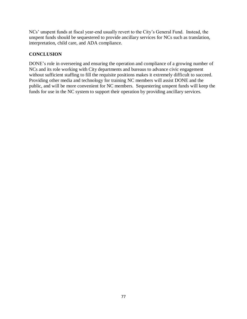NCs' unspent funds at fiscal year-end usually revert to the City's General Fund. Instead, the unspent funds should be sequestered to provide ancillary services for NCs such as translation, interpretation, child care, and ADA compliance.

### **CONCLUSION**

DONE's role in overseeing and ensuring the operation and compliance of a growing number of NCs and its role working with City departments and bureaus to advance civic engagement without sufficient staffing to fill the requisite positions makes it extremely difficult to succeed. Providing other media and technology for training NC members will assist DONE and the public, and will be more convenient for NC members. Sequestering unspent funds will keep the funds for use in the NC system to support their operation by providing ancillary services.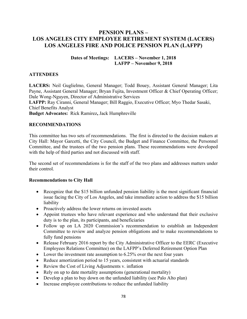### **PENSION PLANS – LOS ANGELES CITY EMPLOYEE RETIREMENT SYSTEM (LACERS) LOS ANGELES FIRE AND POLICE PENSION PLAN (LAFPP)**

### **Dates of Meetings: LACERS – November 1, 2018 LAFPP – November 9, 2018**

### **ATTENDEES**

**LACERS:** Neil Guglielmo, General Manager; Todd Bouey, Assistant General Manager; Lita Payne, Assistant General Manager; Bryan Fujita, Investment Officer & Chief Operating Officer; Dale Wong-Nguyen, Director of Administrative Services

**LAFPP:** Ray Ciranni, General Manager; Bill Raggio, Executive Officer; Myo Thedar Sasaki, Chief Benefits Analyst

**Budget Advocates:** Rick Ramirez**,** Jack Humphreville

### **RECOMMENDATIONS**

This committee has two sets of recommendations. The first is directed to the decision makers at City Hall: Mayor Garcetti, the City Council, the Budget and Finance Committee, the Personnel Committee, and the trustees of the two pension plans. These recommendations were developed with the help of third parties and not discussed with staff.

The second set of recommendations is for the staff of the two plans and addresses matters under their control.

### **Recommendations to City Hall**

- Recognize that the \$15 billion unfunded pension liability is the most significant financial issue facing the City of Los Angeles, and take immediate action to address the \$15 billion liability
- Proactively address the lower returns on invested assets
- Appoint trustees who have relevant experience and who understand that their exclusive duty is to the plan, its participants, and beneficiaries
- Follow up on LA 2020 Commission's recommendation to establish an Independent Committee to review and analyze pension obligations and to make recommendations to fully fund pensions
- Release February 2016 report by the City Administrative Officer to the EERC (Executive Employees Relations Committee) on the LAFPP's Deferred Retirement Option Plan
- Lower the investment rate assumption to 6.25% over the next four years
- Reduce amortization period to 15 years, consistent with actuarial standards
- Review the Cost of Living Adjustments v. inflation
- Rely on up to date mortality assumptions (generational mortality)
- Develop a plan to buy down on the unfunded liability (see Palo Alto plan)
- Increase employee contributions to reduce the unfunded liability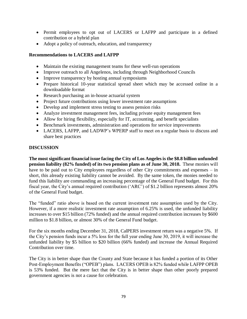- Permit employees to opt out of LACERS or LAFPP and participate in a defined contribution or a hybrid plan
- Adopt a policy of outreach, education, and transparency

### **Recommendations to LACERS and LAFPP**

- Maintain the existing management teams for these well-run operations
- Improve outreach to all Angelenos, including through Neighborhood Councils
- Improve transparency by hosting annual symposiums
- Prepare historical 10-year statistical spread sheet which may be accessed online in a downloadable format
- Research purchasing an in-house actuarial system
- Project future contributions using lower investment rate assumptions
- Develop and implement stress testing to assess pension risks
- Analyze investment management fees, including private equity management fees
- Allow for hiring flexibility, especially for IT, accounting, and benefit specialists
- Benchmark investments, administration and operations for service improvements
- LACERS, LAFPP, and LADWP's WPERP staff to meet on a regular basis to discuss and share best practices

### **DISCUSSION**

**The most significant financial issue facing the City of Los Angeles is the \$8.8 billion unfunded pension liability (82% funded) of its two pension plans as of June 30, 2018.** These monies will have to be paid out to City employees regardless of other City commitments and expenses – in short, this already existing liability cannot be avoided. By the same token, the monies needed to fund this liability are commanding an increasing percentage of the General Fund budget. For this fiscal year, the City's annual required contribution ('ARC') of \$1.2 billion represents almost 20% of the General Fund budget.

The "funded" ratio above is based on the current investment rate assumption used by the City. However, if a more realistic investment rate assumption of 6.25% is used, the unfunded liability increases to over \$15 billion (72% funded) and the annual required contribution increases by \$600 million to \$1.8 billion, or almost 30% of the General Fund budget.

For the six months ending December 31, 2018, CalPERS investment return was a negative 5%. If the City's pension funds incur a 5% loss for the full year ending June 30, 2019, it will increase the unfunded liability by \$5 billion to \$20 billion (66% funded) and increase the Annual Required Contribution over time.

The City is in better shape than the County and State because it has funded a portion of its Other Post-Employment Benefits ("OPEB") plans. LACERS OPEB is 82% funded while LAFPP OPEB is 53% funded. But the mere fact that the City is in better shape than other poorly prepared government agencies is not a cause for celebration.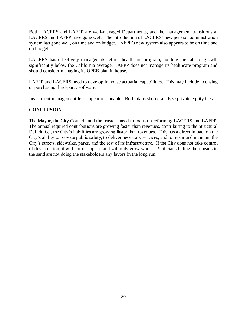Both LACERS and LAFPP are well-managed Departments, and the management transitions at LACERS and LAFPP have gone well. The introduction of LACERS' new pension administration system has gone well, on time and on budget. LAFPP's new system also appears to be on time and on budget.

LACERS has effectively managed its retiree healthcare program, holding the rate of growth significantly below the California average. LAFPP does not manage its healthcare program and should consider managing its OPEB plan in house.

LAFPP and LACERS need to develop in house actuarial capabilities. This may include licensing or purchasing third-party software.

Investment management fees appear reasonable. Both plans should analyze private equity fees.

### **CONCLUSION**

The Mayor, the City Council, and the trustees need to focus on reforming LACERS and LAFPP. The annual required contributions are growing faster than revenues, contributing to the Structural Deficit, i.e., the City's liabilities are growing faster than revenues. This has a direct impact on the City's ability to provide public safety, to deliver necessary services, and to repair and maintain the City's streets, sidewalks, parks, and the rest of its infrastructure. If the City does not take control of this situation, it will not disappear, and will only grow worse. Politicians hiding their heads in the sand are not doing the stakeholders any favors in the long run.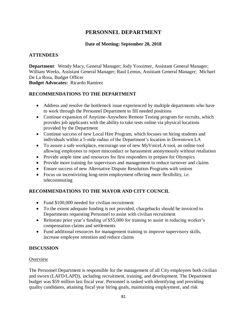### **PERSONNEL DEPARTMENT**

### **Date of Meeting: September 28, 2018**

### **ATTENDEES**

**Department**: Wendy Macy, General Manager; Jody Yoxsimer, Assistant General Manager; William Weeks, Assistant General Manager; Raul Lemus, Assistant General Manager; Michael De La Rosa, Budget Officer **Budget Advocates:** Ricardo Ramirez

**RECOMMENDATIONS TO THE DEPARTMENT**

# • Address and resolve the bottleneck issue experienced by multiple departments who have

- to work through the Personnel Department to fill needed positions
- Continue expansion of Anytime-Anywhere Remote Testing program for recruits, which provides job applicants with the ability to take tests online via physical locations provided by the Department
- Continue success of new Local Hire Program, which focuses on hiring students and individuals within a 5-mile radius of the Department's location in Downtown LA
- To assure a safe workplace, encourage use of new MyVoiceLA tool, an online tool allowing employees to report misconduct or harassment anonymously without retaliation
- Provide ample time and resources for first responders to prepare for Olympics
- Provide more training for supervisors and management to reduce turnover and claims
- Ensure success of new Alternative Dispute Resolution Programs with unions
- Focus on incentivizing long-term employment offering more flexibility, i.e. telecommuting

### **RECOMMENDATIONS TO THE MAYOR AND CITY COUNCIL**

- Fund \$100,000 needed for civilian recruitment
- To the extent adequate funding is not provided, chargebacks should be invoiced to Departments requesting Personnel to assist with civilian recruitment
- Reinstate prior year's funding of \$55,000 for training to assist in reducing worker's compensation claims and settlements
- Fund additional resources for management training to improve supervisory skills, increase employee retention and reduce claims

### **DISCUSSION**

### **Overview**

The Personnel Department is responsible for the management of all City employees both civilian and sworn (LAFD/LAPD), including recruitment, training, and development. The Department budget was \$59 million last fiscal year. Personnel is tasked with identifying and providing quality candidates, attaining fiscal year hiring goals, maintaining employment, and risk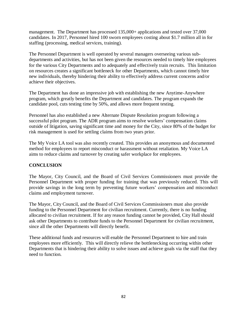management. The Department has processed 135,000+ applications and tested over 37,000 candidates. In 2017, Personnel hired 100 sworn employees costing about \$1.7 million all in for staffing (processing, medical services, training).

The Personnel Department is well operated by several managers overseeing various subdepartments and activities, but has not been given the resources needed to timely hire employees for the various City Departments and to adequately and effectively train recruits. This limitation on resources creates a significant bottleneck for other Departments, which cannot timely hire new individuals, thereby hindering their ability to effectively address current concerns and/or achieve their objectives.

The Department has done an impressive job with establishing the new Anytime-Anywhere program, which greatly benefits the Department and candidates. The program expands the candidate pool, cuts testing time by 50%, and allows more frequent testing.

Personnel has also established a new Alternate Dispute Resolution program following a successful pilot program. The ADR program aims to resolve workers' compensation claims outside of litigation, saving significant time and money for the City, since 80% of the budget for risk management is used for settling claims from two years prior.

The My Voice LA tool was also recently created. This provides an anonymous and documented method for employees to report misconduct or harassment without retaliation. My Voice LA aims to reduce claims and turnover by creating safer workplace for employees.

### **CONCLUSION**

The Mayor, City Council, and the Board of Civil Services Commissioners must provide the Personnel Department with proper funding for training that was previously reduced. This will provide savings in the long term by preventing future workers' compensation and misconduct claims and employment turnover.

The Mayor, City Council, and the Board of Civil Services Commissioners must also provide funding to the Personnel Department for civilian recruitment. Currently, there is no funding allocated to civilian recruitment. If for any reason funding cannot be provided, City Hall should ask other Departments to contribute funds to the Personnel Department for civilian recruitment, since all the other Departments will directly benefit.

These additional funds and resources will enable the Personnel Department to hire and train employees more efficiently. This will directly relieve the bottlenecking occurring within other Departments that is hindering their ability to solve issues and achieve goals via the staff that they need to function.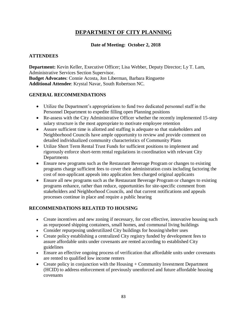### **DEPARTMENT OF CITY PLANNING**

### **Date of Meeting: October 2, 2018**

### **ATTENDEES**

**Department:** Kevin Keller, Executive Officer; Lisa Webber, Deputy Director; Ly T. Lam, Administrative Services Section Supervisor. **Budget Advocates**: Connie Acosta, Jon Liberman, Barbara Ringuette **Additional Attendee**: Krystal Navar, South Robertson NC.

### **GENERAL RECOMMENDATIONS**

- Utilize the Department's appropriations to fund two dedicated personnel staff in the Personnel Department to expedite filling open Planning positions
- Re-assess with the City Administrative Officer whether the recently implemented 15-step salary structure is the most appropriate to motivate employee retention
- Assure sufficient time is allotted and staffing is adequate so that stakeholders and Neighborhood Councils have ample opportunity to review and provide comment on detailed individualized community characteristics of Community Plans
- Utilize Short Term Rental Trust Funds for sufficient positions to implement and rigorously enforce short-term rental regulations in coordination with relevant City **Departments**
- Ensure new programs such as the Restaurant Beverage Program or changes to existing programs charge sufficient fees to cover their administration costs including factoring the cost of non-applicant appeals into application fees charged original applicants
- Ensure all new programs such as the Restaurant Beverage Program or changes to existing programs enhance, rather than reduce, opportunities for site-specific comment from stakeholders and Neighborhood Councils, and that current notifications and appeals processes continue in place and require a public hearing

### **RECOMMENDATIONS RELATED TO HOUSING**

- Create incentives and new zoning if necessary, for cost effective, innovative housing such as repurposed shipping containers, small homes, and communal living buildings
- Consider repurposing underutilized City buildings for housing/shelter uses
- Create policy establishing a centralized City registry funded by development fees to assure affordable units under covenants are rented according to established City guidelines
- Ensure an effective ongoing process of verification that affordable units under covenants are rented to qualified low income renters
- Create policy in conjunction with the Housing + Community Investment Department (HCID) to address enforcement of previously unenforced and future affordable housing covenants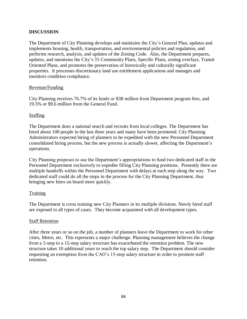### **DISCUSSION**

The Department of City Planning develops and maintains the City's General Plan, updates and implements housing, health, transportation, and environmental policies and regulation, and performs research, analysis, and updates of the Zoning Code. Also, the Department prepares, updates, and maintains the City's 35 Community Plans, Specific Plans, zoning overlays, Transit Oriented Plans, and promotes the preservation of historically and culturally significant properties. It processes discretionary land use entitlement applications and manages and monitors condition compliance.

### Revenue/Funding

City Planning receives 76.7% of its funds or \$38 million from Department program fees, and 19.5% or \$9.6 million from the General Fund.

### Staffing

The Department does a national search and recruits from local colleges. The Department has hired about 100 people in the last three years and many have been promoted. City Planning Administrators expected hiring of planners to be expedited with the new Personnel Department consolidated hiring process, but the new process is actually slower, affecting the Department's operations.

City Planning proposes to use the Department's appropriations to fund two dedicated staff in the Personnel Department exclusively to expedite filling City Planning positions. Presently there are multiple handoffs within the Personnel Department with delays at each step along the way. Two dedicated staff could do all the steps in the process for the City Planning Department, thus bringing new hires on board more quickly.

### Training

The Department is cross training new City Planners in its multiple divisions. Newly hired staff are exposed to all types of cases. They become acquainted with all development types.

#### Staff Retention

After three years or so on the job, a number of planners leave the Department to work for other cities, Metro, etc. This represents a major challenge. Planning management believes the change from a 5-step to a 15-step salary structure has exacerbated the retention problem. The new structure takes 10 additional years to reach the top salary step. The Department should consider requesting an exemption from the CAO's 15-step salary structure in order to promote staff retention.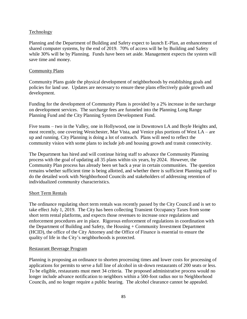### **Technology**

Planning and the Department of Building and Safety expect to launch E-Plan, an enhancement of shared computer systems, by the end of 2019. 70% of access will be by Building and Safety while 30% will be by Planning. Funds have been set aside. Management expects the system will save time and money.

### Community Plans

Community Plans guide the physical development of neighborhoods by establishing goals and policies for land use. Updates are necessary to ensure these plans effectively guide growth and development.

Funding for the development of Community Plans is provided by a 2% increase in the surcharge on development services. The surcharge fees are funneled into the Planning Long Range Planning Fund and the City Planning System Development Fund.

Five teams – two in the Valley, one in Hollywood, one in Downtown LA and Boyle Heights and, most recently, one covering Westchester, Mar Vista, and Venice plus portions of West LA – are up and running. City Planning is doing a lot of outreach. Plans will need to reflect the community vision with some plans to include job and housing growth and transit connectivity.

The Department has hired and will continue hiring staff to advance the Community Planning process with the goal of updating all 35 plans within six years, by 2024. However, the Community Plan process has already been set back a year in certain communities. The question remains whether sufficient time is being allotted, and whether there is sufficient Planning staff to do the detailed work with Neighborhood Councils and stakeholders of addressing retention of individualized community characteristics.

### Short Term Rentals

The ordinance regulating short term rentals was recently passed by the City Council and is set to take effect July 1, 2019. The City has been collecting Transient Occupancy Taxes from some short term rental platforms, and expects those revenues to increase once regulations and enforcement procedures are in place. Rigorous enforcement of regulations in coordination with the Department of Building and Safety, the Housing + Community Investment Department (HCID), the office of the City Attorney and the Office of Finance is essential to ensure the quality of life in the City's neighborhoods is protected.

#### Restaurant Beverage Program

Planning is proposing an ordinance to shorten processing times and lower costs for processing of applications for permits to serve a full line of alcohol in sit-down restaurants of 200 seats or less. To be eligible, restaurants must meet 34 criteria. The proposed administrative process would no longer include advance notification to neighbors within a 500-foot radius nor to Neighborhood Councils, and no longer require a public hearing. The alcohol clearance cannot be appealed.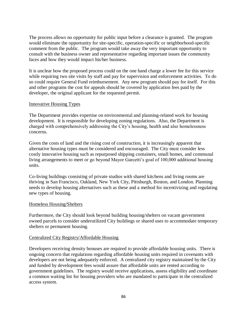The process allows no opportunity for public input before a clearance is granted. The program would eliminate the opportunity for site-specific, operation-specific or neighborhood-specific comment from the public. The program would take away the very important opportunity to consult with the business owner and representative regarding important issues the community faces and how they would impact his/her business.

It is unclear how the proposed process could on the one hand charge a lower fee for this service while requiring two site visits by staff and pay for supervision and enforcement activities. To do so could require General Fund reimbursement. Any new program should pay for itself. For this and other programs the cost for appeals should be covered by application fees paid by the developer, the original applicant for the requested permit.

### Innovative Housing Types

The Department provides expertise on environmental and planning-related work for housing development. It is responsible for developing zoning regulations. Also, the Department is charged with comprehensively addressing the City's housing, health and also homelessness concerns.

Given the costs of land and the rising cost of construction, it is increasingly apparent that alternative housing types must be considered and encouraged. The City must consider less costly innovative housing such as repurposed shipping containers, small homes, and communal living arrangements to meet or go beyond Mayor Garcetti's goal of 100,000 additional housing units.

Co-living buildings consisting of private studios with shared kitchens and living rooms are thriving in San Francisco, Oakland, New York City, Pittsburgh, Boston, and London. Planning needs to develop housing alternatives such as these and a method for incentivizing and regulating new types of housing.

#### Homeless Housing/Shelters

Furthermore, the City should look beyond building housing/shelters on vacant government owned parcels to consider underutilized City buildings or shared uses to accommodate temporary shelters or permanent housing.

### Centralized City Registry/Affordable Housing

Developers receiving density bonuses are required to provide affordable housing units. There is ongoing concern that regulations regarding affordable housing units required in covenants with developers are not being adequately enforced. A centralized city registry maintained by the City and funded by development fees would assure that affordable units are rented according to government guidelines. The registry would receive applications, assess eligibility and coordinate a common waiting list for housing providers who are mandated to participate in the centralized access system.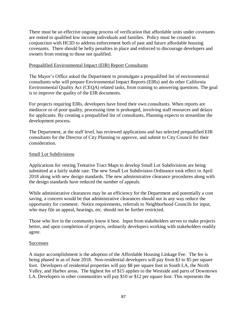There must be an effective ongoing process of verification that affordable units under covenants are rented to qualified low income individuals and families. Policy must be created in conjunction with HCID to address enforcement both of past and future affordable housing covenants. There should be hefty penalties in place and enforced to discourage developers and owners from renting to those not qualified.

### Prequalified Environmental Impact (EIR) Report Consultants

The Mayor's Office asked the Department to promulgate a prequalified list of environmental consultants who will prepare Environmental Impact Reports (EIRs) and do other California Environmental Quality Act (CEQA) related tasks, from training to answering questions. The goal is to improve the quality of the EIR documents.

For projects requiring EIRs, developers have hired their own consultants. When reports are mediocre or of poor quality, processing time is prolonged, involving staff resources and delays for applicants. By creating a prequalified list of consultants, Planning expects to streamline the development process.

The Department, at the staff level, has reviewed applications and has selected prequalified EIR consultants for the Director of City Planning to approve, and submit to City Council for their consideration.

### Small Lot Subdivisions

Applications for vesting Tentative Tract Maps to develop Small Lot Subdivisions are being submitted at a fairly stable rate. The new Small Lot Subdivision Ordinance took effect in April 2018 along with new design standards. The new administrative clearance procedures along with the design standards have reduced the number of appeals.

While administrative clearances may be an efficiency for the Department and potentially a cost saving, a concern would be that administrative clearances should not in any way reduce the opportunity for comment. Notice requirements, referrals to Neighborhood Councils for input, who may file an appeal, hearings, etc. should not be further restricted.

Those who live in the community know it best. Input from stakeholders serves to make projects better, and upon completion of projects, ordinarily developers working with stakeholders readily agree.

### **Successes**

A major accomplishment is the adoption of the Affordable Housing Linkage Fee. The fee is being phased in as of June 2018. Non-residential developers will pay from \$3 to \$5 per square foot. Developers of residential properties will pay \$8 per square foot in South LA, the North Valley, and Harbor areas. The highest fee of \$15 applies to the Westside and parts of Downtown LA. Developers in other communities will pay \$10 or \$12 per square foot. This represents the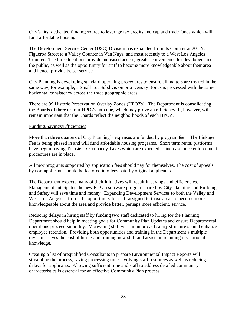City's first dedicated funding source to leverage tax credits and cap and trade funds which will fund affordable housing.

The Development Service Center (DSC) Division has expanded from its Counter at 201 N. Figueroa Street to a Valley Counter in Van Nuys, and most recently to a West Los Angeles Counter. The three locations provide increased access, greater convenience for developers and the public, as well as the opportunity for staff to become more knowledgeable about their area and hence, provide better service.

City Planning is developing standard operating procedures to ensure all matters are treated in the same way; for example, a Small Lot Subdivision or a Density Bonus is processed with the same horizontal consistency across the three geographic areas.

There are 39 Historic Preservation Overlay Zones (HPOZs). The Department is consolidating the Boards of three or four HPOZs into one, which may prove an efficiency. It, however, will remain important that the Boards reflect the neighborhoods of each HPOZ.

### Funding/Savings/Efficiencies

More than three quarters of City Planning's expenses are funded by program fees. The Linkage Fee is being phased in and will fund affordable housing programs. Short term rental platforms have begun paying Transient Occupancy Taxes which are expected to increase once enforcement procedures are in place.

All new programs supported by application fees should pay for themselves. The cost of appeals by non-applicants should be factored into fees paid by original applicants.

The Department expects many of their initiatives will result in savings and efficiencies. Management anticipates the new E-Plan software program shared by City Planning and Building and Safety will save time and money. Expanding Development Services to both the Valley and West Los Angeles affords the opportunity for staff assigned to those areas to become more knowledgeable about the area and provide better, perhaps more efficient, service.

Reducing delays in hiring staff by funding two staff dedicated to hiring for the Planning Department should help in meeting goals for Community Plan Updates and ensure Departmental operations proceed smoothly. Motivating staff with an improved salary structure should enhance employee retention. Providing both opportunities and training in the Department's multiple divisions saves the cost of hiring and training new staff and assists in retaining institutional knowledge.

Creating a list of prequalified Consultants to prepare Environmental Impact Reports will streamline the process, saving processing time involving staff resources as well as reducing delays for applicants. Allowing sufficient time and staff to address detailed community characteristics is essential for an effective Community Plan process.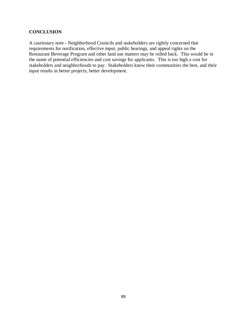### **CONCLUSION**

A cautionary note - Neighborhood Councils and stakeholders are rightly concerned that requirements for notification, effective input, public hearings, and appeal rights on the Restaurant Beverage Program and other land use matters may be rolled back. This would be in the name of potential efficiencies and cost savings for applicants. This is too high a cost for stakeholders and neighborhoods to pay. Stakeholders know their communities the best, and their input results in better projects, better development.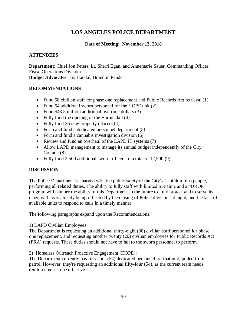### **LOS ANGELES POLICE DEPARTMENT**

### **Date of Meeting: November 13, 2018**

### **ATTENDEES**

**Department**: Chief Jon Peters, Lt. Sherri Egan, and Annemarie Sauer, Commanding Officer, Fiscal Operations Division **Budget Advocates**: Jay Handal, Brandon Pender

### **RECOMMENDATIONS**

- Fund 58 civilian staff for phase one replacement and Public Records Act retrieval (1)
- Fund 54 additional sworn personnel for the HOPE unit (2)
- Fund \$43.5 million additional overtime dollars (3)
- Fully fund the opening of the Harbor Jail (4)
- Fully fund 26 new property officers (4)
- Form and fund a dedicated personnel department (5)
- Form and fund a cannabis investigation division (6)
- Review and fund an overhaul of the LAPD IT systems (7)
- Allow LAPD management to manage its annual budget independently of the City Council (8)
- Fully fund 2,500 additional sworn officers to a total of 12,500 (9)

### **DISCUSSION**

The Police Department is charged with the public safety of the City's 4 million-plus people, performing all related duties. The ability to fully staff with limited overtime and a "DROP" program will hamper the ability of this Department in the future to fully protect and to serve its citizens. This is already being reflected by the closing of Police divisions at night, and the lack of available units to respond to calls in a timely manner.

The following paragraphs expand upon the Recommendations:

1) LAPD Civilian Employees:

The Department is requesting an additional thirty-eight (38) civilian staff personnel for phase one replacement, and requesting another twenty (20) civilian employees for Public Records Act (PRA) requests. These duties should not have to fall to the sworn personnel to perform.

2) Homeless Outreach Proactive Engagement (HOPE):

The Department currently has fifty-four (54) dedicated personnel for that unit, pulled from patrol. However, they're requesting an additional fifty-four (54), as the current team needs reinforcement to be effective.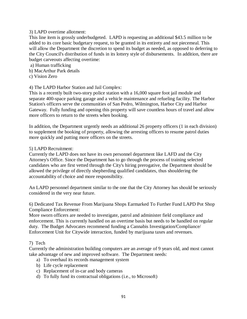### 3) LAPD overtime allotment:

This line item is grossly underbudgeted. LAPD is requesting an additional \$43.5 million to be added to its core basic budgetary request, to be granted in its entirety and not piecemeal. This will allow the Department the discretion to spend its budget as needed, as opposed to deferring to the City Council's distribution of funds in its lottery style of disbursements. In addition, there are budget carveouts affecting overtime:

a) Human trafficking

- b) MacArthur Park details
- c) Vision Zero

### 4) The LAPD Harbor Station and Jail Complex:

This is a recently built two-story police station with a 16,000 square foot jail module and separate 400-space parking garage and a vehicle maintenance and refueling facility. The Harbor Station's officers serve the communities of San Pedro, Wilmington, Harbor City and Harbor Gateway. Fully funding and opening this property will save countless hours of travel and allow more officers to return to the streets when booking.

In addition, the Department urgently needs an additional 26 property officers (1 in each division) to supplement the booking of property, allowing the arresting officers to resume patrol duties more quickly and putting more officers on the streets.

### 5) LAPD Recruitment:

Currently the LAPD does not have its own personnel department like LAFD and the City Attorney's Office. Since the Department has to go through the process of training selected candidates who are first vetted through the City's hiring prerogative, the Department should be allowed the privilege of directly shepherding qualified candidates, thus shouldering the accountability of choice and more responsibility.

An LAPD personnel department similar to the one that the City Attorney has should be seriously considered in the very near future.

6) Dedicated Tax Revenue From Marijuana Shops Earmarked To Further Fund LAPD Pot Shop Compliance Enforcement:

More sworn officers are needed to investigate, patrol and administer field compliance and enforcement. This is currently handled on an overtime basis but needs to be handled on regular duty. The Budget Advocates recommend funding a Cannabis Investigation/Compliance/ Enforcement Unit for Citywide interaction, funded by marijuana taxes and revenues.

### 7) Tech

Currently the administration building computers are an average of 9 years old, and most cannot take advantage of new and improved software. The Department needs:

- a) To overhaul its records management system
- b) Life cycle replacement
- c) Replacement of in-car and body cameras
- d) To fully fund its contractual obligations (i.e., to Microsoft)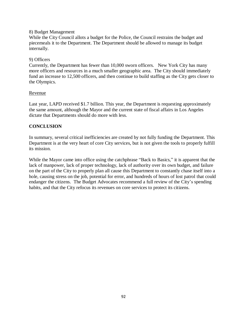### 8) Budget Management

While the City Council allots a budget for the Police, the Council restrains the budget and piecemeals it to the Department. The Department should be allowed to manage its budget internally.

### 9) Officers

Currently, the Department has fewer than 10,000 sworn officers. New York City has many more officers and resources in a much smaller geographic area. The City should immediately fund an increase to 12,500 officers, and then continue to build staffing as the City gets closer to the Olympics.

### Revenue

Last year, LAPD received \$1.7 billion. This year, the Department is requesting approximately the same amount, although the Mayor and the current state of fiscal affairs in Los Angeles dictate that Departments should do more with less.

### **CONCLUSION**

In summary, several critical inefficiencies are created by not fully funding the Department. This Department is at the very heart of core City services, but is not given the tools to properly fulfill its mission.

While the Mayor came into office using the catchphrase "Back to Basics," it is apparent that the lack of manpower, lack of proper technology, lack of authority over its own budget, and failure on the part of the City to properly plan all cause this Department to constantly chase itself into a hole, causing stress on the job, potential for error, and hundreds of hours of lost patrol that could endanger the citizens. The Budget Advocates recommend a full review of the City's spending habits, and that the City refocus its revenues on core services to protect its citizens.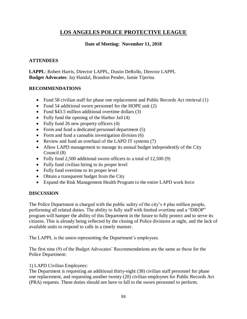### **LOS ANGELES POLICE PROTECTIVE LEAGUE**

### **Date of Meeting: November 11, 2018**

### **ATTENDEES**

**LAPPL**: Robert Harris, Director LAPPL, Dustin DeRollo, Director LAPPL **Budget Advocates**: Jay Handal, Brandon Pender, Jamie Tijerina

### **RECOMMENDATIONS**

- Fund 58 civilian staff for phase one replacement and Public Records Act retrieval (1)
- Fund 54 additional sworn personnel for the HOPE unit (2)
- Fund \$43.5 million additional overtime dollars (3)
- Fully fund the opening of the Harbor Jail (4)
- Fully fund 26 new property officers (4)
- Form and fund a dedicated personnel department (5)
- Form and fund a cannabis investigation division (6)
- Review and fund an overhaul of the LAPD IT systems (7)
- Allow LAPD management to manage its annual budget independently of the City Council (8)
- Fully fund 2,500 additional sworn officers to a total of 12,500 (9)
- Fully fund civilian hiring to its proper level
- Fully fund overtime to its proper level
- Obtain a transparent budget from the City
- Expand the Risk Management Health Program to the entire LAPD work force

### **DISCUSSION**

The Police Department is charged with the public safety of the city's 4 plus million people, performing all related duties. The ability to fully staff with limited overtime and a "DROP" program will hamper the ability of this Department in the future to fully protect and to serve its citizens. This is already being reflected by the closing of Police divisions at night, and the lack of available units to respond to calls in a timely manner.

The LAPPL is the union representing the Department's employees.

The first nine (9) of the Budget Advocates' Recommendations are the same as those for the Police Department:

### 1) LAPD Civilian Employees:

The Department is requesting an additional thirty-eight (38) civilian staff personnel for phase one replacement, and requesting another twenty (20) civilian employees for Public Records Act (PRA) requests. These duties should not have to fall to the sworn personnel to perform.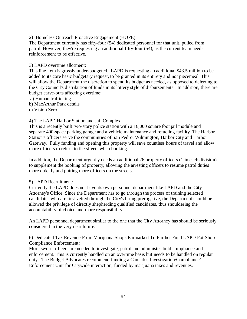2) Homeless Outreach Proactive Engagement (HOPE):

The Department currently has fifty-four (54) dedicated personnel for that unit, pulled from patrol. However, they're requesting an additional fifty-four (54), as the current team needs reinforcement to be effective.

### 3) LAPD overtime allotment:

This line item is grossly under-budgeted. LAPD is requesting an additional \$43.5 million to be added to its core basic budgetary request, to be granted in its entirety and not piecemeal. This will allow the Department the discretion to spend its budget as needed, as opposed to deferring to the City Council's distribution of funds in its lottery style of disbursements. In addition, there are budget carve-outs affecting overtime:

- a) Human trafficking
- b) MacArthur Park details
- c) Vision Zero

### 4) The LAPD Harbor Station and Jail Complex:

This is a recently built two-story police station with a 16,000 square foot jail module and separate 400-space parking garage and a vehicle maintenance and refueling facility. The Harbor Station's officers serve the communities of San Pedro, Wilmington, Harbor City and Harbor Gateway. Fully funding and opening this property will save countless hours of travel and allow more officers to return to the streets when booking.

In addition, the Department urgently needs an additional 26 property officers (1 in each division) to supplement the booking of property, allowing the arresting officers to resume patrol duties more quickly and putting more officers on the streets.

### 5) LAPD Recruitment:

Currently the LAPD does not have its own personnel department like LAFD and the City Attorney's Office. Since the Department has to go through the process of training selected candidates who are first vetted through the City's hiring prerogative, the Department should be allowed the privilege of directly shepherding qualified candidates, thus shouldering the accountability of choice and more responsibility.

An LAPD personnel department similar to the one that the City Attorney has should be seriously considered in the very near future.

6) Dedicated Tax Revenue From Marijuana Shops Earmarked To Further Fund LAPD Pot Shop Compliance Enforcement:

More sworn officers are needed to investigate, patrol and administer field compliance and enforcement. This is currently handled on an overtime basis but needs to be handled on regular duty. The Budget Advocates recommend funding a Cannabis Investigation/Compliance/ Enforcement Unit for Citywide interaction, funded by marijuana taxes and revenues.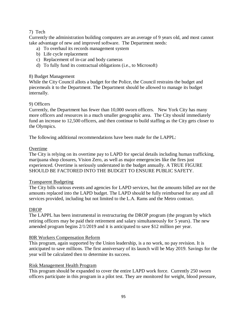### 7) Tech

Currently the administration building computers are an average of 9 years old, and most cannot take advantage of new and improved software. The Department needs:

- a) To overhaul its records management system
- b) Life cycle replacement
- c) Replacement of in-car and body cameras
- d) To fully fund its contractual obligations (i.e., to Microsoft)

### 8) Budget Management

While the City Council allots a budget for the Police, the Council restrains the budget and piecemeals it to the Department. The Department should be allowed to manage its budget internally.

### 9) Officers

Currently, the Department has fewer than 10,000 sworn officers. New York City has many more officers and resources in a much smaller geographic area. The City should immediately fund an increase to 12,500 officers, and then continue to build staffing as the City gets closer to the Olympics.

The following additional recommendations have been made for the LAPPL:

### Overtime

The City is relying on its overtime pay to LAPD for special details including human trafficking, marijuana shop closures, Vision Zero, as well as major emergencies like the fires just experienced. Overtime is seriously understated in the budget annually. A TRUE FIGURE SHOULD BE FACTORED INTO THE BUDGET TO ENSURE PUBLIC SAFETY.

### Transparent Budgeting

The City bills various events and agencies for LAPD services, but the amounts billed are not the amounts replaced into the LAPD budget. The LAPD should be fully reimbursed for any and all services provided, including but not limited to the L.A. Rams and the Metro contract.

### DROP

The LAPPL has been instrumental in restructuring the DROP program (the program by which retiring officers may be paid their retirement and salary simultaneously for 5 years). The new amended program begins 2/1/2019 and it is anticipated to save \$12 million per year.

### 80R Workers Compensation Reform

This program, again supported by the Union leadership, is a no work, no pay revision. It is anticipated to save millions. The first anniversary of its launch will be May 2019. Savings for the year will be calculated then to determine its success.

### Risk Management Health Program

This program should be expanded to cover the entire LAPD work force. Currently 250 sworn officers participate in this program in a pilot test. They are monitored for weight, blood pressure,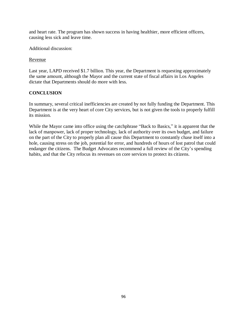and heart rate. The program has shown success in having healthier, more efficient officers, causing less sick and leave time.

Additional discussion:

### Revenue

Last year, LAPD received \$1.7 billion. This year, the Department is requesting approximately the same amount, although the Mayor and the current state of fiscal affairs in Los Angeles dictate that Departments should do more with less.

### **CONCLUSION**

In summary, several critical inefficiencies are created by not fully funding the Department. This Department is at the very heart of core City services, but is not given the tools to properly fulfill its mission.

While the Mayor came into office using the catchphrase "Back to Basics," it is apparent that the lack of manpower, lack of proper technology, lack of authority over its own budget, and failure on the part of the City to properly plan all cause this Department to constantly chase itself into a hole, causing stress on the job, potential for error, and hundreds of hours of lost patrol that could endanger the citizens. The Budget Advocates recommend a full review of the City's spending habits, and that the City refocus its revenues on core services to protect its citizens.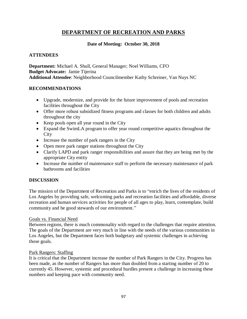### **DEPARTMENT OF RECREATION AND PARKS**

### **Date of Meeting: October 30, 2018**

### **ATTENDEES**

**Department:** Michael A. Shull, General Manager; Noel Williams, CFO **Budget Advocate:** Jamie Tijerina **Additional Attendee**: Neighborhood Councilmember Kathy Schreiner, Van Nuys NC

### **RECOMMENDATIONS**

- Upgrade, modernize, and provide for the future improvement of pools and recreation facilities throughout the City
- Offer more robust subsidized fitness programs and classes for both children and adults throughout the city
- Keep pools open all year round in the City
- Expand the SwimLA program to offer year round competitive aquatics throughout the City
- Increase the number of park rangers in the City
- Open more park ranger stations throughout the City
- Clarify LAPD and park ranger responsibilities and assure that they are being met by the appropriate City entity
- Increase the number of maintenance staff to perform the necessary maintenance of park bathrooms and facilities

### **DISCUSSION**

The mission of the Department of Recreation and Parks is to "enrich the lives of the residents of Los Angeles by providing safe, welcoming parks and recreation facilities and affordable, diverse recreation and human services activities for people of all ages to play, learn, contemplate, build community and be good stewards of our environment."

### Goals vs. Financial Need

Between regions, there is much commonality with regard to the challenges that require attention. The goals of the Department are very much in line with the needs of the various communities in Los Angeles, but the Department faces both budgetary and systemic challenges in achieving those goals.

### Park Rangers: Staffing

It is critical that the Department increase the number of Park Rangers in the City. Progress has been made, as the number of Rangers has more than doubled from a starting number of 20 to currently 45. However, systemic and procedural hurdles present a challenge in increasing these numbers and keeping pace with community need.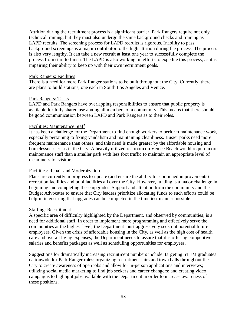Attrition during the recruitment process is a significant barrier. Park Rangers require not only technical training, but they must also undergo the same background checks and training as LAPD recruits. The screening process for LAPD recruits is rigorous. Inability to pass background screenings is a major contributor to the high attrition during the process. The process is also very lengthy. It can take a new recruit at least one year to successfully complete the process from start to finish. The LAPD is also working on efforts to expedite this process, as it is impairing their ability to keep up with their own recruitment goals.

#### Park Rangers: Facilities

There is a need for more Park Ranger stations to be built throughout the City. Currently, there are plans to build stations, one each in South Los Angeles and Venice.

#### Park Rangers: Tasks

LAPD and Park Rangers have overlapping responsibilities to ensure that public property is available for fully shared use among all members of a community. This means that there should be good communication between LAPD and Park Rangers as to their roles.

### Facilities: Maintenance Staff

It has been a challenge for the Department to find enough workers to perform maintenance work, especially pertaining to fixing vandalism and maintaining cleanliness. Busier parks need more frequent maintenance than others, and this need is made greater by the affordable housing and homelessness crisis in the City. A heavily utilized restroom on Venice Beach would require more maintenance staff than a smaller park with less foot traffic to maintain an appropriate level of cleanliness for visitors.

### Facilities: Repair and Modernization

Plans are currently in progress to update (and ensure the ability for continued improvements) recreation facilities and pool facilities all over the City. However, funding is a major challenge in beginning and completing these upgrades. Support and attention from the community and the Budget Advocates to ensure that City leaders prioritize allocating funds to such efforts could be helpful in ensuring that upgrades can be completed in the timeliest manner possible.

#### Staffing: Recruitment

A specific area of difficulty highlighted by the Department, and observed by communities, is a need for additional staff. In order to implement more programming and effectively serve the communities at the highest level, the Department must aggressively seek out potential future employees. Given the crisis of affordable housing in the City, as well as the high cost of health care and overall living expenses, the Department needs to assure that it is offering competitive salaries and benefits packages as well as scheduling opportunities for employees.

Suggestions for dramatically increasing recruitment numbers include: targeting STEM graduates nationwide for Park Ranger roles; organizing recruitment fairs and town halls throughout the City to create awareness of open jobs and allow for in-person applications and interviews; utilizing social media marketing to find job seekers and career changers; and creating video campaigns to highlight jobs available with the Department in order to increase awareness of these positions.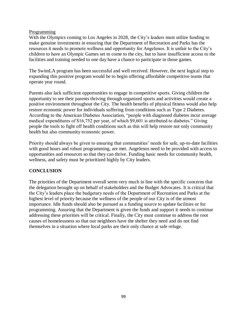### Programming

With the Olympics coming to Los Angeles in 2028, the City's leaders must utilize funding to make genuine investments in ensuring that the Department of Recreation and Parks has the resources it needs to promote wellness and opportunity for Angelenos. It is unfair to the City's children to have an Olympic Games set to come to the city, but to have insufficient access to the facilities and training needed to one day have a chance to participate in those games.

The SwimLA program has been successful and well received. However, the next logical step to expanding this positive program would be to begin offering affordable competitive teams that operate year round.

Parents also lack sufficient opportunities to engage in competitive sports. Giving children the opportunity to see their parents thriving through organized sports and activities would create a positive environment throughout the City. The health benefits of physical fitness would also help restore economic power for individuals suffering from conditions such as Type 2 Diabetes. According to the American Diabetes Association, "people with diagnosed diabetes incur average medical expenditures of \$16,752 per year, of which \$9,601 is attributed to diabetes." Giving people the tools to fight off health conditions such as this will help restore not only community health but also community economic power.

Priority should always be given to ensuring that communities' needs for safe, up-to-date facilities with good hours and robust programming, are met. Angelenos need to be provided with access to opportunities and resources so that they can thrive. Funding basic needs for community health, wellness, and safety must be prioritized highly by City leaders.

### **CONCLUSION**

The priorities of the Department overall seem very much in line with the specific concerns that the delegation brought up on behalf of stakeholders and the Budget Advocates. It is critical that the City's leaders place the budgetary needs of the Department of Recreation and Parks at the highest level of priority because the wellness of the people of our City is of the utmost importance. Idle funds should also be pursued as a funding source to update facilities or for programming. Assuring that the Department is given the funds and support it needs to continue addressing these priorities will be critical. Finally, the City must continue to address the root causes of homelessness so that our neighbors have the shelter they need and do not find themselves in a situation where local parks are their only chance at safe refuge.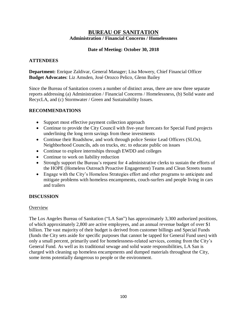### **BUREAU OF SANITATION Administration / Financial Concerns / Homelessness**

### **Date of Meeting: October 30, 2018**

### **ATTENDEES**

**Department:** Enrique Zaldivar, General Manager; Lisa Mowery, Chief Financial Officer **Budget Advocates**: Liz Amsden, José Orozco Pelico, Glenn Bailey

Since the Bureau of Sanitation covers a number of distinct areas, there are now three separate reports addressing (a) Administration / Financial Concerns / Homelessness, (b) Solid waste and RecycLA, and (c) Stormwater / Green and Sustainability Issues.

### **RECOMMENDATIONS**

- Support most effective payment collection approach
- Continue to provide the City Council with five-year forecasts for Special Fund projects underlining the long term savings from these investments
- Continue their Roadshow, and work through police Senior Lead Officers (SLOs), Neighborhood Councils, ads on trucks, etc. to educate public on issues
- Continue to explore internships through EWDD and colleges
- Continue to work on liability reduction
- Strongly support the Bureau's request for 4 administrative clerks to sustain the efforts of the HOPE (Homeless Outreach Proactive Engagement) Teams and Clean Streets teams
- Engage with the City's Homeless Strategies effort and other programs to anticipate and mitigate problems with homeless encampments, couch-surfers and people living in cars and trailers

### **DISCUSSION**

### **Overview**

The Los Angeles Bureau of Sanitation ("LA San") has approximately 3,300 authorized positions, of which approximately 2,800 are active employees, and an annual revenue budget of over \$1 billion. The vast majority of their budget is derived from customer billings and Special Funds (funds the City sets aside for specific purposes that cannot be tapped for General Fund uses) with only a small percent, primarily used for homelessness-related services, coming from the City's General Fund. As well as its traditional sewage and solid waste responsibilities, LA San is charged with cleaning up homeless encampments and dumped materials throughout the City, some items potentially dangerous to people or the environment.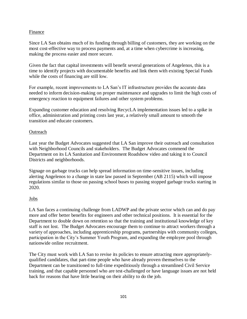### Finance

Since LA San obtains much of its funding through billing of customers, they are working on the most cost-effective way to process payments and, at a time when cybercrime is increasing, making the process easier and more secure.

Given the fact that capital investments will benefit several generations of Angelenos, this is a time to identify projects with documentable benefits and link them with existing Special Funds while the costs of financing are still low.

For example, recent improvements to LA San's IT infrastructure provides the accurate data needed to inform decision-making on proper maintenance and upgrades to limit the high costs of emergency reaction to equipment failures and other system problems.

Expanding customer education and resolving RecycLA implementation issues led to a spike in office, administration and printing costs last year, a relatively small amount to smooth the transition and educate customers.

### **Outreach**

Last year the Budget Advocates suggested that LA San improve their outreach and consultation with Neighborhood Councils and stakeholders. The Budget Advocates commend the Department on its LA Sanitation and Environment Roadshow video and taking it to Council Districts and neighborhoods.

Signage on garbage trucks can help spread information on time-sensitive issues, including alerting Angelenos to a change in state law passed in September (AB 2115) which will impose regulations similar to those on passing school buses to passing stopped garbage trucks starting in 2020.

### Jobs

LA San faces a continuing challenge from LADWP and the private sector which can and do pay more and offer better benefits for engineers and other technical positions. It is essential for the Department to double down on retention so that the training and institutional knowledge of key staff is not lost. The Budget Advocates encourage them to continue to attract workers through a variety of approaches, including apprenticeship programs, partnerships with community colleges, participation in the City's Summer Youth Program, and expanding the employee pool through nationwide online recruitment.

The City must work with LA San to revise its policies to ensure attracting more appropriatelyqualified candidates, that part-time people who have already proven themselves to the Department can be transitioned to full-time expeditiously through a streamlined Civil Service training, and that capable personnel who are test-challenged or have language issues are not held back for reasons that have little bearing on their ability to do the job.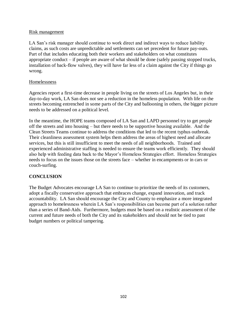### Risk management

LA San's risk manager should continue to work direct and indirect ways to reduce liability claims, as such costs are unpredictable and settlements can set precedent for future pay-outs. Part of that includes educating both their workers and stakeholders on what constitutes appropriate conduct – if people are aware of what should be done (safely passing stopped trucks, installation of back-flow valves), they will have far less of a claim against the City if things go wrong.

### Homelessness

Agencies report a first-time decrease in people living on the streets of Los Angeles but, in their day-to-day work, LA San does not see a reduction in the homeless population. With life on the streets becoming entrenched in some parts of the City and ballooning in others, the bigger picture needs to be addressed on a political level.

In the meantime, the HOPE teams composed of LA San and LAPD personnel try to get people off the streets and into housing – but there needs to be supportive housing available. And the Clean Streets Teams continue to address the conditions that led to the recent typhus outbreak. Their cleanliness assessment system helps them address the areas of highest need and allocate services, but this is still insufficient to meet the needs of all neighborhoods. Trained and experienced administrative staffing is needed to ensure the teams work efficiently. They should also help with feeding data back to the Mayor's Homeless Strategies effort. Homeless Strategies needs to focus on the issues those on the streets face – whether in encampments or in cars or couch-surfing.

### **CONCLUSION**

The Budget Advocates encourage LA San to continue to prioritize the needs of its customers, adopt a fiscally conservative approach that embraces change, expand innovation, and track accountability. LA San should encourage the City and County to emphasize a more integrated approach to homelessness wherein LA San's responsibilities can become part of a solution rather than a series of Band-Aids. Furthermore, budgets must be based on a realistic assessment of the current and future needs of both the City and its stakeholders and should not be tied to past budget numbers or political tampering.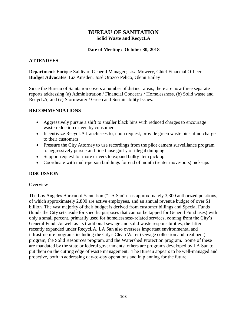### **BUREAU OF SANITATION Solid Waste and RecycLA**

### **Date of Meeting: October 30, 2018**

### **ATTENDEES**

**Department**: Enrique Zaldivar, General Manager; Lisa Mowery, Chief Financial Officer **Budget Advocates**: Liz Amsden, José Orozco Pelico, Glenn Bailey

Since the Bureau of Sanitation covers a number of distinct areas, there are now three separate reports addressing (a) Administration / Financial Concerns / Homelessness, (b) Solid waste and RecycLA, and (c) Stormwater / Green and Sustainability Issues.

### **RECOMMENDATIONS**

- Aggressively pursue a shift to smaller black bins with reduced charges to encourage waste reduction driven by consumers
- Incentivize RecycLA franchisees to, upon request, provide green waste bins at no charge to their customers
- Pressure the City Attorney to use recordings from the pilot camera surveillance program to aggressively pursue and fine those guilty of illegal dumping
- Support request for more drivers to expand bulky item pick up
- Coordinate with multi-person buildings for end of month (renter move-outs) pick-ups

### **DISCUSSION**

### **Overview**

The Los Angeles Bureau of Sanitation ("LA San") has approximately 3,300 authorized positions, of which approximately 2,800 are active employees, and an annual revenue budget of over \$1 billion. The vast majority of their budget is derived from customer billings and Special Funds (funds the City sets aside for specific purposes that cannot be tapped for General Fund uses) with only a small percent, primarily used for homelessness-related services, coming from the City's General Fund. As well as its traditional sewage and solid waste responsibilities, the latter recently expanded under RecycLA, LA San also oversees important environmental and infrastructure programs including the City's Clean Water (sewage collection and treatment) program, the Solid Resources program, and the Watershed Protection program. Some of these are mandated by the state or federal governments; others are programs developed by LA San to put them on the cutting edge of waste management. The Bureau appears to be well-managed and proactive, both in addressing day-to-day operations and in planning for the future.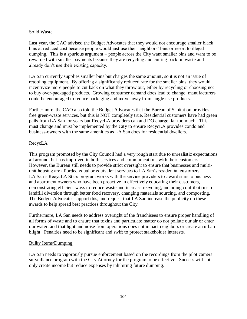### Solid Waste

Last year, the CAO advised the Budget Advocates that they would not encourage smaller black bins at reduced cost because people would just use their neighbors' bins or resort to illegal dumping. This is a spurious argument – people across the City want smaller bins and want to be rewarded with smaller payments because they are recycling and cutting back on waste and already don't use their existing capacity.

LA San currently supplies smaller bins but charges the same amount, so it is not an issue of retooling equipment. By offering a significantly reduced rate for the smaller bins, they would incentivize more people to cut back on what they throw out, either by recycling or choosing not to buy over-packaged products. Growing consumer demand does lead to change: manufacturers could be encouraged to reduce packaging and move away from single use products.

Furthermore, the CAO also told the Budget Advocates that the Bureau of Sanitation provides free green-waste services, but this is NOT completely true. Residential customers have had green pails from LA San for years but RecycLA providers can and DO charge, far too much. This must change and must be implemented by the City to ensure RecycLA provides condo and business-owners with the same amenities as LA San does for residential dwellers.

### RecycLA

This program promoted by the City Council had a very rough start due to unrealistic expectations all around, but has improved in both services and communications with their customers. However, the Bureau still needs to provide strict oversight to ensure that businesses and multiunit housing are afforded equal or equivalent services to LA San's residential customers. LA San's RecycLA Stars program works with the service providers to award stars to business and apartment owners who have been proactive in effectively educating their customers, demonstrating efficient ways to reduce waste and increase recycling, including contributions to landfill diversion through better food recovery, changing materials sourcing, and composting. The Budget Advocates support this, and request that LA San increase the publicity on these awards to help spread best practices throughout the City.

Furthermore, LA San needs to address oversight of the franchisees to ensure proper handling of all forms of waste and to ensure that toxins and particulate matter do not pollute our air or enter our water, and that light and noise from operations does not impact neighbors or create an urban blight. Penalties need to be significant and swift to protect stakeholder interests.

### Bulky Items/Dumping

LA San needs to vigorously pursue enforcement based on the recordings from the pilot camera surveillance program with the City Attorney for the program to be effective. Success will not only create income but reduce expenses by inhibiting future dumping.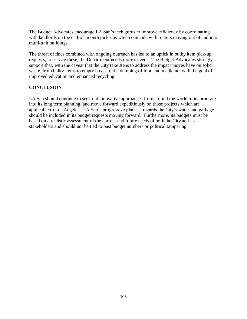The Budget Advocates encourage LA San's tech gurus to improve efficiency by coordinating with landlords on the end-of -month pick-ups which coincide with renters moving out of and into multi-unit buildings.

The threat of fines combined with ongoing outreach has led to an uptick in bulky item pick-up requests; to service these, the Department needs more drivers. The Budget Advocates strongly support that, with the caveat that the City take steps to address the impact moves have on solid waste, from bulky items to empty boxes to the dumping of food and medicine, with the goal of improved education and enhanced recycling.

### **CONCLUSION**

LA San should continue to seek out innovative approaches from around the world to incorporate into its long term planning, and move forward expeditiously on those projects which are applicable to Los Angeles. LA San's progressive plans as regards the City's water and garbage should be included in its budget requests moving forward. Furthermore, its budgets must be based on a realistic assessment of the current and future needs of both the City and its stakeholders and should not be tied to past budget numbers or political tampering.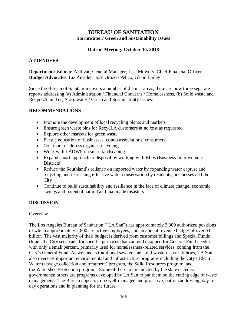### **BUREAU OF SANITATION Stormwater / Green and Sustainability Issues**

### **Date of Meeting: October 30, 2018**

### **ATTENDEES**

**Department:** Enrique Zaldivar, General Manager; Lisa Mowery, Chief Financial Officer **Budget Advocates**: Liz Amsden, José Orozco Pelico, Glenn Bailey

Since the Bureau of Sanitation covers a number of distinct areas, there are now three separate reports addressing (a) Administration / Financial Concerns / Homelessness, (b) Solid waste and RecycLA, and (c) Stormwater / Green and Sustainability Issues.

### **RECOMMENDATIONS**

- Promote the development of local recycling plants and markets
- Ensure green waste bins for RecycLA customers at no cost as requested
- Explore other markets for green waste
- Pursue education of businesses, condo associations, consumers
- Continue to address organics recycling
- Work with LADWP on smart landscaping
- Expand smart approach to disposal by working with BIDs (Business Improvement Districts)
- Reduce the Southland's reliance on imported water by expanding water capture and recycling and increasing effective water conservation by residents, businesses and the **City**
- Continue to build sustainability and resilience in the face of climate change, economic swings and potential natural and manmade disasters

### **DISCUSSION**

### **Overview**

The Los Angeles Bureau of Sanitation ("LA San") has approximately 3,300 authorized positions of which approximately 2,800 are active employees, and an annual revenue budget of over \$1 billion. The vast majority of their budget is derived from customer billings and Special Funds (funds the City sets aside for specific purposes that cannot be tapped for General Fund needs) with only a small percent, primarily used for homelessness-related services, coming from the City's General Fund. As well as its traditional sewage and solid waste responsibilities, LA San also oversees important environmental and infrastructure programs including the City's Clean Water (sewage collection and treatment) program, the Solid Resources program, and the Watershed Protection program. Some of these are mandated by the state or federal governments; others are programs developed by LA San to put them on the cutting edge of waste management. The Bureau appears to be well-managed and proactive, both in addressing day-today operations and in planning for the future.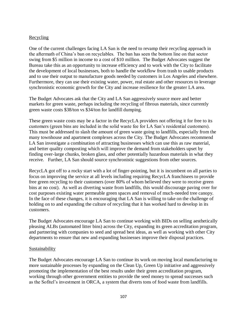### Recycling

One of the current challenges facing LA San is the need to revamp their recycling approach in the aftermath of China's ban on recyclables. The ban has seen the bottom line on that sector swing from \$5 million in income to a cost of \$10 million. The Budget Advocates suggest the Bureau take this as an opportunity to increase efficiency and to work with the City to facilitate the development of local businesses, both to handle the workflow from trash to usable products and to use their output to manufacture goods needed by customers in Los Angeles and elsewhere. Furthermore, they can use their existing water, power, real estate and other resources to leverage synchronistic economic growth for the City and increase resilience for the greater LA area.

The Budget Advocates ask that the City and LA San aggressively source more and better markets for green waste, perhaps including the recycling of fibrous materials, since currently green waste costs \$38/ton vs \$34/ton for landfill dumping.

These green waste costs may be a factor in the RecycLA providers not offering it for free to its customers (green bins are included in the solid waste fee for LA San's residential customers). This must be addressed to slash the amount of green waste going to landfills, especially from the many townhouse and apartment complexes across the City. The Budget Advocates recommend LA San investigate a combination of attracting businesses which can use this as raw material, and better quality composting which will improve the demand from stakeholders upset by finding over-large chunks, broken glass, and other potentially hazardous materials in what they receive. Further, LA San should source synchronistic suggestions from other sources.

RecycLA got off to a rocky start with a lot of finger-pointing, but it is incumbent on all parties to focus on improving the service at all levels including requiring RecycLA franchisees to provide free green recycling to their customers (over 80% of whom believed they were to receive green bins at no cost). As well as diverting waste from landfills, this would discourage paving over for cost purposes existing water permeable green spaces and removal of much-needed tree canopy. In the face of these changes, it is encouraging that LA San is willing to take on the challenge of holding on to and expanding the culture of recycling that it has worked hard to develop in its customers.

The Budget Advocates encourage LA San to continue working with BIDs on selling aesthetically pleasing ALBs (automated litter bins) across the City, expanding its green accreditation program, and partnering with companies to seed and spread best ideas, as well as working with other City departments to ensure that new and expanding businesses improve their disposal practices.

### Sustainability

The Budget Advocates encourage LA San to continue its work on moving local manufacturing to more sustainable processes by expanding on the Clean Up, Green Up initiative and aggressively promoting the implementation of the best results under their green accreditation program, working through other government entities to provide the seed money to spread successes such as the Sofitel's investment in ORCA, a system that diverts tons of food waste from landfills.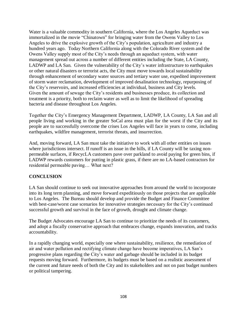Water is a valuable commodity in southern California, where the Los Angeles Aqueduct was immortalized in the movie "Chinatown" for bringing water from the Owens Valley to Los Angeles to drive the explosive growth of the City's population, agriculture and industry a hundred years ago. Today Northern California along with the Colorado River system and the Owens Valley supply most of the City's needs through an aqueduct system, with water management spread out across a number of different entities including the State, LA County, LADWP and LA San. Given the vulnerability of the City's water infrastructure to earthquakes or other natural disasters or terrorist acts, the City must move towards local sustainability through enhancement of secondary water sources and tertiary water use, expedited improvement of storm water reclamation, development of improved desalination technology, repurposing of the City's reservoirs, and increased efficiencies at individual, business and City levels. Given the amount of sewage the City's residents and businesses produce, its collection and treatment is a priority, both to reclaim water as well as to limit the likelihood of spreading bacteria and disease throughout Los Angeles.

Together the City's Emergency Management Department, LADWP, LA County, LA San and all people living and working in the greater SoCal area must plan for the worst if the City and its people are to successfully overcome the crises Los Angeles will face in years to come, including earthquakes, wildfire management, terrorist threats, and insurrection.

And, moving forward, LA San must take the initiative to work with all other entities on issues where jurisdictions intersect. If runoff is an issue in the hills, if LA County will be taxing nonpermeable surfaces, if RecycLA customers pave over parkland to avoid paying for green bins, if LADWP rewards customers for putting in plastic grass, if there are no LA-based contractors for residential permeable paving… What next?

# **CONCLUSION**

LA San should continue to seek out innovative approaches from around the world to incorporate into its long term planning, and move forward expeditiously on those projects that are applicable to Los Angeles. The Bureau should develop and provide the Budget and Finance Committee with best-case/worst case scenarios for innovative strategies necessary for the City's continued successful growth and survival in the face of growth, drought and climate change.

The Budget Advocates encourage LA San to continue to prioritize the needs of its customers, and adopt a fiscally conservative approach that embraces change, expands innovation, and tracks accountability.

In a rapidly changing world, especially one where sustainability, resilience, the remediation of air and water pollution and rectifying climate change have become imperatives, LA San's progressive plans regarding the City's water and garbage should be included in its budget requests moving forward. Furthermore, its budgets must be based on a realistic assessment of the current and future needs of both the City and its stakeholders and not on past budget numbers or political tampering.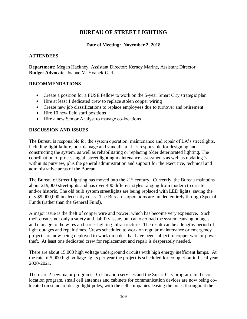# **BUREAU OF STREET LIGHTING**

#### **Date of Meeting: November 2, 2018**

#### **ATTENDEES**

**Department**: Megan Hackney, Assistant Director; Kerney Marine, Assistant Director **Budget Advocate**: Joanne M. Yvanek-Garb

### **RECOMMENDATIONS**

- Create a position for a FUSE Fellow to work on the 5-year Smart City strategic plan
- Hire at least 1 dedicated crew to replace stolen copper wiring
- Create new job classifications to replace employees due to turnover and retirement
- Hire 10 new field staff positions
- Hire a new Senior Analyst to manage co-locations

### **DISCUSSION AND ISSUES**

The Bureau is responsible for the system operation, maintenance and repair of LA's streetlights, including light failure, post damage and vandalism. It is responsible for designing and constructing the system, as well as rehabilitating or replacing older deteriorated lighting. The coordination of processing all street lighting maintenance assessments as well as updating is within its purview, plus the general administration and support for the executive, technical and administrative areas of the Bureau.

The Bureau of Street Lighting has moved into the  $21<sup>st</sup>$  century. Currently, the Bureau maintains about 219,000 streetlights and has over 400 different styles ranging from modern to ornate and/or historic. The old bulb system streetlights are being replaced with LED lights, saving the city \$9,000,000 in electricity costs. The Bureau's operations are funded entirely through Special Funds (rather than the General Fund).

A major issue is the theft of copper wire and power, which has become very expensive. Such theft creates not only a safety and liability issue, but can overload the system causing outages and damage to the wires and street lighting infrastructure. The result can be a lengthy period of light outages and repair times. Crews scheduled to work on regular maintenance or emergency projects are now being deployed to work on poles that have been subject to copper wire or power theft. At least one dedicated crew for replacement and repair is desperately needed.

There are about 15,000 high voltage underground circuits with high energy inefficient lamps. At the rate of 5,000 high voltage lights per year the project is scheduled for completion in fiscal year 2020-2021.

There are 2 new major programs: Co-location services and the Smart City program. In the colocation program, small cell antennas and cabinets for communication devices are now being colocated on standard design light poles, with the cell companies leasing the poles throughout the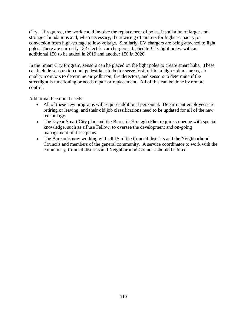City. If required, the work could involve the replacement of poles, installation of larger and stronger foundations and, when necessary, the rewiring of circuits for higher capacity, or conversion from high-voltage to low-voltage. Similarly, EV chargers are being attached to light poles. There are currently 132 electric car chargers attached to City light poles, with an additional 150 to be added in 2019 and another 150 in 2020.

In the Smart City Program, sensors can be placed on the light poles to create smart hubs. These can include sensors to count pedestrians to better serve foot traffic in high volume areas, air quality monitors to determine air pollution, fire detectors, and sensors to determine if the streetlight is functioning or needs repair or replacement. All of this can be done by remote control.

Additional Personnel needs:

- All of these new programs will require additional personnel. Department employees are retiring or leaving, and their old job classifications need to be updated for all of the new technology.
- The 5-year Smart City plan and the Bureau's Strategic Plan require someone with special knowledge, such as a Fuse Fellow, to oversee the development and on-going management of these plans.
- The Bureau is now working with all 15 of the Council districts and the Neighborhood Councils and members of the general community. A service coordinator to work with the community, Council districts and Neighborhood Councils should be hired.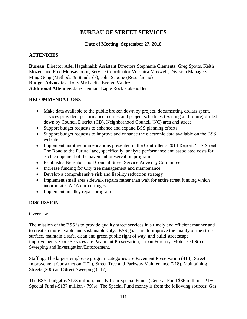# **BUREAU OF STREET SERVICES**

# **Date of Meeting: September 27, 2018**

# **ATTENDEES**

**Bureau**: Director Adel Hagekhalil; Assistant Directors Stephanie Clements, Greg Spotts, Keith Mozee, and Fred Mousavipour; Service Coordinator Veronica Maxwell; Division Managers Ming Gong (Methods & Standards), John Sapone (Resurfacing) **Budget Advocates**: Tony Michaelis, Evelyn Valdez **Additional Attendee**: Jane Demian, Eagle Rock stakeholder

# **RECOMMENDATIONS**

- Make data available to the public broken down by project, documenting dollars spent, services provided, performance metrics and project schedules (existing and future) drilled down by Council District (CD), Neighborhood Council (NC) area and street
- Support budget requests to enhance and expand BSS planning efforts
- Support budget requests to improve and enhance the electronic data available on the BSS website
- Implement audit recommendations presented in the Controller's 2014 Report: "LA Street: The Road to the Future" and, specifically, analyze performance and associated costs for each component of the pavement preservation program
- Establish a Neighborhood Council Street Service Advisory Committee
- Increase funding for City tree management and maintenance
- Develop a comprehensive risk and liability reduction strategy
- Implement small area sidewalk repairs rather than wait for entire street funding which incorporates ADA curb changes
- Implement an alley repair program

# **DISCUSSION**

# **Overview**

The mission of the BSS is to provide quality street services in a timely and efficient manner and to create a more livable and sustainable City. BSS goals are to improve the quality of the street surface, maintain a safe, clean and green public right of way, and build streetscape improvements. Core Services are Pavement Preservation, Urban Forestry, Motorized Street Sweeping and Investigation/Enforcement.

Staffing: The largest employee program categories are Pavement Preservation (418), Street Improvement Construction (271), Street Tree and Parkway Maintenance (218), Maintaining Streets (200) and Street Sweeping (117).

The BSS' budget is \$173 million, mostly from Special Funds (General Fund \$36 million - 21%, Special Funds-\$137 million - 79%). The Special Fund money is from the following sources: Gas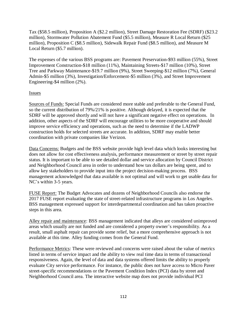Tax (\$58.5 million), Proposition A (\$2.2 million), Street Damage Restoration Fee (SDRF) (\$23.2 million), Stormwater Pollution Abatement Fund (\$5.5 million), Measure R Local Return (\$25 million), Proposition C (\$8.5 million), Sidewalk Repair Fund (\$8.5 million), and Measure M Local Return (\$5.7 million).

The expenses of the various BSS programs are: Pavement Preservation-\$93 million (55%), Street Improvement Construction-\$18 million (11%), Maintaining Streets-\$17 million (10%), Street Tree and Parkway Maintenance-\$19.7 million (9%), Street Sweeping-\$12 million (7%), General Admin-\$5 million (3%), Investigation/Enforcement-\$5 million (3%), and Street Improvement Engineering-\$4 million (2%).

# Issues

Sources of Funds: Special Funds are considered more stable and preferable to the General Fund, so the current distribution of 79%/21% is positive. Although delayed, it is expected that the SDRF will be approved shortly and will not have a significant negative effect on operations. In addition, other aspects of the SDRF will encourage utilities to be more cooperative and should improve service efficiency and operations, such as the need to determine if the LADWP construction holds for selected streets are accurate. In addition, SDRF may enable better coordination with private companies like Verizon.

Data Concerns: Budgets and the BSS website provide high level data which looks interesting but does not allow for cost effectiveness analysis, performance measurement or street by street repair status. It is important to be able to see detailed dollar and service allocation by Council District and Neighborhood Council area in order to understand how tax dollars are being spent, and to allow key stakeholders to provide input into the project decision-making process. BSS management acknowledged that data available is not optimal and will work to get usable data for NC's within 3-5 years.

FUSE Report: The Budget Advocates and dozens of Neighborhood Councils also endorse the 2017 FUSE report evaluating the state of street-related infrastructure programs in Los Angeles. BSS management expressed support for interdepartmental coordination and has taken proactive steps in this area.

Alley repair and maintenance: BSS management indicated that alleys are considered unimproved areas which usually are not funded and are considered a property owner's responsibility. As a result, small asphalt repair can provide some relief, but a more comprehensive approach is not available at this time. Alley funding comes from the General Fund.

Performance Metrics: These were reviewed and concerns were raised about the value of metrics listed in terms of service impact and the ability to view real time data in terms of transactional responsiveness. Again, the level of data and data systems offered limits the ability to properly evaluate City service performance. For instance, the public does not have access to Micro Paver street-specific recommendations or the Pavement Condition Index (PCI) data by street and Neighborhood Council area. The interactive website map does not provide individual PCI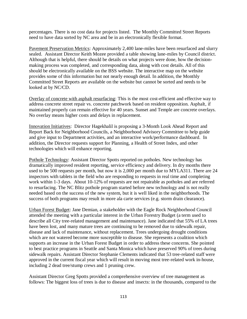percentages. There is no cost data for projects listed. The Monthly Committed Street Reports need to have data sorted by NC area and be in an electronically flexible format.

Pavement Preservation Metrics: Approximately 2,400 lane-miles have been resurfaced and slurry sealed. Assistant Director Keith Mozee provided a table showing lane-miles by Council district. Although that is helpful, there should be details on what projects were done, how the decisionmaking process was completed, and corresponding data, along with cost details. All of this should be electronically available on the BSS website. The interactive map on the website provides some of this information but not nearly enough detail. In addition, the Monthly Committed Street Reports are available on the website but cannot be sorted and needs to be looked at by NC/CD.

Overlay of concrete with asphalt resurfacing: This is the most cost-efficient and effective way to address concrete street repair vs. concrete patchwork based on resident opposition. Asphalt, if maintained properly can remain effective for 40 years. Sunset and Temple are concrete overlays. No overlay means higher costs and delays in replacement.

Innovation Initiatives: Director Hagekhalil is proposing a 3-Month Look Ahead Report and Report Back for Neighborhood Councils, a Neighborhood Advisory Committee to help guide and give input to Department activities, and an interactive work/performance dashboard. In addition, the Director requests support for Planning, a Health of Street Index, and other technologies which will enhance reporting.

Pothole Technology: Assistant Director Spotts reported on potholes. New technology has dramatically improved resident reporting, service efficiency and delivery. In dry months there used to be 500 requests per month, but now it is 2,000 per month due to MYLA311. There are 24 inspectors with tablets in the field who are responding to requests in real time and completing work within 1-3 days. About 10-12% of requests are not repairable as potholes and are referred to resurfacing. The NC Blitz pothole program started before new technology and is not really needed based on the success of the new system, but it is well liked in the neighborhoods. The success of both programs may result in more ala carte services (e.g. storm drain clearance).

Urban Forest Budget: Jane Demian, a stakeholder with the Eagle Rock Neighborhood Council attended the meeting with a particular interest in the Urban Forestry Budget (a term used to describe all City tree-related management and maintenance). Jane indicated that 55% of LA trees have been lost, and many mature trees are continuing to be removed due to sidewalk repair, disease and lack of maintenance, without replacement. Trees undergoing drought conditions which are not watered become more susceptible to disease. She represents a coalition which supports an increase in the Urban Forest Budget in order to address these concerns. She pointed to best practice programs in Seattle and Santa Monica which have preserved 90% of trees during sidewalk repairs. Assistant Director Stephanie Clements indicated that 53 tree-related staff were approved in the current fiscal year which will result in moving most tree-related work in-house, including 2 dead tree/stump crews and 1 pruning crew.

Assistant Director Greg Spotts provided a comprehensive overview of tree management as follows: The biggest loss of trees is due to disease and insects: in the thousands, compared to the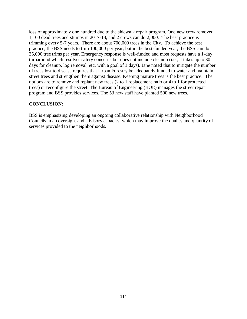loss of approximately one hundred due to the sidewalk repair program. One new crew removed 1,100 dead trees and stumps in 2017-18, and 2 crews can do 2,000. The best practice is trimming every 5-7 years. There are about 700,000 trees in the City. To achieve the best practice, the BSS needs to trim 100,000 per year, but in the best-funded year, the BSS can do 35,000 tree trims per year. Emergency response is well-funded and most requests have a 1-day turnaround which resolves safety concerns but does not include cleanup (i.e., it takes up to 30 days for cleanup, log removal, etc. with a goal of 3 days). Jane noted that to mitigate the number of trees lost to disease requires that Urban Forestry be adequately funded to water and maintain street trees and strengthen them against disease. Keeping mature trees is the best practice. The options are to remove and replant new trees (2 to 1 replacement ratio or 4 to 1 for protected trees) or reconfigure the street. The Bureau of Engineering (BOE) manages the street repair program and BSS provides services. The 53 new staff have planted 500 new trees.

# **CONCLUSION:**

BSS is emphasizing developing an ongoing collaborative relationship with Neighborhood Councils in an oversight and advisory capacity, which may improve the quality and quantity of services provided to the neighborhoods.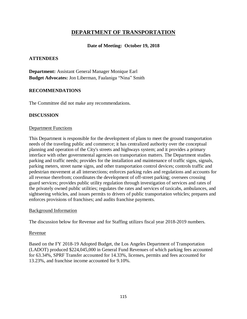# **DEPARTMENT OF TRANSPORTATION**

### **Date of Meeting: October 19, 2018**

### **ATTENDEES**

**Department:** Assistant General Manager Monique Earl **Budget Advocates:** Jon Liberman, Faalaniga "Nina" Smith

#### **RECOMMENDATIONS**

The Committee did not make any recommendations.

#### **DISCUSSION**

#### Department Functions

This Department is responsible for the development of plans to meet the ground transportation needs of the traveling public and commerce; it has centralized authority over the conceptual planning and operation of the City's streets and highways system; and it provides a primary interface with other governmental agencies on transportation matters. The Department studies parking and traffic needs; provides for the installation and maintenance of traffic signs, signals, parking meters, street name signs, and other transportation control devices; controls traffic and pedestrian movement at all intersections; enforces parking rules and regulations and accounts for all revenue therefrom; coordinates the development of off-street parking; oversees crossing guard services; provides public utility regulation through investigation of services and rates of the privately owned public utilities; regulates the rates and services of taxicabs, ambulances, and sightseeing vehicles, and issues permits to drivers of public transportation vehicles; prepares and enforces provisions of franchises; and audits franchise payments.

#### Background Information

The discussion below for Revenue and for Staffing utilizes fiscal year 2018-2019 numbers.

#### Revenue

Based on the FY 2018-19 Adopted Budget, the Los Angeles Department of Transportation (LADOT) produced \$224,045,000 in General Fund Revenues of which parking fees accounted for 63.34%, SPRF Transfer accounted for 14.33%, licenses, permits and fees accounted for 13.23%, and franchise income accounted for 9.10%.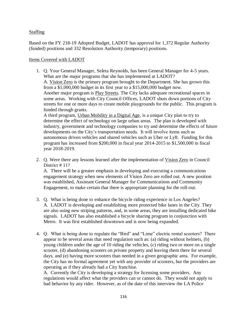# Staffing

Based on the FY 218-19 Adopted Budget, LADOT has approval for 1,372 Regular Authority (funded) positions and 332 Resolution Authority (temporary) positions.

### Items Covered with LADOT

1. Q. Your General Manager, Seleta Reynolds, has been General Manager for 4-5 years. What are the major programs that she has implemented at LADOT? A. Vision Zero is the primary program brought to the Department. She has grown this from a \$1,000,000 budget in its first year to a \$15,000,000 budget now. Another major program is **Play Streets**. The City lacks adequate recreational spaces in some areas. Working with City Council Offices, LADOT shuts down portions of City streets for one or more days to create mobile playgrounds for the public. This program is funded through grants. A third program, Urban Mobility in a Digital Age, is a unique City plan to try to determine the effect of technology on large urban areas. The plan is developed with industry, government and technology companies to try and determine the effects of future developments on the City's transportation needs. It will involve items such as autonomous driven vehicles and shared vehicles such as Uber or Lyft. Funding for this program has increased from \$200,000 in fiscal year 2014-2015 to \$1,500,000 in fiscal

year 2018-2019.

2. Q. Were there any lessons learned after the implementation of Vision Zero in Council District # 11?

A. There will be a greater emphasis in developing and executing a communications engagement strategy when new elements of Vision Zero are rolled out. A new position was established, Assistant General Manager for Communications and Community Engagement, to make certain that there is appropriate planning for the roll-out.

- 3. Q. What is being done to enhance the bicycle riding experience in Los Angeles? A. LADOT is developing and establishing more protected bike lanes in the City. They are also using new striping patterns, and, in some areas, they are installing dedicated bike signals. LADOT has also established a bicycle sharing program in conjunction with Metro. It was first established downtown and is now being expanded.
- 4. Q. What is being done to regulate the "Bird" and "Lime" electric rental scooters? There appear to be several areas that need regulation such as: (a) riding without helmets, (b) young children under the age of 10 riding the vehicles, (c) riding two or more on a single scooter, (d) abandoning scooters on private property and leaving them there for several days, and (e) having more scooters than needed in a given geographic area. For example, the City has no formal agreement yet with any provider of scooters, but the providers are operating as if they already had a City franchise.

A. Currently the City is developing a strategy for licensing some providers. Any regulations would affect what the providers can or cannot do. They would not apply to bad behavior by any rider. However, as of the date of this interview the LA Police